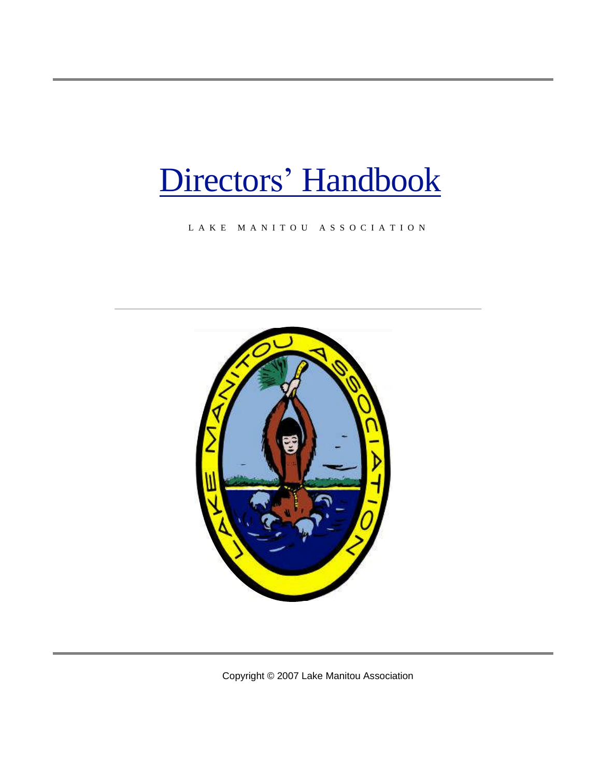# Directors' Handbook

L A K E M A N I T O U A S S O C I A T I O N



Copyright © 2007 Lake Manitou Association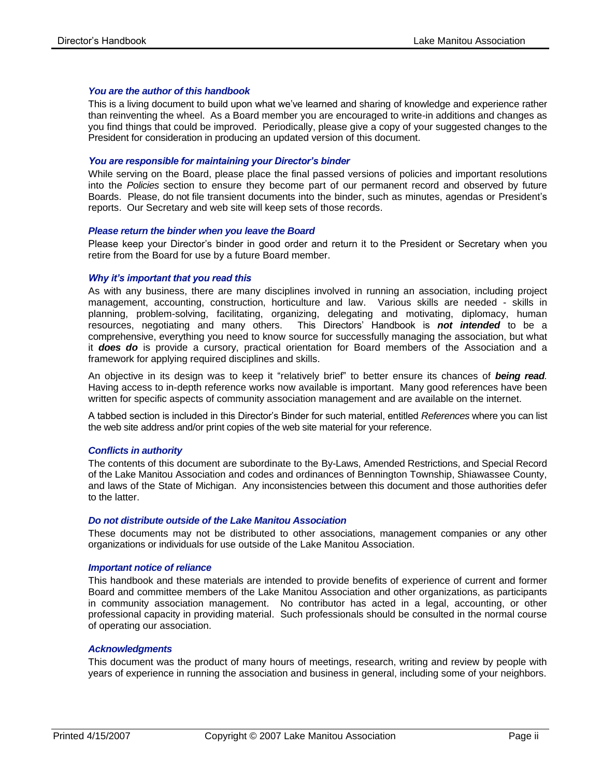#### *You are the author of this handbook*

This is a living document to build upon what we've learned and sharing of knowledge and experience rather than reinventing the wheel. As a Board member you are encouraged to write-in additions and changes as you find things that could be improved. Periodically, please give a copy of your suggested changes to the President for consideration in producing an updated version of this document.

#### You are responsible for maintaining your Director's binder

While serving on the Board, please place the final passed versions of policies and important resolutions into the *Policies* section to ensure they become part of our permanent record and observed by future Boards. Please, do not file transient documents into the binder, such as minutes, agendas or President's reports. Our Secretary and web site will keep sets of those records.

#### *Please return the binder when you leave the Board*

Please keep your Director's binder in good order and return it to the President or Secretary when you retire from the Board for use by a future Board member.

#### *Why it's important that you read this*

As with any business, there are many disciplines involved in running an association, including project management, accounting, construction, horticulture and law. Various skills are needed - skills in planning, problem-solving, facilitating, organizing, delegating and motivating, diplomacy, human resources, negotiating and many others. This Directors' Handbook is **not intended** to be a comprehensive, everything you need to know source for successfully managing the association, but what it *does do* is provide a cursory, practical orientation for Board members of the Association and a framework for applying required disciplines and skills.

An objective in its design was to keep it "relatively brief"to better ensure its chances of *being read.* Having access to in-depth reference works now available is important. Many good references have been written for specific aspects of community association management and are available on the internet.

A tabbed section is included in this Director's Binder for such material, entitled References where you can list the web site address and/or print copies of the web site material for your reference.

#### *Conflicts in authority*

The contents of this document are subordinate to the By-Laws, Amended Restrictions, and Special Record of the Lake Manitou Association and codes and ordinances of Bennington Township, Shiawassee County, and laws of the State of Michigan. Any inconsistencies between this document and those authorities defer to the latter.

#### *Do not distribute outside of the Lake Manitou Association*

These documents may not be distributed to other associations, management companies or any other organizations or individuals for use outside of the Lake Manitou Association.

#### *Important notice of reliance*

This handbook and these materials are intended to provide benefits of experience of current and former Board and committee members of the Lake Manitou Association and other organizations, as participants in community association management. No contributor has acted in a legal, accounting, or other professional capacity in providing material. Such professionals should be consulted in the normal course of operating our association.

#### *Acknowledgments*

This document was the product of many hours of meetings, research, writing and review by people with years of experience in running the association and business in general, including some of your neighbors.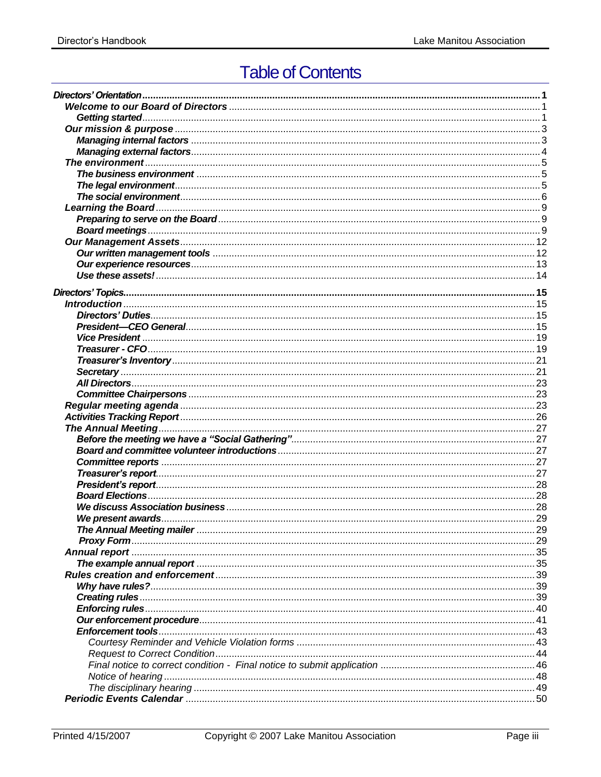# **Table of Contents**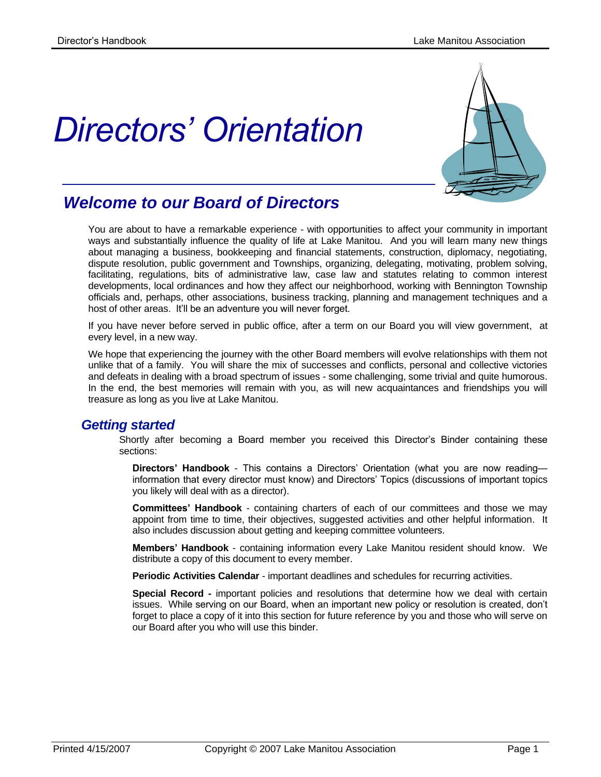# *Directors'Orientation*



# *Welcome to our Board of Directors*

You are about to have a remarkable experience - with opportunities to affect your community in important ways and substantially influence the quality of life at Lake Manitou. And you will learn many new things about managing a business, bookkeeping and financial statements, construction, diplomacy, negotiating, dispute resolution, public government and Townships, organizing, delegating, motivating, problem solving, facilitating, regulations, bits of administrative law, case law and statutes relating to common interest developments, local ordinances and how they affect our neighborhood, working with Bennington Township officials and, perhaps, other associations, business tracking, planning and management techniques and a host of other areas. It'll be an adventure you will never forget.

If you have never before served in public office, after a term on our Board you will view government, at every level, in a new way.

We hope that experiencing the journey with the other Board members will evolve relationships with them not unlike that of a family. You will share the mix of successes and conflicts, personal and collective victories and defeats in dealing with a broad spectrum of issues - some challenging, some trivial and quite humorous. In the end, the best memories will remain with you, as will new acquaintances and friendships you will treasure as long as you live at Lake Manitou.

#### *Getting started*

Shortly after becoming a Board member you received this Director's Binder containing these sections:

**Directors' Handbook** - This contains a Directors' Orientation (what you are now reading information that every director must know) and Directors' Topics (discussions of important topics you likely will deal with as a director).

**Committees'Handbook**- containing charters of each of our committees and those we may appoint from time to time, their objectives, suggested activities and other helpful information. It also includes discussion about getting and keeping committee volunteers.

**Members'Handbook** - containing information every Lake Manitou resident should know. We distribute a copy of this document to every member.

**Periodic Activities Calendar** - important deadlines and schedules for recurring activities.

**Special Record -** important policies and resolutions that determine how we deal with certain issues. While serving on our Board, when an important new policy or resolution is created, don't forget to place a copy of it into this section for future reference by you and those who will serve on our Board after you who will use this binder.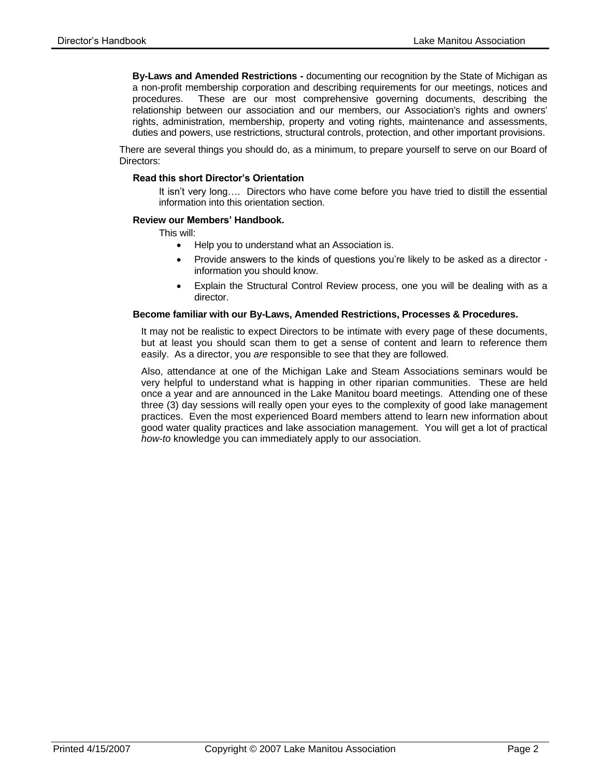**By-Laws and Amended Restrictions -** documenting our recognition by the State of Michigan as a non-profit membership corporation and describing requirements for our meetings, notices and procedures. These are our most comprehensive governing documents, describing the relationship between our association and our members, our Association's rights and owners' rights, administration, membership, property and voting rights, maintenance and assessments, duties and powers, use restrictions, structural controls, protection, and other important provisions.

There are several things you should do, as a minimum, to prepare yourself to serve on our Board of Directors:

#### **Read this short Director's Orientation**

It isn't very long.... Directors who have come before you have tried to distill the essential information into this orientation section.

#### **Review our Members'Handbook.**

This will:

- Help you to understand what an Association is.
- Provide answers to the kinds of questions you're likely to be asked as a director information you should know.
- Explain the Structural Control Review process, one you will be dealing with as a director.

#### **Become familiar with our By-Laws, Amended Restrictions, Processes & Procedures.**

It may not be realistic to expect Directors to be intimate with every page of these documents, but at least you should scan them to get a sense of content and learn to reference them easily. As a director, you *are* responsible to see that they are followed.

Also, attendance at one of the Michigan Lake and Steam Associations seminars would be very helpful to understand what is happing in other riparian communities. These are held once a year and are announced in the Lake Manitou board meetings. Attending one of these three (3) day sessions will really open your eyes to the complexity of good lake management practices. Even the most experienced Board members attend to learn new information about good water quality practices and lake association management. You will get a lot of practical *how-to* knowledge you can immediately apply to our association.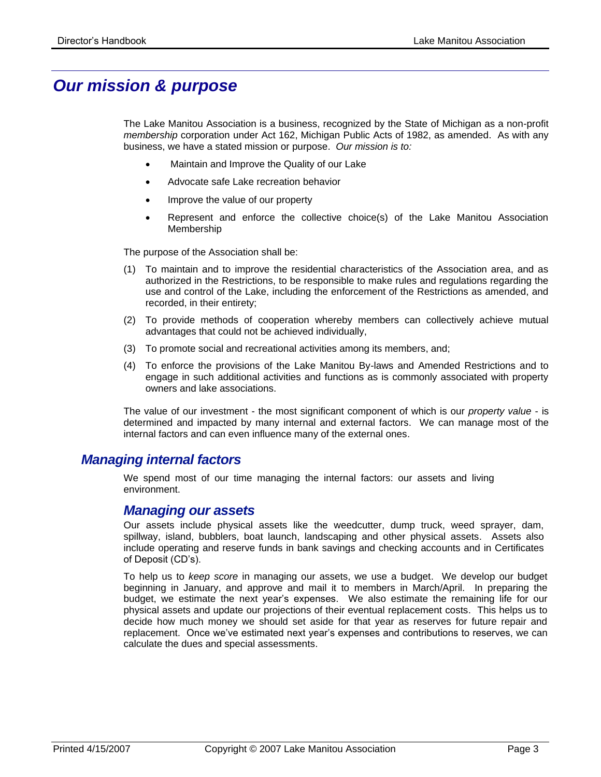# *Our mission & purpose*

The Lake Manitou Association is a business, recognized by the State of Michigan as a non-profit *membership* corporation under Act 162, Michigan Public Acts of 1982, as amended. As with any business, we have a stated mission or purpose. *Our mission is to:*

- Maintain and Improve the Quality of our Lake
- Advocate safe Lake recreation behavior
- Improve the value of our property
- Represent and enforce the collective choice(s) of the Lake Manitou Association Membership

The purpose of the Association shall be:

- (1) To maintain and to improve the residential characteristics of the Association area, and as authorized in the Restrictions, to be responsible to make rules and regulations regarding the use and control of the Lake, including the enforcement of the Restrictions as amended, and recorded, in their entirety;
- (2) To provide methods of cooperation whereby members can collectively achieve mutual advantages that could not be achieved individually,
- (3) To promote social and recreational activities among its members, and;
- (4) To enforce the provisions of the Lake Manitou By-laws and Amended Restrictions and to engage in such additional activities and functions as is commonly associated with property owners and lake associations.

The value of our investment - the most significant component of which is our *property value* - is determined and impacted by many internal and external factors. We can manage most of the internal factors and can even influence many of the external ones.

#### *Managing internal factors*

We spend most of our time managing the internal factors: our assets and living environment.

#### *Managing our assets*

Our assets include physical assets like the weedcutter, dump truck, weed sprayer, dam, spillway, island, bubblers, boat launch, landscaping and other physical assets. Assets also include operating and reserve funds in bank savings and checking accounts and in Certificates of Deposit (CD's).

To help us to *keep score* in managing our assets, we use a budget. We develop our budget beginning in January, and approve and mail it to members in March/April. In preparing the budget, we estimate the next year's expenses. We also estimate the remaining life for our physical assets and update our projections of their eventual replacement costs. This helps us to decide how much money we should set aside for that year as reserves for future repair and replacement. Once we've estimated next year's expenses and contributions to reserves, we can calculate the dues and special assessments.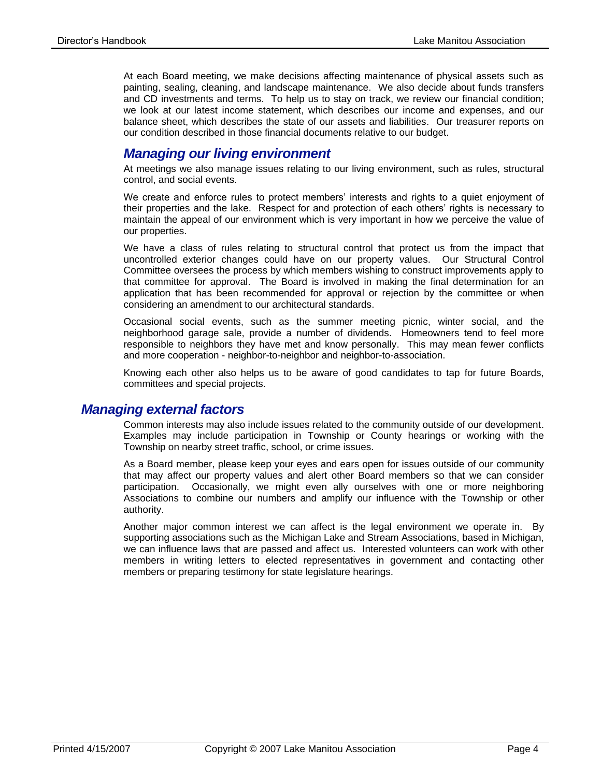At each Board meeting, we make decisions affecting maintenance of physical assets such as painting, sealing, cleaning, and landscape maintenance. We also decide about funds transfers and CD investments and terms. To help us to stay on track, we review our financial condition; we look at our latest income statement, which describes our income and expenses, and our balance sheet, which describes the state of our assets and liabilities. Our treasurer reports on our condition described in those financial documents relative to our budget.

### *Managing our living environment*

At meetings we also manage issues relating to our living environment, such as rules, structural control, and social events.

We create and enforce rules to protect members' interests and rights to a quiet enjoyment of their properties and the lake. Respect for and protection of each others' rights is necessary to maintain the appeal of our environment which is very important in how we perceive the value of our properties.

We have a class of rules relating to structural control that protect us from the impact that uncontrolled exterior changes could have on our property values. Our Structural Control Committee oversees the process by which members wishing to construct improvements apply to that committee for approval. The Board is involved in making the final determination for an application that has been recommended for approval or rejection by the committee or when considering an amendment to our architectural standards.

Occasional social events, such as the summer meeting picnic, winter social, and the neighborhood garage sale, provide a number of dividends. Homeowners tend to feel more responsible to neighbors they have met and know personally. This may mean fewer conflicts and more cooperation - neighbor-to-neighbor and neighbor-to-association.

Knowing each other also helps us to be aware of good candidates to tap for future Boards, committees and special projects.

#### *Managing external factors*

Common interests may also include issues related to the community outside of our development. Examples may include participation in Township or County hearings or working with the Township on nearby street traffic, school, or crime issues.

As a Board member, please keep your eyes and ears open for issues outside of our community that may affect our property values and alert other Board members so that we can consider participation. Occasionally, we might even ally ourselves with one or more neighboring Associations to combine our numbers and amplify our influence with the Township or other authority.

Another major common interest we can affect is the legal environment we operate in. By supporting associations such as the Michigan Lake and Stream Associations, based in Michigan, we can influence laws that are passed and affect us. Interested volunteers can work with other members in writing letters to elected representatives in government and contacting other members or preparing testimony for state legislature hearings.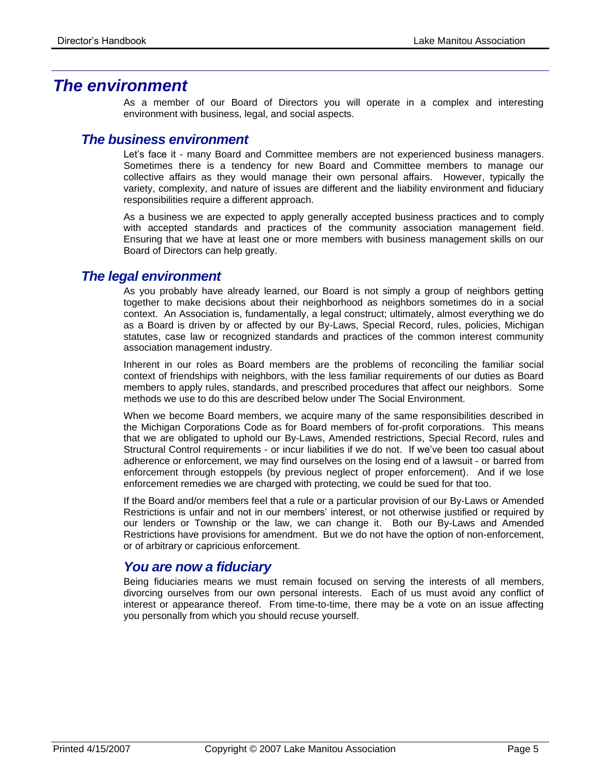## *The environment*

As a member of our Board of Directors you will operate in a complex and interesting environment with business, legal, and social aspects.

#### *The business environment*

Let's face it - many Board and Committee members are not experienced business managers. Sometimes there is a tendency for new Board and Committee members to manage our collective affairs as they would manage their own personal affairs. However, typically the variety, complexity, and nature of issues are different and the liability environment and fiduciary responsibilities require a different approach.

As a business we are expected to apply generally accepted business practices and to comply with accepted standards and practices of the community association management field. Ensuring that we have at least one or more members with business management skills on our Board of Directors can help greatly.

#### *The legal environment*

As you probably have already learned, our Board is not simply a group of neighbors getting together to make decisions about their neighborhood as neighbors sometimes do in a social context. An Association is, fundamentally, a legal construct; ultimately, almost everything we do as a Board is driven by or affected by our By-Laws, Special Record, rules, policies, Michigan statutes, case law or recognized standards and practices of the common interest community association management industry.

Inherent in our roles as Board members are the problems of reconciling the familiar social context of friendships with neighbors, with the less familiar requirements of our duties as Board members to apply rules, standards, and prescribed procedures that affect our neighbors. Some methods we use to do this are described below under The Social Environment.

When we become Board members, we acquire many of the same responsibilities described in the Michigan Corporations Code as for Board members of for-profit corporations. This means that we are obligated to uphold our By-Laws, Amended restrictions, Special Record, rules and Structural Control requirements - or incur liabilities if we do not. If we've been too casual about adherence or enforcement, we may find ourselves on the losing end of a lawsuit - or barred from enforcement through estoppels (by previous neglect of proper enforcement). And if we lose enforcement remedies we are charged with protecting, we could be sued for that too.

If the Board and/or members feel that a rule or a particular provision of our By-Laws or Amended Restrictions is unfair and not in our members' interest, or not otherwise justified or required by our lenders or Township or the law, we can change it. Both our By-Laws and Amended Restrictions have provisions for amendment. But we do not have the option of non-enforcement, or of arbitrary or capricious enforcement.

#### *You are now a fiduciary*

Being fiduciaries means we must remain focused on serving the interests of all members, divorcing ourselves from our own personal interests. Each of us must avoid any conflict of interest or appearance thereof. From time-to-time, there may be a vote on an issue affecting you personally from which you should recuse yourself.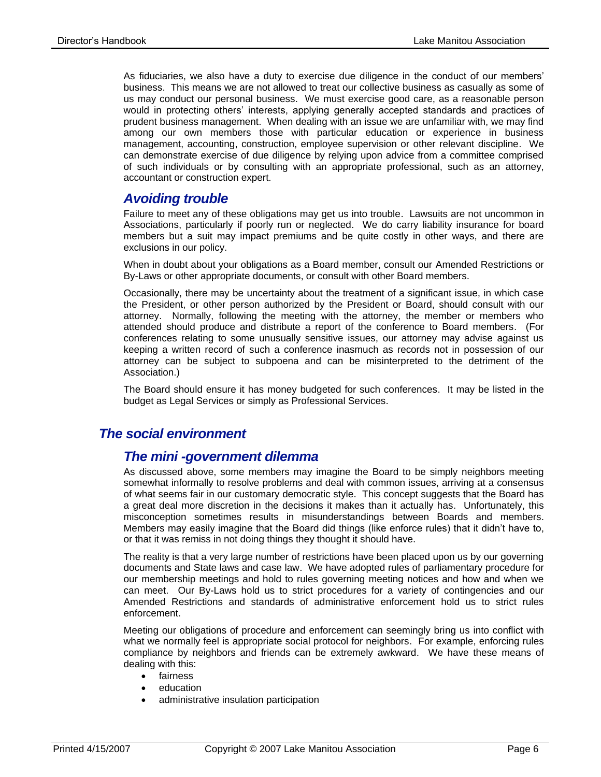As fiduciaries, we also have a duty to exercise due diligence in the conduct of our members' business. This means we are not allowed to treat our collective business as casually as some of us may conduct our personal business. We must exercise good care, as a reasonable person would in protecting others' interests, applying generally accepted standards and practices of prudent business management. When dealing with an issue we are unfamiliar with, we may find among our own members those with particular education or experience in business management, accounting, construction, employee supervision or other relevant discipline. We can demonstrate exercise of due diligence by relying upon advice from a committee comprised of such individuals or by consulting with an appropriate professional, such as an attorney, accountant or construction expert.

#### *Avoiding trouble*

Failure to meet any of these obligations may get us into trouble. Lawsuits are not uncommon in Associations, particularly if poorly run or neglected. We do carry liability insurance for board members but a suit may impact premiums and be quite costly in other ways, and there are exclusions in our policy.

When in doubt about your obligations as a Board member, consult our Amended Restrictions or By-Laws or other appropriate documents, or consult with other Board members.

Occasionally, there may be uncertainty about the treatment of a significant issue, in which case the President, or other person authorized by the President or Board, should consult with our attorney. Normally, following the meeting with the attorney, the member or members who attended should produce and distribute a report of the conference to Board members. (For conferences relating to some unusually sensitive issues, our attorney may advise against us keeping a written record of such a conference inasmuch as records not in possession of our attorney can be subject to subpoena and can be misinterpreted to the detriment of the Association.)

The Board should ensure it has money budgeted for such conferences. It may be listed in the budget as Legal Services or simply as Professional Services.

#### *The social environment*

#### *The mini -government dilemma*

As discussed above, some members may imagine the Board to be simply neighbors meeting somewhat informally to resolve problems and deal with common issues, arriving at a consensus of what seems fair in our customary democratic style. This concept suggests that the Board has a great deal more discretion in the decisions it makes than it actually has. Unfortunately, this misconception sometimes results in misunderstandings between Boards and members. Members may easily imagine that the Board did things (like enforce rules) that it didn't have to, or that it was remiss in not doing things they thought it should have.

The reality is that a very large number of restrictions have been placed upon us by our governing documents and State laws and case law. We have adopted rules of parliamentary procedure for our membership meetings and hold to rules governing meeting notices and how and when we can meet. Our By-Laws hold us to strict procedures for a variety of contingencies and our Amended Restrictions and standards of administrative enforcement hold us to strict rules enforcement.

Meeting our obligations of procedure and enforcement can seemingly bring us into conflict with what we normally feel is appropriate social protocol for neighbors. For example, enforcing rules compliance by neighbors and friends can be extremely awkward. We have these means of dealing with this:

- fairness
- education
- administrative insulation participation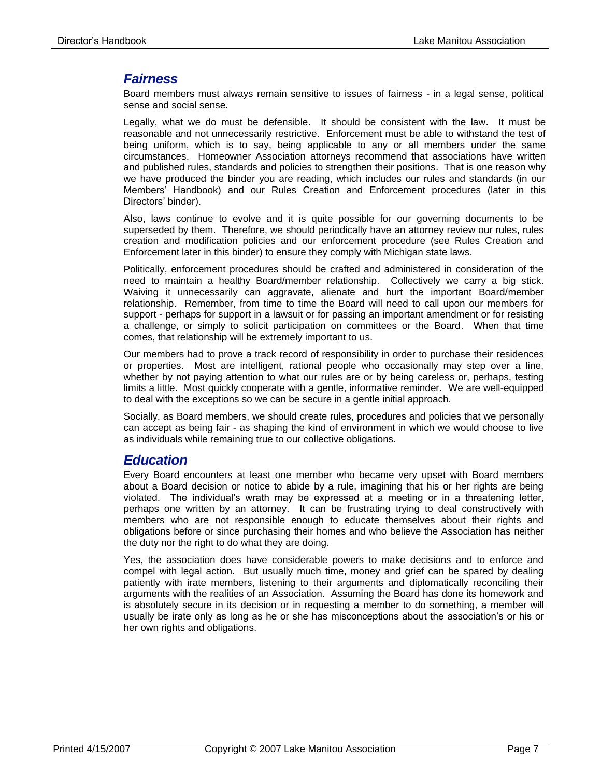#### *Fairness*

Board members must always remain sensitive to issues of fairness - in a legal sense, political sense and social sense.

Legally, what we do must be defensible. It should be consistent with the law. It must be reasonable and not unnecessarily restrictive. Enforcement must be able to withstand the test of being uniform, which is to say, being applicable to any or all members under the same circumstances. Homeowner Association attorneys recommend that associations have written and published rules, standards and policies to strengthen their positions. That is one reason why we have produced the binder you are reading, which includes our rules and standards (in our Members' Handbook) and our Rules Creation and Enforcement procedures (later in this Directors' binder).

Also, laws continue to evolve and it is quite possible for our governing documents to be superseded by them. Therefore, we should periodically have an attorney review our rules, rules creation and modification policies and our enforcement procedure (see Rules Creation and Enforcement later in this binder) to ensure they comply with Michigan state laws.

Politically, enforcement procedures should be crafted and administered in consideration of the need to maintain a healthy Board/member relationship. Collectively we carry a big stick. Waiving it unnecessarily can aggravate, alienate and hurt the important Board/member relationship. Remember, from time to time the Board will need to call upon our members for support - perhaps for support in a lawsuit or for passing an important amendment or for resisting a challenge, or simply to solicit participation on committees or the Board. When that time comes, that relationship will be extremely important to us.

Our members had to prove a track record of responsibility in order to purchase their residences or properties. Most are intelligent, rational people who occasionally may step over a line, whether by not paying attention to what our rules are or by being careless or, perhaps, testing limits a little. Most quickly cooperate with a gentle, informative reminder. We are well-equipped to deal with the exceptions so we can be secure in a gentle initial approach.

Socially, as Board members, we should create rules, procedures and policies that we personally can accept as being fair - as shaping the kind of environment in which we would choose to live as individuals while remaining true to our collective obligations.

#### *Education*

Every Board encounters at least one member who became very upset with Board members about a Board decision or notice to abide by a rule, imagining that his or her rights are being violated. The individual's wrath may be expressed at a meeting or in a threatening letter, perhaps one written by an attorney. It can be frustrating trying to deal constructively with members who are not responsible enough to educate themselves about their rights and obligations before or since purchasing their homes and who believe the Association has neither the duty nor the right to do what they are doing.

Yes, the association does have considerable powers to make decisions and to enforce and compel with legal action. But usually much time, money and grief can be spared by dealing patiently with irate members, listening to their arguments and diplomatically reconciling their arguments with the realities of an Association. Assuming the Board has done its homework and is absolutely secure in its decision or in requesting a member to do something, a member will usually be irate only as long as he or she has misconceptions about the association's or his or her own rights and obligations.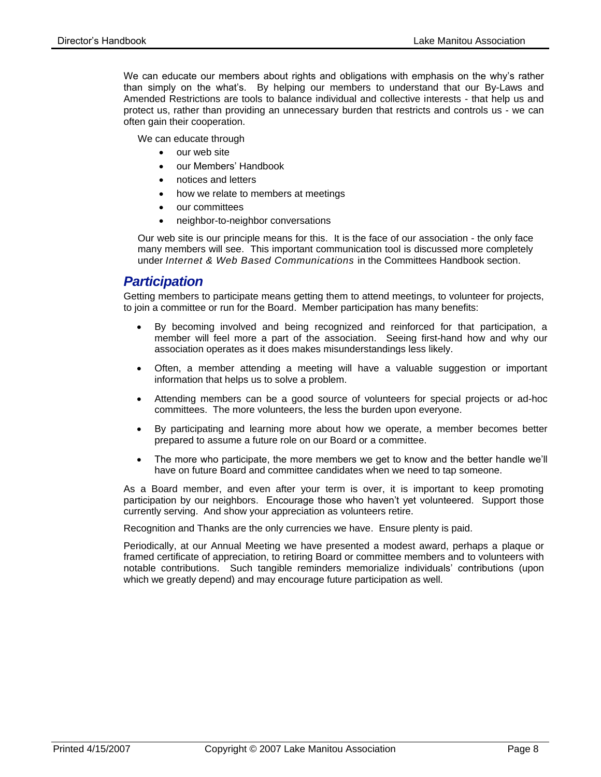We can educate our members about rights and obligations with emphasis on the why's rather than simply on the what's. By helping our members to understand that our By-Laws and Amended Restrictions are tools to balance individual and collective interests - that help us and protect us, rather than providing an unnecessary burden that restricts and controls us - we can often gain their cooperation.

We can educate through

- our web site
- our Members' Handbook
- notices and letters
- how we relate to members at meetings
- our committees
- neighbor-to-neighbor conversations

Our web site is our principle means for this. It is the face of our association - the only face many members will see. This important communication tool is discussed more completely under *Internet & Web Based Communications* in the Committees Handbook section.

#### *Participation*

Getting members to participate means getting them to attend meetings, to volunteer for projects, to join a committee or run for the Board. Member participation has many benefits:

- By becoming involved and being recognized and reinforced for that participation, a member will feel more a part of the association. Seeing first-hand how and why our association operates as it does makes misunderstandings less likely.
- Often, a member attending a meeting will have a valuable suggestion or important information that helps us to solve a problem.
- Attending members can be a good source of volunteers for special projects or ad-hoc committees. The more volunteers, the less the burden upon everyone.
- By participating and learning more about how we operate, a member becomes better prepared to assume a future role on our Board or a committee.
- The more who participate, the more members we get to know and the better handle we'll have on future Board and committee candidates when we need to tap someone.

As a Board member, and even after your term is over, it is important to keep promoting participation by our neighbors. Encourage those who haven't yet volunteered. Support those currently serving. And show your appreciation as volunteers retire.

Recognition and Thanks are the only currencies we have. Ensure plenty is paid.

Periodically, at our Annual Meeting we have presented a modest award, perhaps a plaque or framed certificate of appreciation, to retiring Board or committee members and to volunteers with notable contributions. Such tangible reminders memorialize individuals'contributions (upon which we greatly depend) and may encourage future participation as well.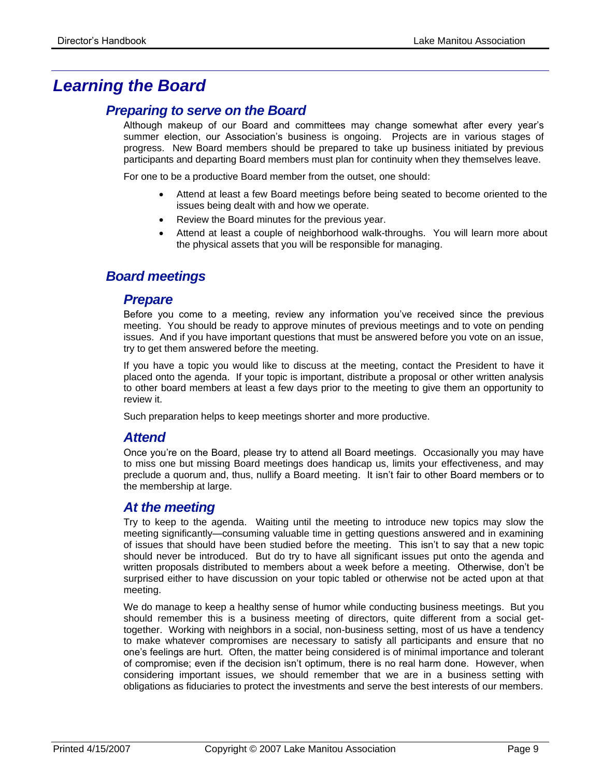# *Learning the Board*

#### *Preparing to serve on the Board*

Although makeup of our Board and committees may change somewhat after every year's summer election, our Association's business is ongoing. Projects are in various stages of progress. New Board members should be prepared to take up business initiated by previous participants and departing Board members must plan for continuity when they themselves leave.

For one to be a productive Board member from the outset, one should:

- Attend at least a few Board meetings before being seated to become oriented to the issues being dealt with and how we operate.
- Review the Board minutes for the previous year.
- Attend at least a couple of neighborhood walk-throughs. You will learn more about the physical assets that you will be responsible for managing.

#### *Board meetings*

#### *Prepare*

Before you come to a meeting, review any information you've received since the previous meeting. You should be ready to approve minutes of previous meetings and to vote on pending issues. And if you have important questions that must be answered before you vote on an issue, try to get them answered before the meeting.

If you have a topic you would like to discuss at the meeting, contact the President to have it placed onto the agenda. If your topic is important, distribute a proposal or other written analysis to other board members at least a few days prior to the meeting to give them an opportunity to review it.

Such preparation helps to keep meetings shorter and more productive.

#### *Attend*

Once you're on the Board, please try to attend all Board meetings. Occasionally you may have to miss one but missing Board meetings does handicap us, limits your effectiveness, and may preclude a quorum and, thus, nullify a Board meeting. It isn't fair to other Board members or to the membership at large.

#### *At the meeting*

Try to keep to the agenda. Waiting until the meeting to introduce new topics may slow the meeting significantly—consuming valuable time in getting questions answered and in examining of issues that should have been studied before the meeting. This isn't to say that a new topic should never be introduced. But do try to have all significant issues put onto the agenda and written proposals distributed to members about a week before a meeting. Otherwise, don't be surprised either to have discussion on your topic tabled or otherwise not be acted upon at that meeting.

We do manage to keep a healthy sense of humor while conducting business meetings. But you should remember this is a business meeting of directors, quite different from a social gettogether. Working with neighbors in a social, non-business setting, most of us have a tendency to make whatever compromises are necessary to satisfy all participants and ensure that no one's feelings are hurt. Often, the matter being considered is of minimal importance and tolerant of compromise; even if the decision isn't optimum, there is no real harm done. However, when considering important issues, we should remember that we are in a business setting with obligations as fiduciaries to protect the investments and serve the best interests of our members.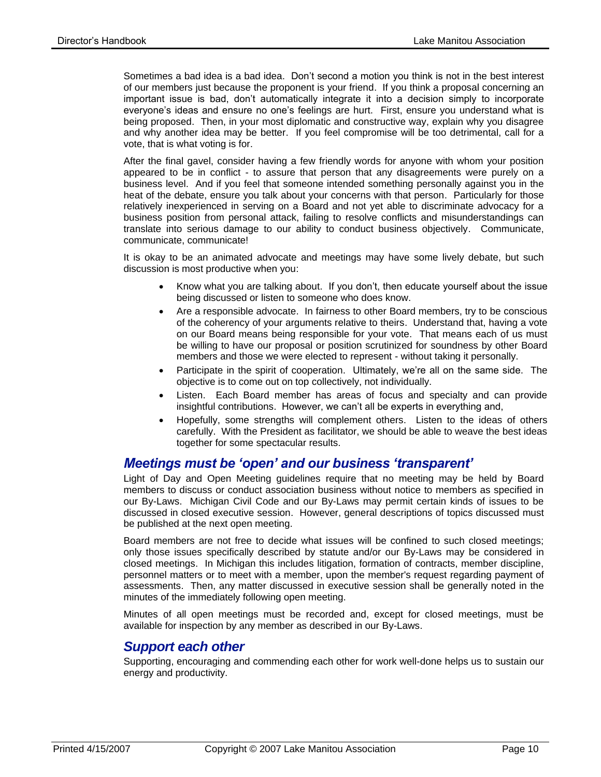Sometimes a bad idea is a bad idea. Don't second a motion you think is not in the best interest of our members just because the proponent is your friend. If you think a proposal concerning an important issue is bad, don't automatically integrate it into a decision simply to incorporate everyone's ideas and ensure no one's feelings are hurt. First, ensure you understand what is being proposed. Then, in your most diplomatic and constructive way, explain why you disagree and why another idea may be better. If you feel compromise will be too detrimental, call for a vote, that is what voting is for.

After the final gavel, consider having a few friendly words for anyone with whom your position appeared to be in conflict - to assure that person that any disagreements were purely on a business level. And if you feel that someone intended something personally against you in the heat of the debate, ensure you talk about your concerns with that person. Particularly for those relatively inexperienced in serving on a Board and not yet able to discriminate advocacy for a business position from personal attack, failing to resolve conflicts and misunderstandings can translate into serious damage to our ability to conduct business objectively. Communicate, communicate, communicate!

It is okay to be an animated advocate and meetings may have some lively debate, but such discussion is most productive when you:

- Know what you are talking about. If you don't, then educate yourself about the issue being discussed or listen to someone who does know.
- Are a responsible advocate. In fairness to other Board members, try to be conscious of the coherency of your arguments relative to theirs. Understand that, having a vote on our Board means being responsible for your vote. That means each of us must be willing to have our proposal or position scrutinized for soundness by other Board members and those we were elected to represent - without taking it personally.
- Participate in the spirit of cooperation. Ultimately, we're all on the same side. The objective is to come out on top collectively, not individually.
- Listen. Each Board member has areas of focus and specialty and can provide insightful contributions. However, we can't all be experts in everything and,
- Hopefully, some strengths will complement others. Listen to the ideas of others carefully. With the President as facilitator, we should be able to weave the best ideas together for some spectacular results.

#### **Meetings must be 'open' and our business 'transparent'**

Light of Day and Open Meeting guidelines require that no meeting may be held by Board members to discuss or conduct association business without notice to members as specified in our By-Laws. Michigan Civil Code and our By-Laws may permit certain kinds of issues to be discussed in closed executive session. However, general descriptions of topics discussed must be published at the next open meeting.

Board members are not free to decide what issues will be confined to such closed meetings; only those issues specifically described by statute and/or our By-Laws may be considered in closed meetings. In Michigan this includes litigation, formation of contracts, member discipline, personnel matters or to meet with a member, upon the member's request regarding payment of assessments. Then, any matter discussed in executive session shall be generally noted in the minutes of the immediately following open meeting.

Minutes of all open meetings must be recorded and, except for closed meetings, must be available for inspection by any member as described in our By-Laws.

#### *Support each other*

Supporting, encouraging and commending each other for work well-done helps us to sustain our energy and productivity.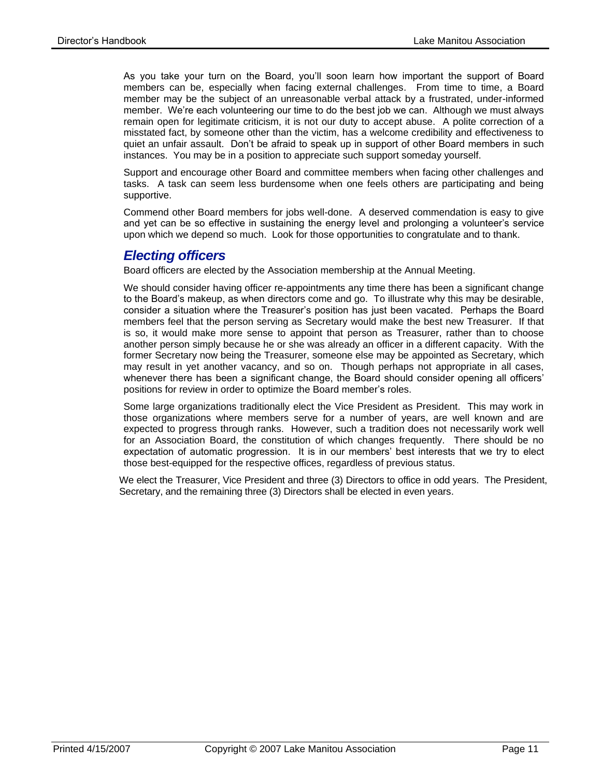As you take your turn on the Board, you'll soon learn how important the support of Board members can be, especially when facing external challenges. From time to time, a Board member may be the subject of an unreasonable verbal attack by a frustrated, under-informed member. We're each volunteering our time to do the best job we can. Although we must always remain open for legitimate criticism, it is not our duty to accept abuse. A polite correction of a misstated fact, by someone other than the victim, has a welcome credibility and effectiveness to quiet an unfair assault. Don't be afraid to speak up in support of other Board members in such instances. You may be in a position to appreciate such support someday yourself.

Support and encourage other Board and committee members when facing other challenges and tasks. A task can seem less burdensome when one feels others are participating and being supportive.

Commend other Board members for jobs well-done. A deserved commendation is easy to give and yet can be so effective in sustaining the energy level and prolonging a volunteer's service upon which we depend so much. Look for those opportunities to congratulate and to thank.

## *Electing officers*

Board officers are elected by the Association membership at the Annual Meeting.

We should consider having officer re-appointments any time there has been a significant change to the Board's makeup, as when directors come and go. To illustrate why this may be desirable, consider a situation where the Treasurer's position has just been vacated. Perhaps the Board members feel that the person serving as Secretary would make the best new Treasurer. If that is so, it would make more sense to appoint that person as Treasurer, rather than to choose another person simply because he or she was already an officer in a different capacity. With the former Secretary now being the Treasurer, someone else may be appointed as Secretary, which may result in yet another vacancy, and so on. Though perhaps not appropriate in all cases, whenever there has been a significant change, the Board should consider opening all officers' positions for review in order to optimize the Board member's roles.

Some large organizations traditionally elect the Vice President as President. This may work in those organizations where members serve for a number of years, are well known and are expected to progress through ranks. However, such a tradition does not necessarily work well for an Association Board, the constitution of which changes frequently. There should be no expectation of automatic progression. It is in our members' best interests that we try to elect those best-equipped for the respective offices, regardless of previous status.

We elect the Treasurer, Vice President and three (3) Directors to office in odd years. The President, Secretary, and the remaining three (3) Directors shall be elected in even years.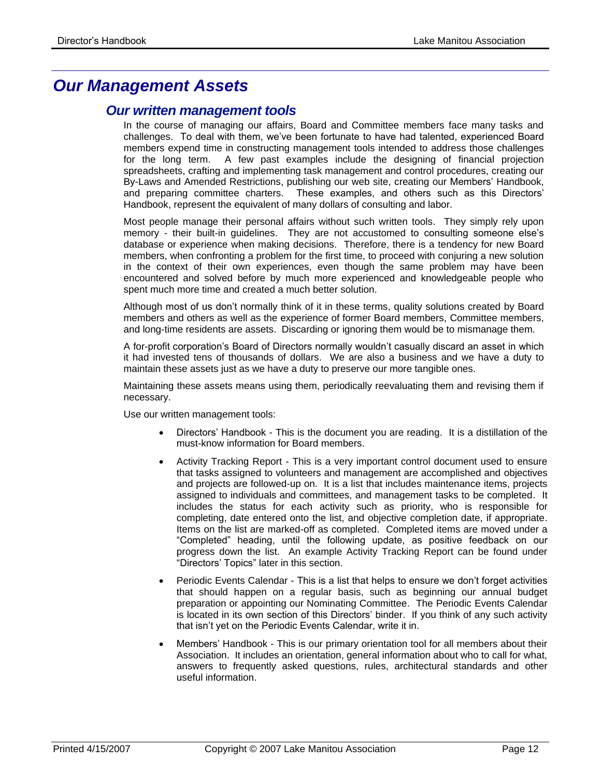# *Our Management Assets*

#### *Our written management tools*

In the course of managing our affairs, Board and Committee members face many tasks and challenges. To deal with them, we've been fortunate to have had talented, experienced Board members expend time in constructing management tools intended to address those challenges for the long term. A few past examples include the designing of financial projection spreadsheets, crafting and implementing task management and control procedures, creating our By-Laws and Amended Restrictions, publishing our web site, creating our Members' Handbook, and preparing committee charters. These examples, and others such as this Directors' Handbook, represent the equivalent of many dollars of consulting and labor.

Most people manage their personal affairs without such written tools. They simply rely upon memory - their built-in quidelines. They are not accustomed to consulting someone else's database or experience when making decisions. Therefore, there is a tendency for new Board members, when confronting a problem for the first time, to proceed with conjuring a new solution in the context of their own experiences, even though the same problem may have been encountered and solved before by much more experienced and knowledgeable people who spent much more time and created a much better solution.

Although most of us don't normally think of it in these terms, quality solutions created by Board members and others as well as the experience of former Board members, Committee members, and long-time residents are assets. Discarding or ignoring them would be to mismanage them.

A for-profit corporation's Board of Directors normally wouldn't casually discard an asset in which it had invested tens of thousands of dollars. We are also a business and we have a duty to maintain these assets just as we have a duty to preserve our more tangible ones.

Maintaining these assets means using them, periodically reevaluating them and revising them if necessary.

Use our written management tools:

- Directors' Handbook This is the document you are reading. It is a distillation of the must-know information for Board members.
- Activity Tracking Report This is a very important control document used to ensure that tasks assigned to volunteers and management are accomplished and objectives and projects are followed-up on. It is a list that includes maintenance items, projects assigned to individuals and committees, and management tasks to be completed. It includes the status for each activity such as priority, who is responsible for completing, date entered onto the list, and objective completion date, if appropriate. Items on the list are marked-off as completed. Completed items are moved under a "Completed" heading, until the following update, as positive feedback on our progress down the list. An example Activity Tracking Report can be found under "Directors'Topics"later in this section.
- Periodic Events Calendar This is a list that helps to ensure we don't forget activities that should happen on a regular basis, such as beginning our annual budget preparation or appointing our Nominating Committee. The Periodic Events Calendar is located in its own section of this Directors' binder. If you think of any such activity that isn't yet on the Periodic Events Calendar, write it in.
- Members' Handbook This is our primary orientation tool for all members about their Association. It includes an orientation, general information about who to call for what, answers to frequently asked questions, rules, architectural standards and other useful information.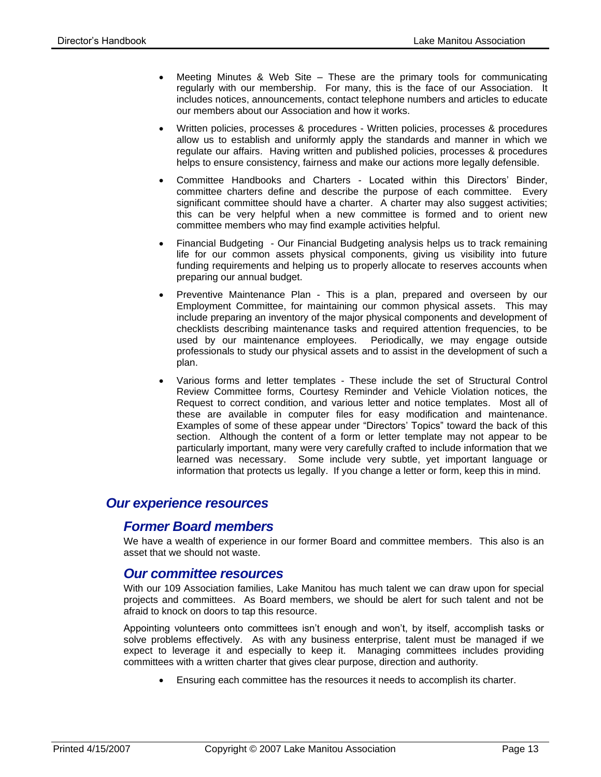- Meeting Minutes  $&$  Web Site These are the primary tools for communicating regularly with our membership. For many, this is the face of our Association. It includes notices, announcements, contact telephone numbers and articles to educate our members about our Association and how it works.
- Written policies, processes & procedures Written policies, processes & procedures allow us to establish and uniformly apply the standards and manner in which we regulate our affairs. Having written and published policies, processes & procedures helps to ensure consistency, fairness and make our actions more legally defensible.
- Committee Handbooks and Charters Located within this Directors' Binder, committee charters define and describe the purpose of each committee. Every significant committee should have a charter. A charter may also suggest activities; this can be very helpful when a new committee is formed and to orient new committee members who may find example activities helpful.
- Financial Budgeting Our Financial Budgeting analysis helps us to track remaining life for our common assets physical components, giving us visibility into future funding requirements and helping us to properly allocate to reserves accounts when preparing our annual budget.
- Preventive Maintenance Plan This is a plan, prepared and overseen by our Employment Committee, for maintaining our common physical assets. This may include preparing an inventory of the major physical components and development of checklists describing maintenance tasks and required attention frequencies, to be used by our maintenance employees. Periodically, we may engage outside professionals to study our physical assets and to assist in the development of such a plan.
- Various forms and letter templates These include the set of Structural Control Review Committee forms, Courtesy Reminder and Vehicle Violation notices, the Request to correct condition, and various letter and notice templates. Most all of these are available in computer files for easy modification and maintenance. Examples of some of these appear under "Directors'Topics"toward the back of this section. Although the content of a form or letter template may not appear to be particularly important, many were very carefully crafted to include information that we learned was necessary. Some include very subtle, yet important language or information that protects us legally. If you change a letter or form, keep this in mind.

#### *Our experience resources*

#### *Former Board members*

We have a wealth of experience in our former Board and committee members. This also is an asset that we should not waste.

#### *Our committee resources*

With our 109 Association families, Lake Manitou has much talent we can draw upon for special projects and committees. As Board members, we should be alert for such talent and not be afraid to knock on doors to tap this resource.

Appointing volunteers onto committees isn't enough and won't, by itself, accomplish tasks or solve problems effectively. As with any business enterprise, talent must be managed if we expect to leverage it and especially to keep it. Managing committees includes providing committees with a written charter that gives clear purpose, direction and authority.

Ensuring each committee has the resources it needs to accomplish its charter.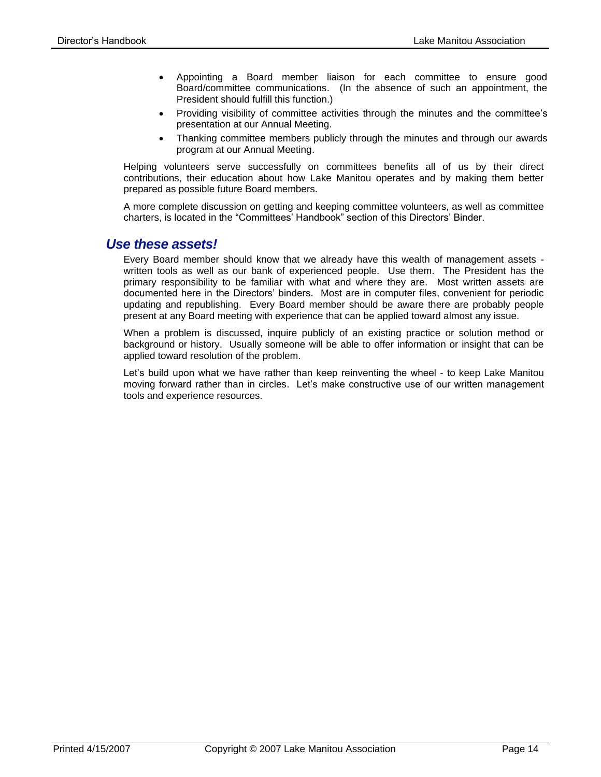- Appointing a Board member liaison for each committee to ensure good Board/committee communications. (In the absence of such an appointment, the President should fulfill this function.)
- Providing visibility of committee activities through the minutes and the committee's presentation at our Annual Meeting.
- Thanking committee members publicly through the minutes and through our awards program at our Annual Meeting.

Helping volunteers serve successfully on committees benefits all of us by their direct contributions, their education about how Lake Manitou operates and by making them better prepared as possible future Board members.

A more complete discussion on getting and keeping committee volunteers, as well as committee charters, is located in the "Committees' Handbook" section of this Directors' Binder.

#### *Use these assets!*

Every Board member should know that we already have this wealth of management assets written tools as well as our bank of experienced people. Use them. The President has the primary responsibility to be familiar with what and where they are. Most written assets are documented here in the Directors' binders. Most are in computer files, convenient for periodic updating and republishing. Every Board member should be aware there are probably people present at any Board meeting with experience that can be applied toward almost any issue.

When a problem is discussed, inquire publicly of an existing practice or solution method or background or history. Usually someone will be able to offer information or insight that can be applied toward resolution of the problem.

Let's build upon what we have rather than keep reinventing the wheel - to keep Lake Manitou moving forward rather than in circles. Let's make constructive use of our written management tools and experience resources.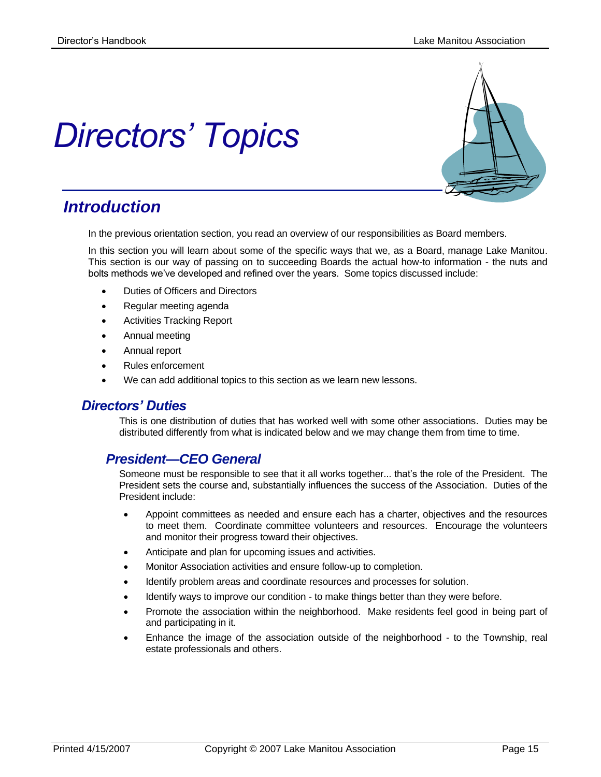# *Directors'Topics*

# *Introduction*

In the previous orientation section, you read an overview of our responsibilities as Board members.

In this section you will learn about some of the specific ways that we, as a Board, manage Lake Manitou. This section is our way of passing on to succeeding Boards the actual how-to information - the nuts and bolts methods we've developed and refined over the years. Some topics discussed include:

- Duties of Officers and Directors
- Regular meeting agenda
- Activities Tracking Report
- Annual meeting
- Annual report
- Rules enforcement
- We can add additional topics to this section as we learn new lessons.

#### *Directors'Duties*

This is one distribution of duties that has worked well with some other associations. Duties may be distributed differently from what is indicated below and we may change them from time to time.

#### *President—CEO General*

Someone must be responsible to see that it all works together... that's the role of the President. The President sets the course and, substantially influences the success of the Association. Duties of the President include:

- Appoint committees as needed and ensure each has a charter, objectives and the resources to meet them. Coordinate committee volunteers and resources. Encourage the volunteers and monitor their progress toward their objectives.
- Anticipate and plan for upcoming issues and activities.
- Monitor Association activities and ensure follow-up to completion.
- Identify problem areas and coordinate resources and processes for solution.
- Identify ways to improve our condition to make things better than they were before.
- Promote the association within the neighborhood. Make residents feel good in being part of and participating in it.
- Enhance the image of the association outside of the neighborhood to the Township, real estate professionals and others.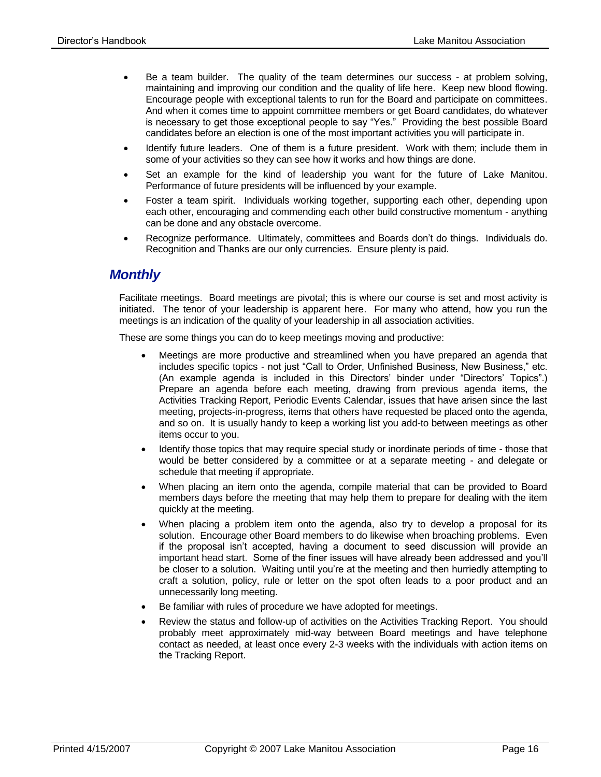- Be a team builder. The quality of the team determines our success at problem solving, maintaining and improving our condition and the quality of life here. Keep new blood flowing. Encourage people with exceptional talents to run for the Board and participate on committees. And when it comes time to appoint committee members or get Board candidates, do whatever is necessary to get those exceptional people to say "Yes." Providing the best possible Board candidates before an election is one of the most important activities you will participate in.
- Identify future leaders. One of them is a future president. Work with them; include them in some of your activities so they can see how it works and how things are done.
- Set an example for the kind of leadership you want for the future of Lake Manitou. Performance of future presidents will be influenced by your example.
- Foster a team spirit. Individuals working together, supporting each other, depending upon each other, encouraging and commending each other build constructive momentum - anything can be done and any obstacle overcome.
- Recognize performance. Ultimately, committees and Boards don't do things. Individuals do. Recognition and Thanks are our only currencies. Ensure plenty is paid.

#### *Monthly*

Facilitate meetings. Board meetings are pivotal; this is where our course is set and most activity is initiated. The tenor of your leadership is apparent here. For many who attend, how you run the meetings is an indication of the quality of your leadership in all association activities.

These are some things you can do to keep meetings moving and productive:

- Meetings are more productive and streamlined when you have prepared an agenda that includes specific topics - not just "Call to Order, Unfinished Business, New Business," etc. (An example agenda is included in this Directors' binder under "Directors' Topics".) Prepare an agenda before each meeting, drawing from previous agenda items, the Activities Tracking Report, Periodic Events Calendar, issues that have arisen since the last meeting, projects-in-progress, items that others have requested be placed onto the agenda, and so on. It is usually handy to keep a working list you add-to between meetings as other items occur to you.
- Identify those topics that may require special study or inordinate periods of time those that would be better considered by a committee or at a separate meeting - and delegate or schedule that meeting if appropriate.
- When placing an item onto the agenda, compile material that can be provided to Board members days before the meeting that may help them to prepare for dealing with the item quickly at the meeting.
- When placing a problem item onto the agenda, also try to develop a proposal for its solution. Encourage other Board members to do likewise when broaching problems. Even if the proposal isn't accepted, having a document to seed discussion will provide an important head start. Some of the finer issues will have already been addressed and you'll be closer to a solution. Waiting until you're at the meeting and then hurriedly attempting to craft a solution, policy, rule or letter on the spot often leads to a poor product and an unnecessarily long meeting.
- Be familiar with rules of procedure we have adopted for meetings.
- Review the status and follow-up of activities on the Activities Tracking Report. You should probably meet approximately mid-way between Board meetings and have telephone contact as needed, at least once every 2-3 weeks with the individuals with action items on the Tracking Report.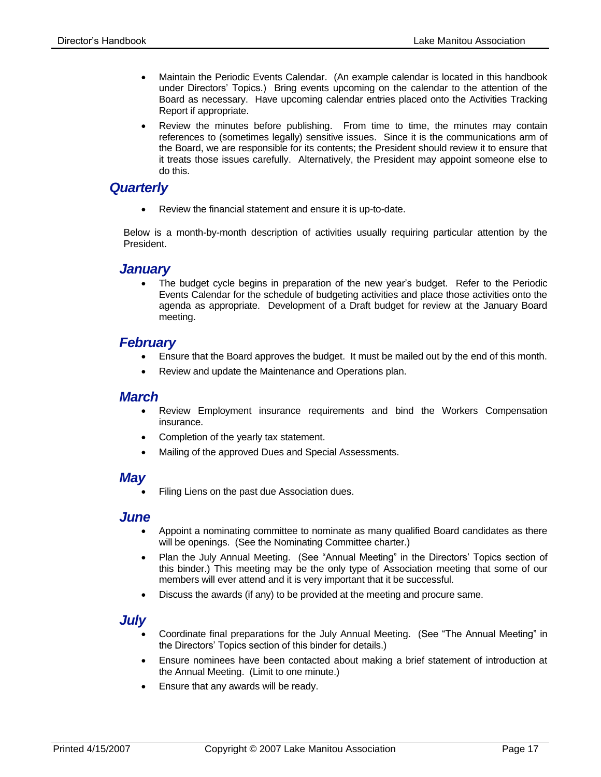- Maintain the Periodic Events Calendar. (An example calendar is located in this handbook under Directors' Topics.) Bring events upcoming on the calendar to the attention of the Board as necessary. Have upcoming calendar entries placed onto the Activities Tracking Report if appropriate.
- Review the minutes before publishing. From time to time, the minutes may contain references to (sometimes legally) sensitive issues. Since it is the communications arm of the Board, we are responsible for its contents; the President should review it to ensure that it treats those issues carefully. Alternatively, the President may appoint someone else to do this.

#### *Quarterly*

Review the financial statement and ensure it is up-to-date.

Below is a month-by-month description of activities usually requiring particular attention by the President.

#### *January*

The budget cycle begins in preparation of the new year's budget. Refer to the Periodic Events Calendar for the schedule of budgeting activities and place those activities onto the agenda as appropriate. Development of a Draft budget for review at the January Board meeting.

#### *February*

- Ensure that the Board approves the budget. It must be mailed out by the end of this month.
- Review and update the Maintenance and Operations plan.

#### *March*

- Review Employment insurance requirements and bind the Workers Compensation insurance.
- Completion of the yearly tax statement.
- Mailing of the approved Dues and Special Assessments.

#### *May*

Filing Liens on the past due Association dues.

#### *June*

- Appoint a nominating committee to nominate as many qualified Board candidates as there will be openings. (See the Nominating Committee charter.)
- Plan the July Annual Meeting. (See "Annual Meeting" in the Directors' Topics section of this binder.) This meeting may be the only type of Association meeting that some of our members will ever attend and it is very important that it be successful.
- Discuss the awards (if any) to be provided at the meeting and procure same.

#### *July*

- Coordinate final preparations for the July Annual Meeting. (See "The Annual Meeting" in the Directors' Topics section of this binder for details.)
- Ensure nominees have been contacted about making a brief statement of introduction at the Annual Meeting. (Limit to one minute.)
- Ensure that any awards will be ready.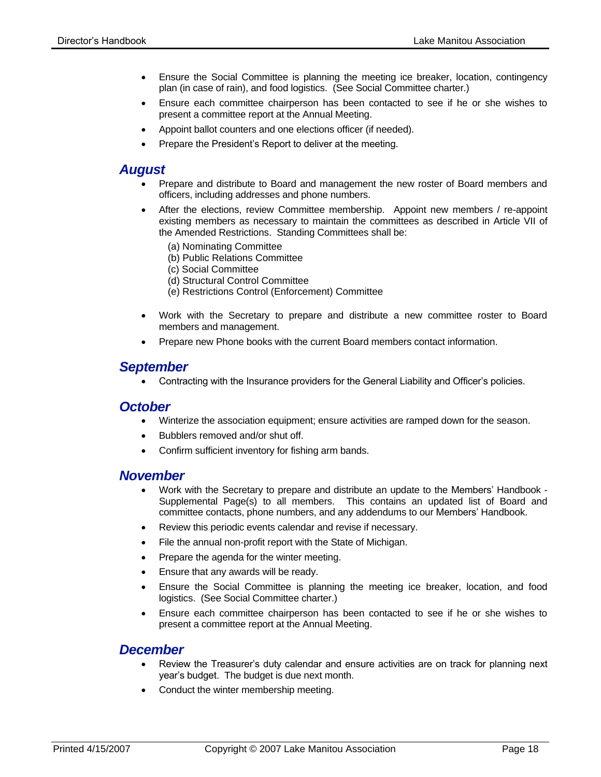- Ensure the Social Committee is planning the meeting ice breaker, location, contingency plan (in case of rain), and food logistics. (See Social Committee charter.)
- Ensure each committee chairperson has been contacted to see if he or she wishes to present a committee report at the Annual Meeting.
- Appoint ballot counters and one elections officer (if needed).
- Prepare the President's Report to deliver at the meeting.

#### *August*

- Prepare and distribute to Board and management the new roster of Board members and officers, including addresses and phone numbers.
- After the elections, review Committee membership. Appoint new members / re-appoint existing members as necessary to maintain the committees as described in Article VII of the Amended Restrictions. Standing Committees shall be:
	- (a) Nominating Committee
	- (b) Public Relations Committee
	- (c) Social Committee
	- (d) Structural Control Committee
	- (e) Restrictions Control (Enforcement) Committee
- Work with the Secretary to prepare and distribute a new committee roster to Board members and management.
- Prepare new Phone books with the current Board members contact information.

#### *September*

Contracting with the Insurance providers for the General Liability and Officer's policies.

#### *October*

- Winterize the association equipment; ensure activities are ramped down for the season.
- Bubblers removed and/or shut off.
- Confirm sufficient inventory for fishing arm bands.

#### *November*

- Work with the Secretary to prepare and distribute an update to the Members' Handbook -Supplemental Page(s) to all members. This contains an updated list of Board and committee contacts, phone numbers, and any addendums to our Members' Handbook.
- Review this periodic events calendar and revise if necessary.
- File the annual non-profit report with the State of Michigan.
- Prepare the agenda for the winter meeting.
- Ensure that any awards will be ready.
- Ensure the Social Committee is planning the meeting ice breaker, location, and food logistics. (See Social Committee charter.)
- Ensure each committee chairperson has been contacted to see if he or she wishes to present a committee report at the Annual Meeting.

#### *December*

- Review the Treasurer's duty calendar and ensure activities are on track for planning next year's budget. The budget is due next month.
- Conduct the winter membership meeting.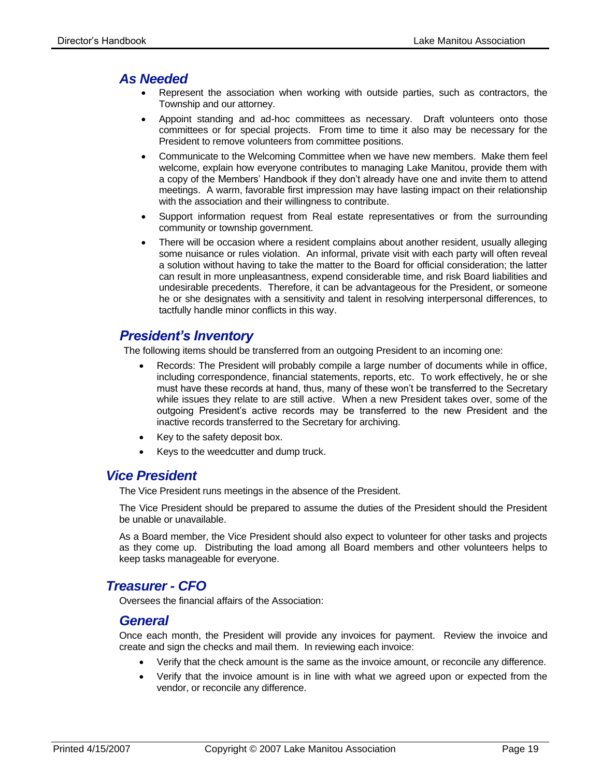## *As Needed*

- Represent the association when working with outside parties, such as contractors, the Township and our attorney.
- Appoint standing and ad-hoc committees as necessary. Draft volunteers onto those committees or for special projects. From time to time it also may be necessary for the President to remove volunteers from committee positions.
- Communicate to the Welcoming Committee when we have new members. Make them feel welcome, explain how everyone contributes to managing Lake Manitou, provide them with a copy of the Members' Handbook if they don't already have one and invite them to attend meetings. A warm, favorable first impression may have lasting impact on their relationship with the association and their willingness to contribute.
- Support information request from Real estate representatives or from the surrounding community or township government.
- There will be occasion where a resident complains about another resident, usually alleging some nuisance or rules violation. An informal, private visit with each party will often reveal a solution without having to take the matter to the Board for official consideration; the latter can result in more unpleasantness, expend considerable time, and risk Board liabilities and undesirable precedents. Therefore, it can be advantageous for the President, or someone he or she designates with a sensitivity and talent in resolving interpersonal differences, to tactfully handle minor conflicts in this way.

## **President's Inventory**

The following items should be transferred from an outgoing President to an incoming one:

- Records: The President will probably compile a large number of documents while in office, including correspondence, financial statements, reports, etc. To work effectively, he or she must have these records at hand, thus, many of these won't be transferred to the Secretary while issues they relate to are still active. When a new President takes over, some of the outgoing President's active records may be transferred to the new President and the inactive records transferred to the Secretary for archiving.
- Key to the safety deposit box.
- Keys to the weedcutter and dump truck.

#### *Vice President*

The Vice President runs meetings in the absence of the President.

The Vice President should be prepared to assume the duties of the President should the President be unable or unavailable.

As a Board member, the Vice President should also expect to volunteer for other tasks and projects as they come up. Distributing the load among all Board members and other volunteers helps to keep tasks manageable for everyone.

## *Treasurer - CFO*

Oversees the financial affairs of the Association:

#### *General*

Once each month, the President will provide any invoices for payment. Review the invoice and create and sign the checks and mail them. In reviewing each invoice:

- Verify that the check amount is the same as the invoice amount, or reconcile any difference.
- Verify that the invoice amount is in line with what we agreed upon or expected from the vendor, or reconcile any difference.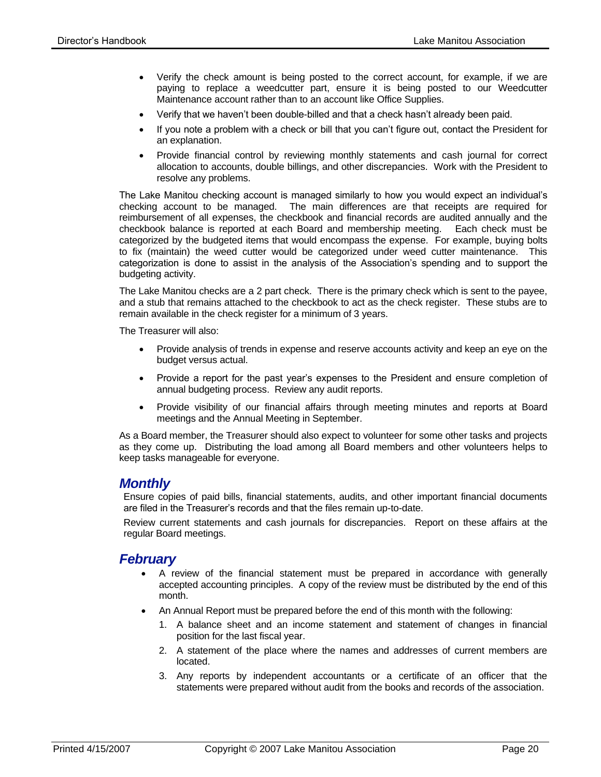- Verify the check amount is being posted to the correct account, for example, if we are paying to replace a weedcutter part, ensure it is being posted to our Weedcutter Maintenance account rather than to an account like Office Supplies.
- Verify that we haven't been double-billed and that a check hasn't already been paid.
- If you note a problem with a check or bill that you can't figure out, contact the President for an explanation.
- Provide financial control by reviewing monthly statements and cash journal for correct allocation to accounts, double billings, and other discrepancies. Work with the President to resolve any problems.

The Lake Manitou checking account is managed similarly to how you would expect an individual's checking account to be managed. The main differences are that receipts are required for reimbursement of all expenses, the checkbook and financial records are audited annually and the checkbook balance is reported at each Board and membership meeting. Each check must be categorized by the budgeted items that would encompass the expense. For example, buying bolts to fix (maintain) the weed cutter would be categorized under weed cutter maintenance. This categorization is done to assist in the analysis of the Association's spending and to support the budgeting activity.

The Lake Manitou checks are a 2 part check. There is the primary check which is sent to the payee, and a stub that remains attached to the checkbook to act as the check register. These stubs are to remain available in the check register for a minimum of 3 years.

The Treasurer will also:

- Provide analysis of trends in expense and reserve accounts activity and keep an eye on the budget versus actual.
- Provide a report for the past year's expenses to the President and ensure completion of annual budgeting process. Review any audit reports.
- Provide visibility of our financial affairs through meeting minutes and reports at Board meetings and the Annual Meeting in September.

As a Board member, the Treasurer should also expect to volunteer for some other tasks and projects as they come up. Distributing the load among all Board members and other volunteers helps to keep tasks manageable for everyone.

#### *Monthly*

Ensure copies of paid bills, financial statements, audits, and other important financial documents are filed in the Treasurer's records and that the files remain up-to-date.

Review current statements and cash journals for discrepancies. Report on these affairs at the regular Board meetings.

#### *February*

- A review of the financial statement must be prepared in accordance with generally accepted accounting principles. A copy of the review must be distributed by the end of this month.
- An Annual Report must be prepared before the end of this month with the following:
	- 1. A balance sheet and an income statement and statement of changes in financial position for the last fiscal year.
	- 2. A statement of the place where the names and addresses of current members are located.
	- 3. Any reports by independent accountants or a certificate of an officer that the statements were prepared without audit from the books and records of the association.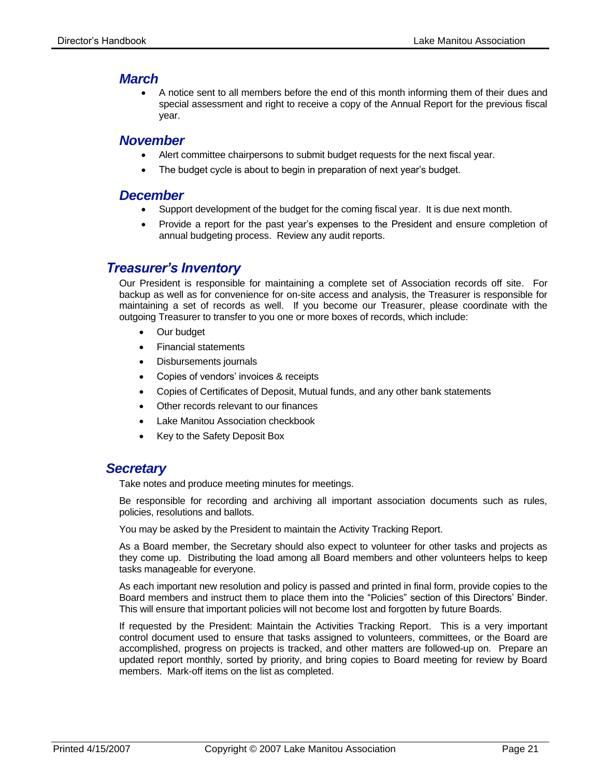#### *March*

 A notice sent to all members before the end of this month informing them of their dues and special assessment and right to receive a copy of the Annual Report for the previous fiscal year.

#### *November*

- Alert committee chairpersons to submit budget requests for the next fiscal year.
- The budget cycle is about to begin in preparation of next year's budget.

#### *December*

- Support development of the budget for the coming fiscal year. It is due next month.
- Provide a report for the past year's expenses to the President and ensure completion of annual budgeting process. Review any audit reports.

#### *Treasurer'sInventory*

Our President is responsible for maintaining a complete set of Association records off site. For backup as well as for convenience for on-site access and analysis, the Treasurer is responsible for maintaining a set of records as well. If you become our Treasurer, please coordinate with the outgoing Treasurer to transfer to you one or more boxes of records, which include:

- Our budget
- Financial statements
- Disbursements journals
- Copies of vendors' invoices & receipts
- Copies of Certificates of Deposit, Mutual funds, and any other bank statements
- Other records relevant to our finances
- Lake Manitou Association checkbook
- Key to the Safety Deposit Box

#### *Secretary*

Take notes and produce meeting minutes for meetings.

Be responsible for recording and archiving all important association documents such as rules, policies, resolutions and ballots.

You may be asked by the President to maintain the Activity Tracking Report.

As a Board member, the Secretary should also expect to volunteer for other tasks and projects as they come up. Distributing the load among all Board members and other volunteers helps to keep tasks manageable for everyone.

As each important new resolution and policy is passed and printed in final form, provide copies to the Board members and instruct them to place them into the "Policies" section of this Directors' Binder. This will ensure that important policies will not become lost and forgotten by future Boards.

If requested by the President: Maintain the Activities Tracking Report. This is a very important control document used to ensure that tasks assigned to volunteers, committees, or the Board are accomplished, progress on projects is tracked, and other matters are followed-up on. Prepare an updated report monthly, sorted by priority, and bring copies to Board meeting for review by Board members. Mark-off items on the list as completed.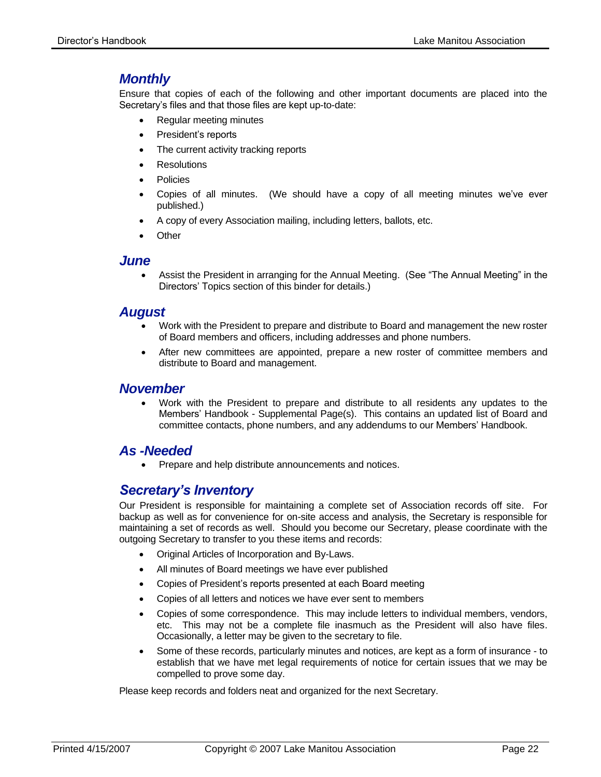#### *Monthly*

Ensure that copies of each of the following and other important documents are placed into the Secretary's files and that those files are kept up-to-date:

- Regular meeting minutes
- President's reports
- The current activity tracking reports
- Resolutions
- Policies
- Copies of all minutes. (We should have a copy of all meeting minutes we've ever published.)
- A copy of every Association mailing, including letters, ballots, etc.
- **Other**

#### *June*

Assist the President in arranging for the Annual Meeting. (See "The Annual Meeting" in the Directors'Topics section of this binder for details.)

#### *August*

- Work with the President to prepare and distribute to Board and management the new roster of Board members and officers, including addresses and phone numbers.
- After new committees are appointed, prepare a new roster of committee members and distribute to Board and management.

#### *November*

 Work with the President to prepare and distribute to all residents any updates to the Members' Handbook - Supplemental Page(s). This contains an updated list of Board and committee contacts, phone numbers, and any addendums to our Members' Handbook.

#### *As -Needed*

• Prepare and help distribute announcements and notices.

#### **Secretary's Inventory**

Our President is responsible for maintaining a complete set of Association records off site. For backup as well as for convenience for on-site access and analysis, the Secretary is responsible for maintaining a set of records as well. Should you become our Secretary, please coordinate with the outgoing Secretary to transfer to you these items and records:

- Original Articles of Incorporation and By-Laws.
- All minutes of Board meetings we have ever published
- Copies of President's reports presented at each Board meeting
- Copies of all letters and notices we have ever sent to members
- Copies of some correspondence. This may include letters to individual members, vendors, etc. This may not be a complete file inasmuch as the President will also have files. Occasionally, a letter may be given to the secretary to file.
- Some of these records, particularly minutes and notices, are kept as a form of insurance to establish that we have met legal requirements of notice for certain issues that we may be compelled to prove some day.

Please keep records and folders neat and organized for the next Secretary.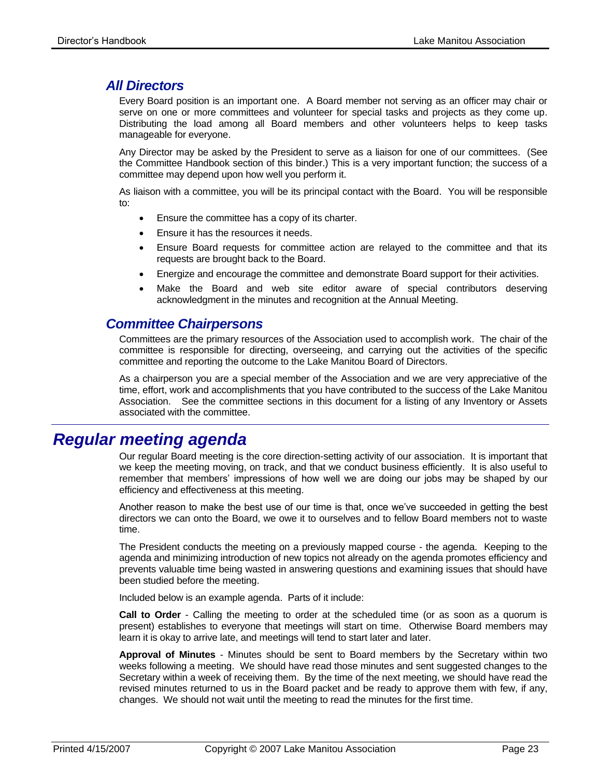#### *All Directors*

Every Board position is an important one. A Board member not serving as an officer may chair or serve on one or more committees and volunteer for special tasks and projects as they come up. Distributing the load among all Board members and other volunteers helps to keep tasks manageable for everyone.

Any Director may be asked by the President to serve as a liaison for one of our committees. (See the Committee Handbook section of this binder.) This is a very important function; the success of a committee may depend upon how well you perform it.

As liaison with a committee, you will be its principal contact with the Board. You will be responsible to:

- Ensure the committee has a copy of its charter.
- Ensure it has the resources it needs.
- Ensure Board requests for committee action are relayed to the committee and that its requests are brought back to the Board.
- Energize and encourage the committee and demonstrate Board support for their activities.
- Make the Board and web site editor aware of special contributors deserving acknowledgment in the minutes and recognition at the Annual Meeting.

#### *Committee Chairpersons*

Committees are the primary resources of the Association used to accomplish work. The chair of the committee is responsible for directing, overseeing, and carrying out the activities of the specific committee and reporting the outcome to the Lake Manitou Board of Directors.

As a chairperson you are a special member of the Association and we are very appreciative of the time, effort, work and accomplishments that you have contributed to the success of the Lake Manitou Association. See the committee sections in this document for a listing of any Inventory or Assets associated with the committee.

# *Regular meeting agenda*

Our regular Board meeting is the core direction-setting activity of our association. It is important that we keep the meeting moving, on track, and that we conduct business efficiently. It is also useful to remember that members' impressions of how well we are doing our jobs may be shaped by our efficiency and effectiveness at this meeting.

Another reason to make the best use of our time is that, once we've succeeded in getting the best directors we can onto the Board, we owe it to ourselves and to fellow Board members not to waste time.

The President conducts the meeting on a previously mapped course - the agenda. Keeping to the agenda and minimizing introduction of new topics not already on the agenda promotes efficiency and prevents valuable time being wasted in answering questions and examining issues that should have been studied before the meeting.

Included below is an example agenda. Parts of it include:

**Call to Order** - Calling the meeting to order at the scheduled time (or as soon as a quorum is present) establishes to everyone that meetings will start on time. Otherwise Board members may learn it is okay to arrive late, and meetings will tend to start later and later.

**Approval of Minutes** - Minutes should be sent to Board members by the Secretary within two weeks following a meeting. We should have read those minutes and sent suggested changes to the Secretary within a week of receiving them. By the time of the next meeting, we should have read the revised minutes returned to us in the Board packet and be ready to approve them with few, if any, changes. We should not wait until the meeting to read the minutes for the first time.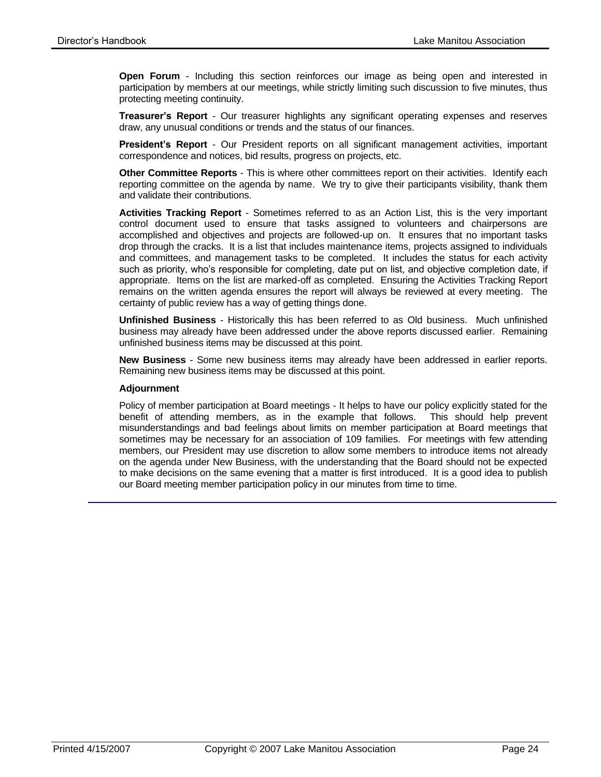**Open Forum** - Including this section reinforces our image as being open and interested in participation by members at our meetings, while strictly limiting such discussion to five minutes, thus protecting meeting continuity.

**Treasurer'sReport** - Our treasurer highlights any significant operating expenses and reserves draw, any unusual conditions or trends and the status of our finances.

**President'sReport** - Our President reports on all significant management activities, important correspondence and notices, bid results, progress on projects, etc.

**Other Committee Reports** - This is where other committees report on their activities. Identify each reporting committee on the agenda by name. We try to give their participants visibility, thank them and validate their contributions.

**Activities Tracking Report** - Sometimes referred to as an Action List, this is the very important control document used to ensure that tasks assigned to volunteers and chairpersons are accomplished and objectives and projects are followed-up on. It ensures that no important tasks drop through the cracks. It is a list that includes maintenance items, projects assigned to individuals and committees, and management tasks to be completed. It includes the status for each activity such as priority, who's responsible for completing, date put on list, and objective completion date, if appropriate. Items on the list are marked-off as completed. Ensuring the Activities Tracking Report remains on the written agenda ensures the report will always be reviewed at every meeting. The certainty of public review has a way of getting things done.

**Unfinished Business** - Historically this has been referred to as Old business. Much unfinished business may already have been addressed under the above reports discussed earlier. Remaining unfinished business items may be discussed at this point.

**New Business** - Some new business items may already have been addressed in earlier reports. Remaining new business items may be discussed at this point.

#### **Adjournment**

Policy of member participation at Board meetings - It helps to have our policy explicitly stated for the benefit of attending members, as in the example that follows. This should help prevent misunderstandings and bad feelings about limits on member participation at Board meetings that sometimes may be necessary for an association of 109 families. For meetings with few attending members, our President may use discretion to allow some members to introduce items not already on the agenda under New Business, with the understanding that the Board should not be expected to make decisions on the same evening that a matter is first introduced. It is a good idea to publish our Board meeting member participation policy in our minutes from time to time.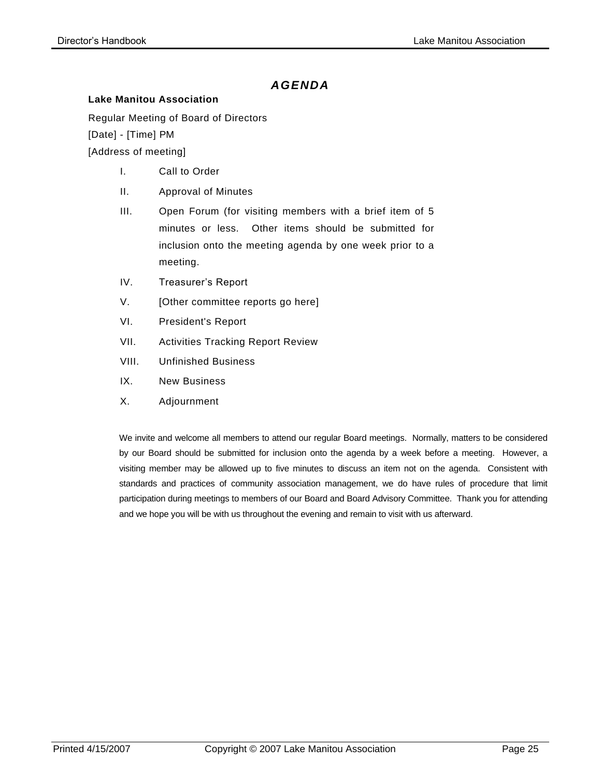#### *AGENDA*

#### **Lake Manitou Association**

Regular Meeting of Board of Directors

[Date] - [Time] PM

[Address of meeting]

- I. Call to Order
- II. Approval of Minutes
- III. Open Forum (for visiting members with a brief item of 5 minutes or less. Other items should be submitted for inclusion onto the meeting agenda by one week prior to a meeting.
- IV. Treasurer's Report
- V. [Other committee reports go here]
- VI. President's Report
- VII. Activities Tracking Report Review
- VIII. Unfinished Business
- IX. New Business
- X. Adjournment

We invite and welcome all members to attend our regular Board meetings. Normally, matters to be considered by our Board should be submitted for inclusion onto the agenda by a week before a meeting. However, a visiting member may be allowed up to five minutes to discuss an item not on the agenda. Consistent with standards and practices of community association management, we do have rules of procedure that limit participation during meetings to members of our Board and Board Advisory Committee. Thank you for attending and we hope you will be with us throughout the evening and remain to visit with us afterward.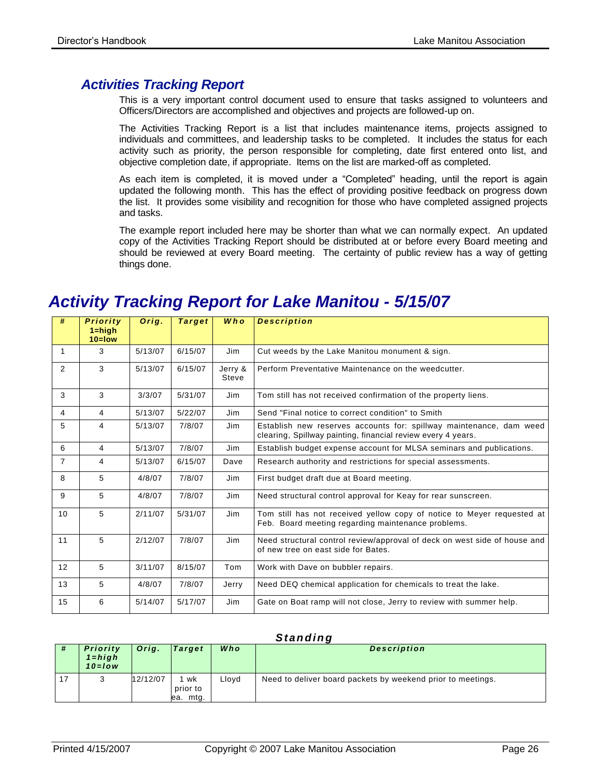### *Activities Tracking Report*

This is a very important control document used to ensure that tasks assigned to volunteers and Officers/Directors are accomplished and objectives and projects are followed-up on.

The Activities Tracking Report is a list that includes maintenance items, projects assigned to individuals and committees, and leadership tasks to be completed. It includes the status for each activity such as priority, the person responsible for completing, date first entered onto list, and objective completion date, if appropriate. Items on the list are marked-off as completed.

As each item is completed, it is moved under a "Completed" heading, until the report is again updated the following month. This has the effect of providing positive feedback on progress down the list. It provides some visibility and recognition for those who have completed assigned projects and tasks.

The example report included here may be shorter than what we can normally expect. An updated copy of the Activities Tracking Report should be distributed at or before every Board meeting and should be reviewed at every Board meeting. The certainty of public review has a way of getting things done.

# *Activity Tracking Report for Lake Manitou - 5/15/07*

| #              | <b>Priority</b><br>$1 = high$<br>$10 = 10w$ | Orig.   | <b>Target</b> | Who              | <b>Description</b>                                                                                                                  |
|----------------|---------------------------------------------|---------|---------------|------------------|-------------------------------------------------------------------------------------------------------------------------------------|
| 1              | 3                                           | 5/13/07 | 6/15/07       | Jim              | Cut weeds by the Lake Manitou monument & sign.                                                                                      |
| 2              | 3                                           | 5/13/07 | 6/15/07       | Jerry &<br>Steve | Perform Preventative Maintenance on the weedcutter.                                                                                 |
| 3              | 3                                           | 3/3/07  | 5/31/07       | Jim              | Tom still has not received confirmation of the property liens.                                                                      |
| 4              | $\overline{4}$                              | 5/13/07 | 5/22/07       | Jim              | Send "Final notice to correct condition" to Smith                                                                                   |
| 5              | 4                                           | 5/13/07 | 7/8/07        | Jim              | Establish new reserves accounts for: spillway maintenance, dam weed<br>clearing, Spillway painting, financial review every 4 years. |
| 6              | 4                                           | 5/13/07 | 7/8/07        | Jim              | Establish budget expense account for MLSA seminars and publications.                                                                |
| $\overline{7}$ | 4                                           | 5/13/07 | 6/15/07       | Dave             | Research authority and restrictions for special assessments.                                                                        |
| 8              | 5                                           | 4/8/07  | 7/8/07        | Jim              | First budget draft due at Board meeting.                                                                                            |
| 9              | 5                                           | 4/8/07  | 7/8/07        | Jim              | Need structural control approval for Keay for rear sunscreen.                                                                       |
| 10             | 5                                           | 2/11/07 | 5/31/07       | Jim              | Tom still has not received yellow copy of notice to Meyer requested at<br>Feb. Board meeting regarding maintenance problems.        |
| 11             | 5                                           | 2/12/07 | 7/8/07        | Jim              | Need structural control review/approval of deck on west side of house and<br>of new tree on east side for Bates.                    |
| 12             | 5                                           | 3/11/07 | 8/15/07       | Tom              | Work with Dave on bubbler repairs.                                                                                                  |
| 13             | 5                                           | 4/8/07  | 7/8/07        | Jerry            | Need DEQ chemical application for chemicals to treat the lake.                                                                      |
| 15             | 6                                           | 5/14/07 | 5/17/07       | Jim              | Gate on Boat ramp will not close, Jerry to review with summer help.                                                                 |

#### *Standing*

| # | <b>Priority</b><br>$1 = h$ igh<br>$10 = 10w$ | Orig.    | <b>Target</b>                | Who   | $\overline{\phantom{a}}$<br><b>Description</b>              |
|---|----------------------------------------------|----------|------------------------------|-------|-------------------------------------------------------------|
|   | رب                                           | 12/12/07 | 1 wk<br>prior to<br>ea. mtg. | Lloyd | Need to deliver board packets by weekend prior to meetings. |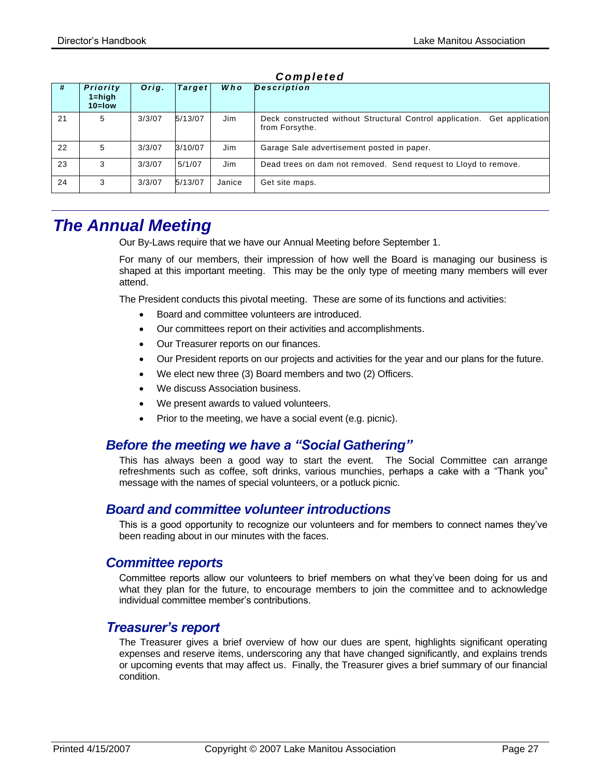| #  | Priority<br>$1 = high$<br>$10 = 10w$ | Orig.  | Target  | Who    | <b>Description</b>                                                                            |
|----|--------------------------------------|--------|---------|--------|-----------------------------------------------------------------------------------------------|
| 21 | 5                                    | 3/3/07 | 5/13/07 | Jim    | Deck constructed without Structural Control application.<br>Get application<br>from Forsythe. |
| 22 | 5                                    | 3/3/07 | 3/10/07 | Jim    | Garage Sale advertisement posted in paper.                                                    |
| 23 | 3                                    | 3/3/07 | 5/1/07  | Jim    | Dead trees on dam not removed. Send request to Lloyd to remove.                               |
| 24 | 3                                    | 3/3/07 | 5/13/07 | Janice | Get site maps.                                                                                |

#### *C o m p l e te d*

# *The Annual Meeting*

Our By-Laws require that we have our Annual Meeting before September 1.

For many of our members, their impression of how well the Board is managing our business is shaped at this important meeting. This may be the only type of meeting many members will ever attend.

The President conducts this pivotal meeting. These are some of its functions and activities:

- Board and committee volunteers are introduced.
- Our committees report on their activities and accomplishments.
- Our Treasurer reports on our finances.
- Our President reports on our projects and activities for the year and our plans for the future.
- We elect new three (3) Board members and two (2) Officers.
- We discuss Association business.
- We present awards to valued volunteers.
- Prior to the meeting, we have a social event (e.g. picnic).

#### **Before the meeting we have a "Social Gathering"**

This has always been a good way to start the event. The Social Committee can arrange refreshments such as coffee, soft drinks, various munchies, perhaps a cake with a "Thank you" message with the names of special volunteers, or a potluck picnic.

#### *Board and committee volunteer introductions*

This is a good opportunity to recognize our volunteers and for members to connect names they've been reading about in our minutes with the faces.

#### *Committee reports*

Committee reports allow our volunteers to brief members on what they've been doing for us and what they plan for the future, to encourage members to join the committee and to acknowledge individual committee member's contributions.

#### **Treasurer's report**

The Treasurer gives a brief overview of how our dues are spent, highlights significant operating expenses and reserve items, underscoring any that have changed significantly, and explains trends or upcoming events that may affect us. Finally, the Treasurer gives a brief summary of our financial condition.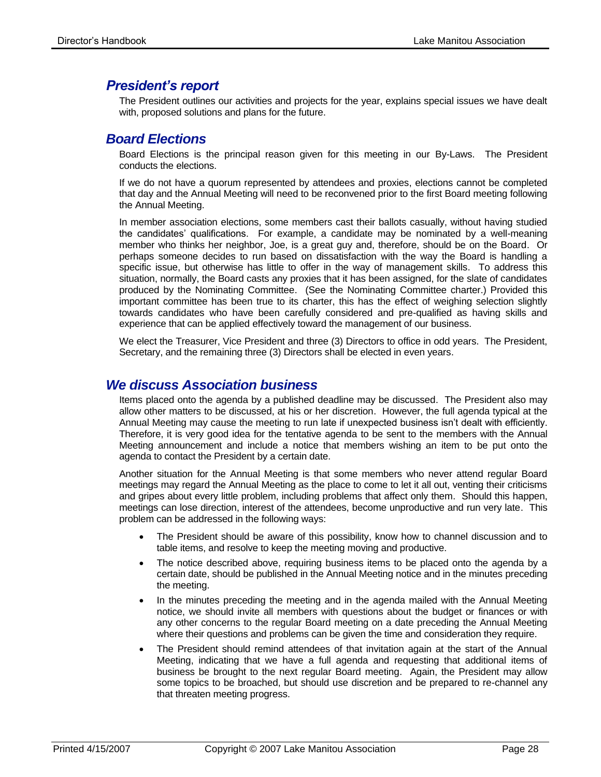#### **President's report**

The President outlines our activities and projects for the year, explains special issues we have dealt with, proposed solutions and plans for the future.

## *Board Elections*

Board Elections is the principal reason given for this meeting in our By-Laws. The President conducts the elections.

If we do not have a quorum represented by attendees and proxies, elections cannot be completed that day and the Annual Meeting will need to be reconvened prior to the first Board meeting following the Annual Meeting.

In member association elections, some members cast their ballots casually, without having studied the candidates' qualifications. For example, a candidate may be nominated by a well-meaning member who thinks her neighbor, Joe, is a great guy and, therefore, should be on the Board. Or perhaps someone decides to run based on dissatisfaction with the way the Board is handling a specific issue, but otherwise has little to offer in the way of management skills. To address this situation, normally, the Board casts any proxies that it has been assigned, for the slate of candidates produced by the Nominating Committee. (See the Nominating Committee charter.) Provided this important committee has been true to its charter, this has the effect of weighing selection slightly towards candidates who have been carefully considered and pre-qualified as having skills and experience that can be applied effectively toward the management of our business.

We elect the Treasurer, Vice President and three (3) Directors to office in odd years. The President, Secretary, and the remaining three (3) Directors shall be elected in even years.

#### *We discuss Association business*

Items placed onto the agenda by a published deadline may be discussed. The President also may allow other matters to be discussed, at his or her discretion. However, the full agenda typical at the Annual Meeting may cause the meeting to run late if unexpected business isn't dealt with efficiently. Therefore, it is very good idea for the tentative agenda to be sent to the members with the Annual Meeting announcement and include a notice that members wishing an item to be put onto the agenda to contact the President by a certain date.

Another situation for the Annual Meeting is that some members who never attend regular Board meetings may regard the Annual Meeting as the place to come to let it all out, venting their criticisms and gripes about every little problem, including problems that affect only them. Should this happen, meetings can lose direction, interest of the attendees, become unproductive and run very late. This problem can be addressed in the following ways:

- The President should be aware of this possibility, know how to channel discussion and to table items, and resolve to keep the meeting moving and productive.
- The notice described above, requiring business items to be placed onto the agenda by a certain date, should be published in the Annual Meeting notice and in the minutes preceding the meeting.
- In the minutes preceding the meeting and in the agenda mailed with the Annual Meeting notice, we should invite all members with questions about the budget or finances or with any other concerns to the regular Board meeting on a date preceding the Annual Meeting where their questions and problems can be given the time and consideration they require.
- The President should remind attendees of that invitation again at the start of the Annual Meeting, indicating that we have a full agenda and requesting that additional items of business be brought to the next regular Board meeting. Again, the President may allow some topics to be broached, but should use discretion and be prepared to re-channel any that threaten meeting progress.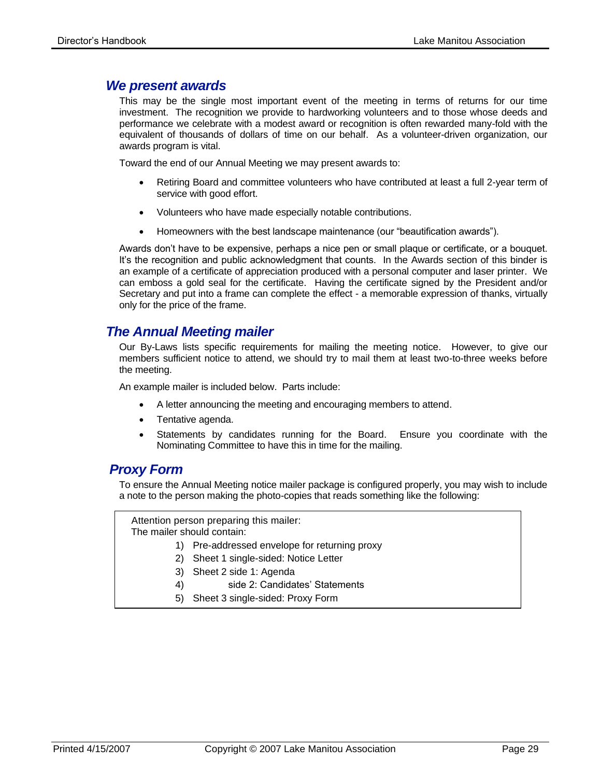#### *We present awards*

This may be the single most important event of the meeting in terms of returns for our time investment. The recognition we provide to hardworking volunteers and to those whose deeds and performance we celebrate with a modest award or recognition is often rewarded many-fold with the equivalent of thousands of dollars of time on our behalf. As a volunteer-driven organization, our awards program is vital.

Toward the end of our Annual Meeting we may present awards to:

- Retiring Board and committee volunteers who have contributed at least a full 2-year term of service with good effort.
- Volunteers who have made especially notable contributions.
- Homeowners with the best landscape maintenance (our "beautification awards").

Awards don't have to be expensive, perhaps a nice pen or small plaque or certificate, or a bouquet. It's the recognition and public acknowledgment that counts. In the Awards section of this binder is an example of a certificate of appreciation produced with a personal computer and laser printer. We can emboss a gold seal for the certificate. Having the certificate signed by the President and/or Secretary and put into a frame can complete the effect - a memorable expression of thanks, virtually only for the price of the frame.

#### *The Annual Meeting mailer*

Our By-Laws lists specific requirements for mailing the meeting notice. However, to give our members sufficient notice to attend, we should try to mail them at least two-to-three weeks before the meeting.

An example mailer is included below. Parts include:

- A letter announcing the meeting and encouraging members to attend.
- Tentative agenda.
- Statements by candidates running for the Board. Ensure you coordinate with the Nominating Committee to have this in time for the mailing.

#### *Proxy Form*

To ensure the Annual Meeting notice mailer package is configured properly, you may wish to include a note to the person making the photo-copies that reads something like the following:

Attention person preparing this mailer:

The mailer should contain:

- 1) Pre-addressed envelope for returning proxy
- 2) Sheet 1 single-sided: Notice Letter
- 3) Sheet 2 side 1: Agenda
- 4) side2:Candidates'Statements
- 5) Sheet 3 single-sided: Proxy Form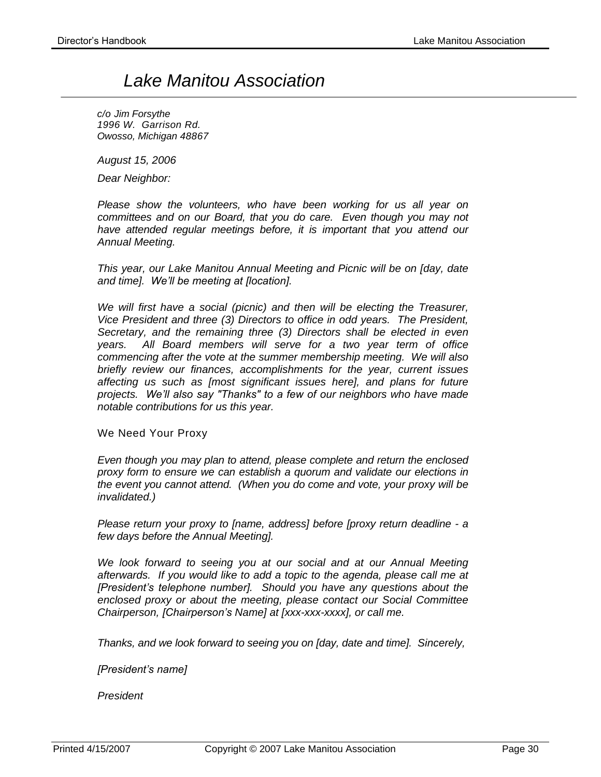# *Lake Manitou Association*

*c/o Jim Forsythe 1996 W. Garrison Rd. Owosso, Michigan 48867*

*August 15, 2006*

*Dear Neighbor:*

*Please show the volunteers, who have been working for us all year on committees and on our Board, that you do care. Even though you may not have attended regular meetings before, it is important that you attend our Annual Meeting.*

*This year, our Lake Manitou Annual Meeting and Picnic will be on [day, date* and time]. We'll be meeting at *[location]*.

*We will first have a social (picnic) and then will be electing the Treasurer, Vice President and three (3) Directors to office in odd years. The President, Secretary, and the remaining three (3) Directors shall be elected in even years. All Board members will serve for a two year term of office commencing after the vote at the summer membership meeting. We will also briefly review our finances, accomplishments for the year, current issues affecting us such as [most significant issues here], and plans for future projects. We'llalsosay"Thanks"toafewofourneighbors who have made notable contributions for us this year.*

We Need Your Proxy

*Even though you may plan to attend, please complete and return the enclosed proxy form to ensure we can establish a quorum and validate our elections in the event you cannot attend. (When you do come and vote, your proxy will be invalidated.)*

*Please return your proxy to [name, address] before [proxy return deadline - a few days before the Annual Meeting].*

*We look forward to seeing you at our social and at our Annual Meeting afterwards. If you would like to add a topic to the agenda, please call me at [President's telephone number]. Should you have any questions about the enclosed proxy or about the meeting, please contact our Social Committee Chairperson, [Chairperson'sName] at [xxx-xxx-xxxx], or call me.*

*Thanks, and we look forward to seeing you on [day, date and time]. Sincerely,*

*[President'sname]*

*President*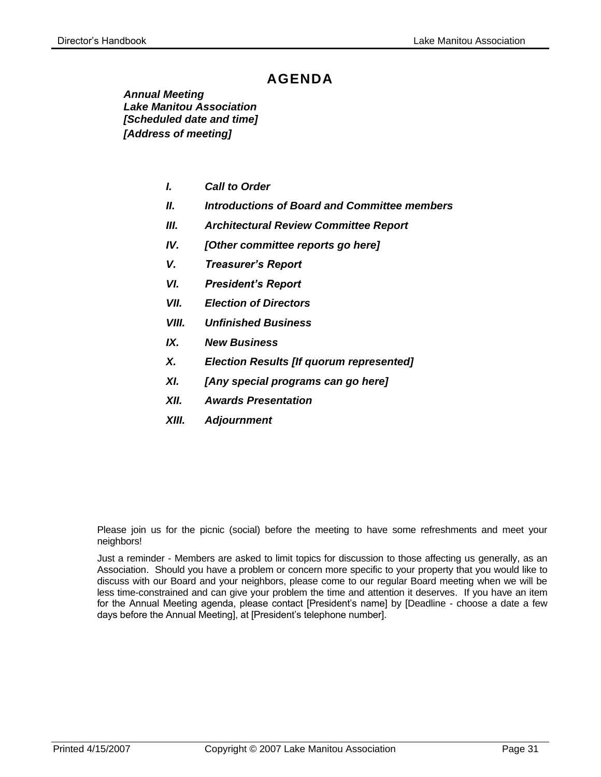## **AGENDA**

*Annual Meeting Lake Manitou Association [Scheduled date and time] [Address of meeting]*

- *I. Call to Order*
- *II. Introductions of Board and Committee members*
- *III. Architectural Review Committee Report*
- *IV. [Other committee reports go here]*
- *V. Treasurer's Report*
- **VI.** President's Report
- *VII. Election of Directors*
- *VIII. Unfinished Business*
- *IX. New Business*
- *X. Election Results [If quorum represented]*
- *XI. [Any special programs can go here]*
- *XII. Awards Presentation*
- *XIII. Adjournment*

Please join us for the picnic (social) before the meeting to have some refreshments and meet your neighbors!

Just a reminder - Members are asked to limit topics for discussion to those affecting us generally, as an Association. Should you have a problem or concern more specific to your property that you would like to discuss with our Board and your neighbors, please come to our regular Board meeting when we will be less time-constrained and can give your problem the time and attention it deserves. If you have an item for the Annual Meeting agenda, please contact [President's name] by [Deadline - choose a date a few days before the Annual Meeting], at [President's telephone number].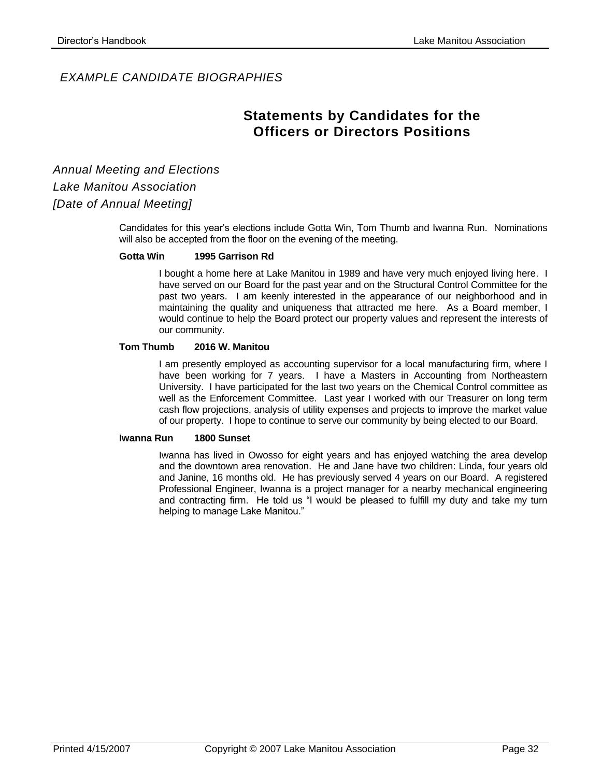#### *EXAMPLE CANDIDATE BIOGRAPHIES*

## **Statements by Candidates for the Officers or Directors Positions**

## *Annual Meeting and Elections Lake Manitou Association [Date of Annual Meeting]*

Candidates for this year's elections include Gotta Win, Tom Thumb and Iwanna Run. Nominations will also be accepted from the floor on the evening of the meeting.

#### **Gotta Win 1995 Garrison Rd**

I bought a home here at Lake Manitou in 1989 and have very much enjoyed living here. I have served on our Board for the past year and on the Structural Control Committee for the past two years. I am keenly interested in the appearance of our neighborhood and in maintaining the quality and uniqueness that attracted me here. As a Board member, I would continue to help the Board protect our property values and represent the interests of our community.

#### **Tom Thumb 2016 W. Manitou**

I am presently employed as accounting supervisor for a local manufacturing firm, where I have been working for 7 years. I have a Masters in Accounting from Northeastern University. I have participated for the last two years on the Chemical Control committee as well as the Enforcement Committee. Last year I worked with our Treasurer on long term cash flow projections, analysis of utility expenses and projects to improve the market value of our property. I hope to continue to serve our community by being elected to our Board.

#### **Iwanna Run 1800 Sunset**

Iwanna has lived in Owosso for eight years and has enjoyed watching the area develop and the downtown area renovation. He and Jane have two children: Linda, four years old and Janine, 16 months old. He has previously served 4 years on our Board. A registered Professional Engineer, Iwanna is a project manager for a nearby mechanical engineering and contracting firm. He told us "I would be pleased to fulfill my duty and take my turn helping to manage Lake Manitou."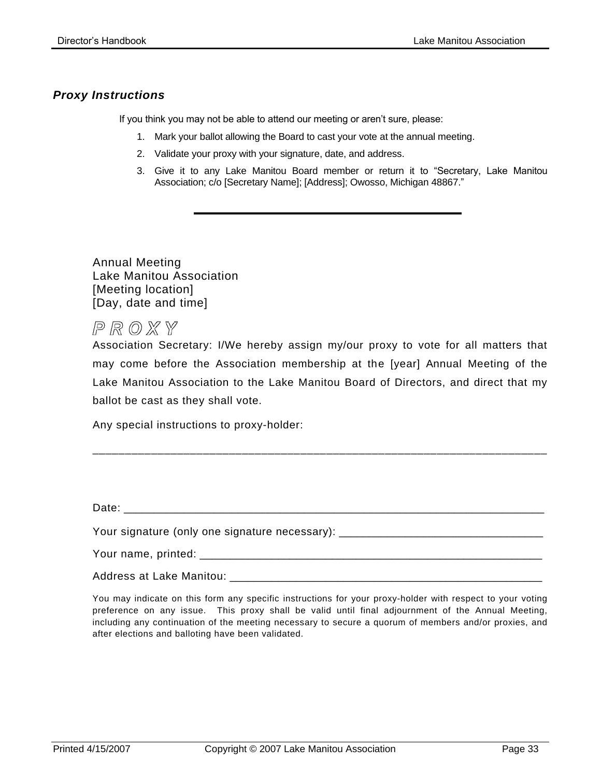#### *Proxy Instructions*

If you think you may not be able to attend our meeting or aren't sure, please:

- 1. Mark your ballot allowing the Board to cast your vote at the annual meeting.
- 2. Validate your proxy with your signature, date, and address.
- 3. Give it to any Lake Manitou Board member or return it to "Secretary, Lake Manitou Association; c/o [Secretary Name]; [Address]; Owosso, Michigan 48867."

Annual Meeting Lake Manitou Association [Meeting location] [Day, date and time]

# $P$ ROXY

Association Secretary: I/We hereby assign my/our proxy to vote for all matters that may come before the Association membership at the [year] Annual Meeting of the Lake Manitou Association to the Lake Manitou Board of Directors, and direct that my ballot be cast as they shall vote.

Any special instructions to proxy-holder:

| Date:                                                                            |  |
|----------------------------------------------------------------------------------|--|
| Your signature (only one signature necessary): _________________________________ |  |
| Your name, printed: __                                                           |  |

\_\_\_\_\_\_\_\_\_\_\_\_\_\_\_\_\_\_\_\_\_\_\_\_\_\_\_\_\_\_\_\_\_\_\_\_\_\_\_\_\_\_\_\_\_\_\_\_\_\_\_\_\_\_\_\_\_\_\_\_\_\_\_\_\_\_\_\_\_\_

Address at Lake Manitou: \_\_\_\_

You may indicate on this form any specific instructions for your proxy-holder with respect to your voting preference on any issue. This proxy shall be valid until final adjournment of the Annual Meeting, including any continuation of the meeting necessary to secure a quorum of members and/or proxies, and after elections and balloting have been validated.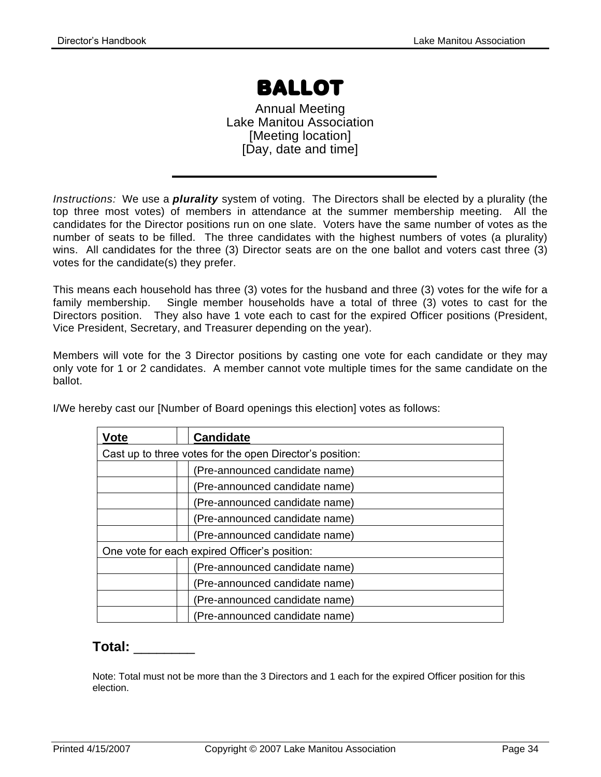# Ballot

Annual Meeting Lake Manitou Association [Meeting location] [Day, date and time]

*Instructions:* We use a *plurality* system of voting. The Directors shall be elected by a plurality (the top three most votes) of members in attendance at the summer membership meeting. All the candidates for the Director positions run on one slate. Voters have the same number of votes as the number of seats to be filled. The three candidates with the highest numbers of votes (a plurality) wins. All candidates for the three (3) Director seats are on the one ballot and voters cast three (3) votes for the candidate(s) they prefer.

This means each household has three (3) votes for the husband and three (3) votes for the wife for a family membership. Single member households have a total of three (3) votes to cast for the Directors position. They also have 1 vote each to cast for the expired Officer positions (President, Vice President, Secretary, and Treasurer depending on the year).

Members will vote for the 3 Director positions by casting one vote for each candidate or they may only vote for 1 or 2 candidates. A member cannot vote multiple times for the same candidate on the ballot.

I/We hereby cast our [Number of Board openings this election] votes as follows:

| <b>Vote</b> | <b>Candidate</b>                                         |
|-------------|----------------------------------------------------------|
|             | Cast up to three votes for the open Director's position: |
|             | (Pre-announced candidate name)                           |
|             | (Pre-announced candidate name)                           |
|             | (Pre-announced candidate name)                           |
|             | (Pre-announced candidate name)                           |
|             | (Pre-announced candidate name)                           |
|             | One vote for each expired Officer's position:            |
|             | (Pre-announced candidate name)                           |
|             | (Pre-announced candidate name)                           |
|             | (Pre-announced candidate name)                           |
|             | (Pre-announced candidate name)                           |

#### **Total:** \_\_\_\_\_\_\_\_

Note: Total must not be more than the 3 Directors and 1 each for the expired Officer position for this election.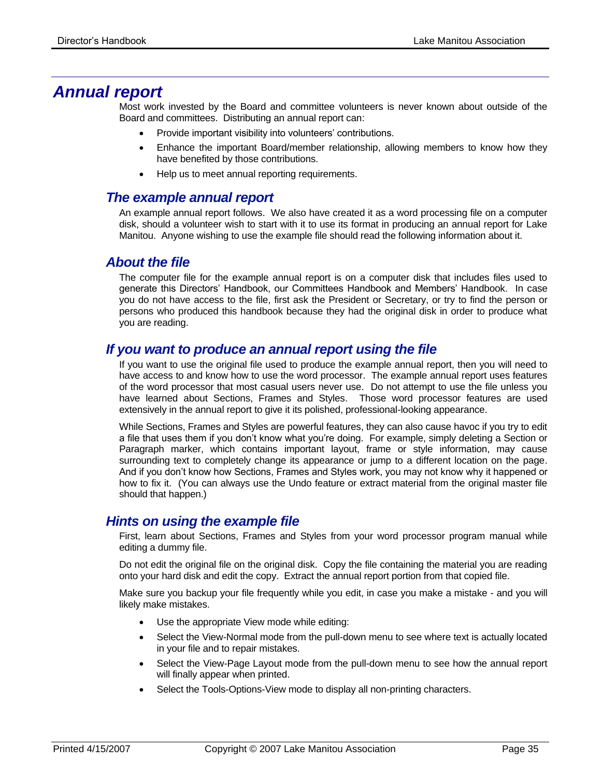# *Annual report*

Most work invested by the Board and committee volunteers is never known about outside of the Board and committees. Distributing an annual report can:

- Provide important visibility into volunteers' contributions.
- Enhance the important Board/member relationship, allowing members to know how they have benefited by those contributions.
- Help us to meet annual reporting requirements.

#### *The example annual report*

An example annual report follows. We also have created it as a word processing file on a computer disk, should a volunteer wish to start with it to use its format in producing an annual report for Lake Manitou. Anyone wishing to use the example file should read the following information about it.

#### *About the file*

The computer file for the example annual report is on a computer disk that includes files used to generate this Directors' Handbook, our Committees Handbook and Members' Handbook. In case you do not have access to the file, first ask the President or Secretary, or try to find the person or persons who produced this handbook because they had the original disk in order to produce what you are reading.

#### *If you want to produce an annual report using the file*

If you want to use the original file used to produce the example annual report, then you will need to have access to and know how to use the word processor. The example annual report uses features of the word processor that most casual users never use. Do not attempt to use the file unless you have learned about Sections, Frames and Styles. Those word processor features are used extensively in the annual report to give it its polished, professional-looking appearance.

While Sections, Frames and Styles are powerful features, they can also cause havoc if you try to edit a file that uses them if you don't know what you're doing. For example, simply deleting a Section or Paragraph marker, which contains important layout, frame or style information, may cause surrounding text to completely change its appearance or jump to a different location on the page. And if you don't know how Sections, Frames and Styles work, you may not know why it happened or how to fix it. (You can always use the Undo feature or extract material from the original master file should that happen.)

#### *Hints on using the example file*

First, learn about Sections, Frames and Styles from your word processor program manual while editing a dummy file.

Do not edit the original file on the original disk. Copy the file containing the material you are reading onto your hard disk and edit the copy. Extract the annual report portion from that copied file.

Make sure you backup your file frequently while you edit, in case you make a mistake - and you will likely make mistakes.

- Use the appropriate View mode while editing:
- Select the View-Normal mode from the pull-down menu to see where text is actually located in your file and to repair mistakes.
- Select the View-Page Layout mode from the pull-down menu to see how the annual report will finally appear when printed.
- Select the Tools-Options-View mode to display all non-printing characters.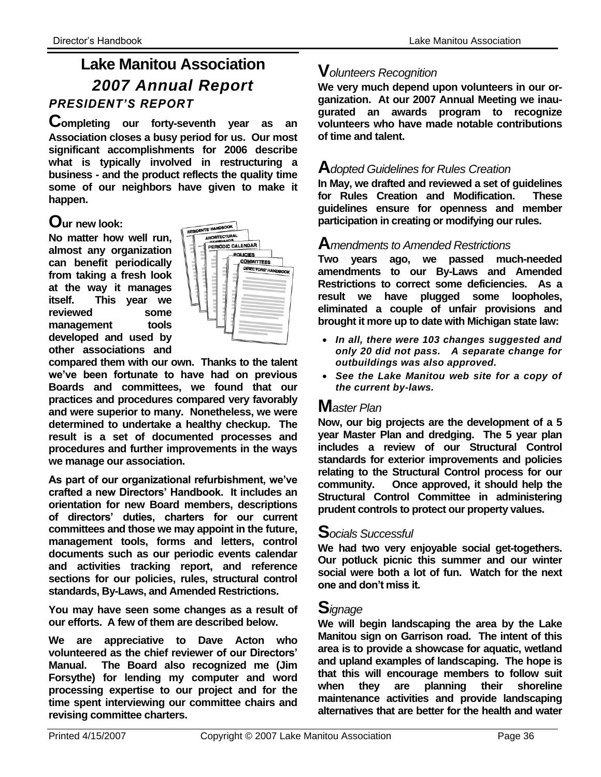# **Lake Manitou Association** *2007 Annual Report* **PRESIDENT'S REPORT**

**Completing our forty-seventh year as an Association closes a busy period for us. Our most significant accomplishments for 2006 describe what is typically involved in restructuring a business - and the product reflects the quality time some of our neighbors have given to make it happen.**

## **Our new look:**

**No matter how well run, almost any organization can benefit periodically from taking a fresh look at the way it manages itself. This year we reviewed some management tools developed and used by other associations and**



**compared them with our own. Thanks to the talent we've been fortunate to have had on previous Boards and committees, we found that our practices and procedures compared very favorably and were superior to many. Nonetheless, we were determined to undertake a healthy checkup. The result is a set of documented processes and procedures and further improvements in the ways we manage our association.**

As part of our organizational refurbishment, we've **craftedanewDirectors'Handbook. It includes an orientation for new Board members, descriptions of directors'duties,charters for our current committees and those we may appoint in the future, management tools, forms and letters, control documents such as our periodic events calendar and activities tracking report, and reference sections for our policies, rules, structural control standards, By-Laws, and Amended Restrictions.**

**You may have seen some changes as a result of our efforts. A few of them are described below.**

**We are appreciative to Dave Acton who volunteered as the chief reviewer of our Directors' Manual. The Board also recognized me (Jim Forsythe) for lending my computer and word processing expertise to our project and for the time spent interviewing our committee chairs and revising committee charters.**

## **V***olunteers Recognition*

**We very much depend upon volunteers in our organization. At our 2007 Annual Meeting we inaugurated an awards program to recognize volunteers who have made notable contributions of time and talent.**

## **A***dopted Guidelines for Rules Creation*

**In May, we drafted and reviewed a set of guidelines for Rules Creation and Modification. These guidelines ensure for openness and member participation in creating or modifying our rules.**

#### **A***mendments to Amended Restrictions*

**Two years ago, we passed much-needed amendments to our By-Laws and Amended Restrictions to correct some deficiencies. As a result we have plugged some loopholes, eliminated a couple of unfair provisions and brought it more up to date with Michigan state law:**

- *In all, there were 103 changes suggested and only 20 did not pass. A separate change for outbuildings was also approved.*
- *See the Lake Manitou web site for a copy of the current by-laws.*

#### **M***aster Plan*

**Now, our big projects are the development of a 5 year Master Plan and dredging. The 5 year plan includes a review of our Structural Control standards for exterior improvements and policies relating to the Structural Control process for our community. Once approved, it should help the Structural Control Committee in administering prudent controls to protect our property values.**

## **S***ocials Successful*

**We had two very enjoyable social get-togethers. Our potluck picnic this summer and our winter social were both a lot of fun. Watch for the next oneanddon'tmissit.**

## **S***ignage*

**We will begin landscaping the area by the Lake Manitou sign on Garrison road. The intent of this area is to provide a showcase for aquatic, wetland and upland examples of landscaping. The hope is that this will encourage members to follow suit when they are planning their shoreline maintenance activities and provide landscaping alternatives that are better for the health and water**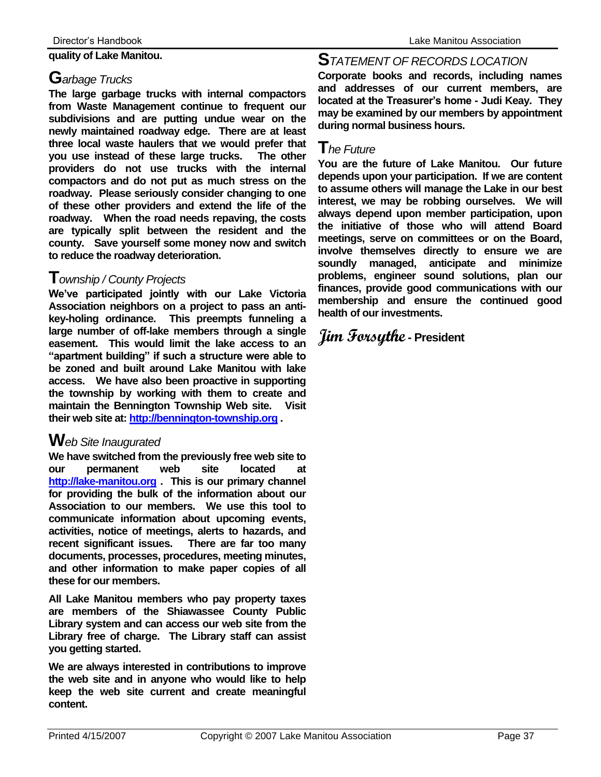#### **G***arbage Trucks*

**The large garbage trucks with internal compactors from Waste Management continue to frequent our subdivisions and are putting undue wear on the newly maintained roadway edge. There are at least three local waste haulers that we would prefer that you use instead of these large trucks. The other providers do not use trucks with the internal compactors and do not put as much stress on the roadway. Please seriously consider changing to one of these other providers and extend the life of the roadway. When the road needs repaving, the costs are typically split between the resident and the county. Save yourself some money now and switch to reduce the roadway deterioration.**

#### **T***ownship / County Projects*

**We've participated jointly with ourLake Victoria Association neighbors on a project to pass an antikey-holing ordinance. This preempts funneling a large number of off-lake members through a single easement. This would limit the lake access to an** "apartment building" if such a structure were able to **be zoned and built around Lake Manitou with lake access. We have also been proactive in supporting the township by working with them to create and maintain the Bennington Township Web site. Visit their web site at: http://bennington-township.org .**

## **W***eb Site Inaugurated*

**We have switched from the previously free web site to our permanent web site located at http://lake-manitou.org . This is our primary channel for providing the bulk of the information about our Association to our members. We use this tool to communicate information about upcoming events, activities, notice of meetings, alerts to hazards, and recent significant issues. There are far too many documents, processes, procedures, meeting minutes, and other information to make paper copies of all these for our members.**

**All Lake Manitou members who pay property taxes are members of the Shiawassee County Public Library system and can access our web site from the Library free of charge. The Library staff can assist you getting started.**

**We are always interested in contributions to improve the web site and in anyone who would like to help keep the web site current and create meaningful content.**

## **S***TATEMENT OF RECORDS LOCATION*

**Corporate books and records, including names and addresses of our current members, are located attheTreasurer'shome- Judi Keay. They may be examined by our members by appointment during normal business hours.**

#### **T***he Future*

**You are the future of Lake Manitou. Our future depends upon your participation. If we are content to assume others will manage the Lake in our best interest, we may be robbing ourselves. We will always depend upon member participation, upon the initiative of those who will attend Board meetings, serve on committees or on the Board, involve themselves directly to ensure we are soundly managed, anticipate and minimize problems, engineer sound solutions, plan our finances, provide good communications with our membership and ensure the continued good health of our investments.**

# **Jim Forsythe- President**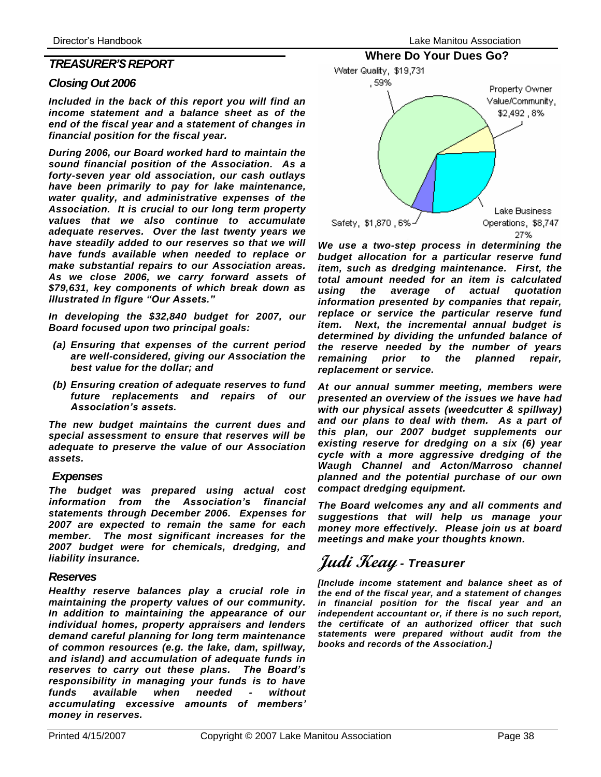#### *TREASURER'SREPORT*

#### *Closing Out 2006*

*Included in the back of this report you will find an income statement and a balance sheet as of the end of the fiscal year and a statement of changes in financial position for the fiscal year.*

*During 2006, our Board worked hard to maintain the sound financial position of the Association. As a forty-seven year old association, our cash outlays have been primarily to pay for lake maintenance, water quality, and administrative expenses of the Association. It is crucial to our long term property values that we also continue to accumulate adequate reserves. Over the last twenty years we have steadily added to our reserves so that we will have funds available when needed to replace or make substantial repairs to our Association areas. As we close 2006, we carry forward assets of \$79,631, key components of which break down as illustrated in figure "Our Assets."* 

*In developing the \$32,840 budget for 2007, our Board focused upon two principal goals:*

- *(a) Ensuring that expenses of the current period are well-considered, giving our Association the best value for the dollar; and*
- *(b) Ensuring creation of adequate reserves to fund future replacements and repairs of our* Association's assets.

*The new budget maintains the current dues and special assessment to ensure that reserves will be adequate to preserve the value of our Association assets.*

#### *Expenses*

*The budget was prepared using actual cost information from the Association's financial statements through December 2006. Expenses for 2007 are expected to remain the same for each member. The most significant increases for the 2007 budget were for chemicals, dredging, and liability insurance.*

#### *Reserves*

*Healthy reserve balances play a crucial role in maintaining the property values of our community. In addition to maintaining the appearance of our individual homes, property appraisers and lenders demand careful planning for long term maintenance of common resources (e.g. the lake, dam, spillway, and island) and accumulation of adequate funds in reserves to carry out these plans. The Board's responsibility in managing your funds is to have funds available when needed - without accumulating excessive amounts of members' money in reserves.*



*We use a two-step process in determining the budget allocation for a particular reserve fund item, such as dredging maintenance. First, the total amount needed for an item is calculated using the average of actual quotation information presented by companies that repair, replace or service the particular reserve fund item. Next, the incremental annual budget is determined by dividing the unfunded balance of the reserve needed by the number of years remaining prior to the planned repair, replacement or service.*

*At our annual summer meeting, members were presented an overview of the issues we have had with our physical assets (weedcutter & spillway) and our plans to deal with them. As a part of this plan, our 2007 budget supplements our existing reserve for dredging on a six (6) year cycle with a more aggressive dredging of the Waugh Channel and Acton/Marroso channel planned and the potential purchase of our own compact dredging equipment.*

*The Board welcomes any and all comments and suggestions that will help us manage your money more effectively. Please join us at board meetings and make your thoughts known.*

# *Judi Keay - Treasurer*

*[Include income statement and balance sheet as of the end of the fiscal year, and a statement of changes in financial position for the fiscal year and an independent accountant or, if there is no such report, the certificate of an authorized officer that such statements were prepared without audit from the books and records of the Association.]*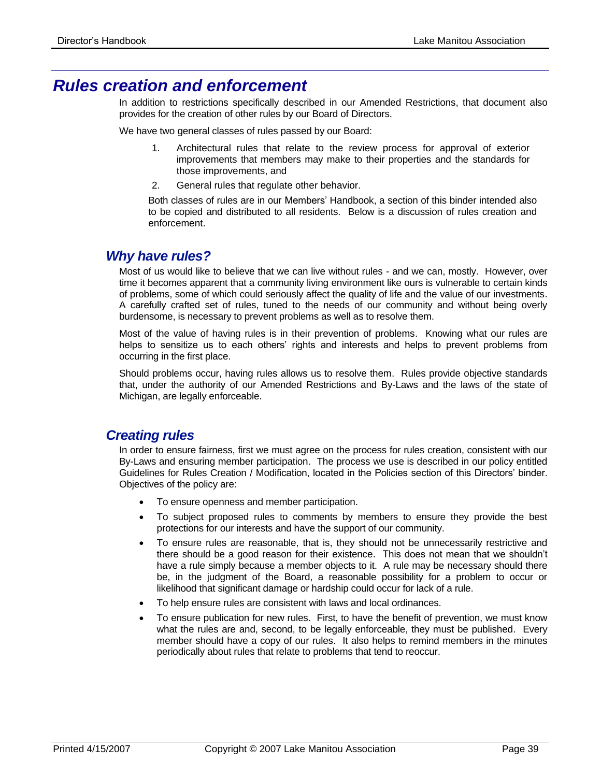# *Rules creation and enforcement*

In addition to restrictions specifically described in our Amended Restrictions, that document also provides for the creation of other rules by our Board of Directors.

We have two general classes of rules passed by our Board:

- 1. Architectural rules that relate to the review process for approval of exterior improvements that members may make to their properties and the standards for those improvements, and
- 2. General rules that regulate other behavior.

Both classes of rules are in our Members' Handbook, a section of this binder intended also to be copied and distributed to all residents. Below is a discussion of rules creation and enforcement.

#### *Why have rules?*

Most of us would like to believe that we can live without rules - and we can, mostly. However, over time it becomes apparent that a community living environment like ours is vulnerable to certain kinds of problems, some of which could seriously affect the quality of life and the value of our investments. A carefully crafted set of rules, tuned to the needs of our community and without being overly burdensome, is necessary to prevent problems as well as to resolve them.

Most of the value of having rules is in their prevention of problems. Knowing what our rules are helps to sensitize us to each others' rights and interests and helps to prevent problems from occurring in the first place.

Should problems occur, having rules allows us to resolve them. Rules provide objective standards that, under the authority of our Amended Restrictions and By-Laws and the laws of the state of Michigan, are legally enforceable.

#### *Creating rules*

In order to ensure fairness, first we must agree on the process for rules creation, consistent with our By-Laws and ensuring member participation. The process we use is described in our policy entitled Guidelines for Rules Creation / Modification, located in the Policies section of this Directors' binder. Objectives of the policy are:

- To ensure openness and member participation.
- To subject proposed rules to comments by members to ensure they provide the best protections for our interests and have the support of our community.
- To ensure rules are reasonable, that is, they should not be unnecessarily restrictive and there should be a good reason for their existence. This does not mean that we shouldn't have a rule simply because a member objects to it. A rule may be necessary should there be, in the judgment of the Board, a reasonable possibility for a problem to occur or likelihood that significant damage or hardship could occur for lack of a rule.
- To help ensure rules are consistent with laws and local ordinances.
- To ensure publication for new rules. First, to have the benefit of prevention, we must know what the rules are and, second, to be legally enforceable, they must be published. Every member should have a copy of our rules. It also helps to remind members in the minutes periodically about rules that relate to problems that tend to reoccur.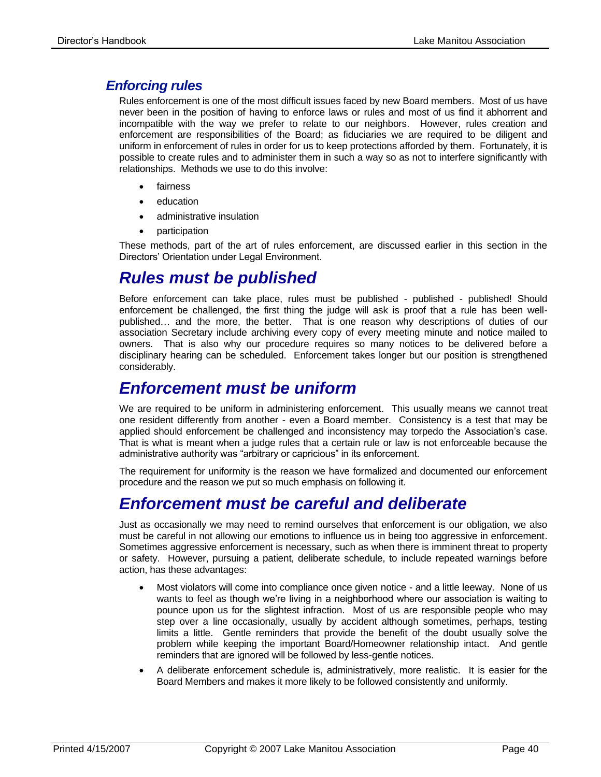#### *Enforcing rules*

Rules enforcement is one of the most difficult issues faced by new Board members. Most of us have never been in the position of having to enforce laws or rules and most of us find it abhorrent and incompatible with the way we prefer to relate to our neighbors. However, rules creation and enforcement are responsibilities of the Board; as fiduciaries we are required to be diligent and uniform in enforcement of rules in order for us to keep protections afforded by them. Fortunately, it is possible to create rules and to administer them in such a way so as not to interfere significantly with relationships. Methods we use to do this involve:

- fairness
- education
- administrative insulation
- participation

These methods, part of the art of rules enforcement, are discussed earlier in this section in the Directors' Orientation under Legal Environment.

# *Rules must be published*

Before enforcement can take place, rules must be published - published - published! Should enforcement be challenged, the first thing the judge will ask is proof that a rule has been wellpublished… and the more, the better. That is one reason why descriptions of duties of our association Secretary include archiving every copy of every meeting minute and notice mailed to owners. That is also why our procedure requires so many notices to be delivered before a disciplinary hearing can be scheduled. Enforcement takes longer but our position is strengthened considerably.

# *Enforcement must be uniform*

We are required to be uniform in administering enforcement. This usually means we cannot treat one resident differently from another - even a Board member. Consistency is a test that may be applied should enforcement be challenged and inconsistency may torpedo the Association's case. That is what is meant when a judge rules that a certain rule or law is not enforceable because the administrative authority was "arbitrary or capricious" in its enforcement.

The requirement for uniformity is the reason we have formalized and documented our enforcement procedure and the reason we put so much emphasis on following it.

# *Enforcement must be careful and deliberate*

Just as occasionally we may need to remind ourselves that enforcement is our obligation, we also must be careful in not allowing our emotions to influence us in being too aggressive in enforcement. Sometimes aggressive enforcement is necessary, such as when there is imminent threat to property or safety. However, pursuing a patient, deliberate schedule, to include repeated warnings before action, has these advantages:

- Most violators will come into compliance once given notice and a little leeway. None of us wants to feel as though we're living in a neighborhood where our association is waiting to pounce upon us for the slightest infraction. Most of us are responsible people who may step over a line occasionally, usually by accident although sometimes, perhaps, testing limits a little. Gentle reminders that provide the benefit of the doubt usually solve the problem while keeping the important Board/Homeowner relationship intact. And gentle reminders that are ignored will be followed by less-gentle notices.
- A deliberate enforcement schedule is, administratively, more realistic. It is easier for the Board Members and makes it more likely to be followed consistently and uniformly.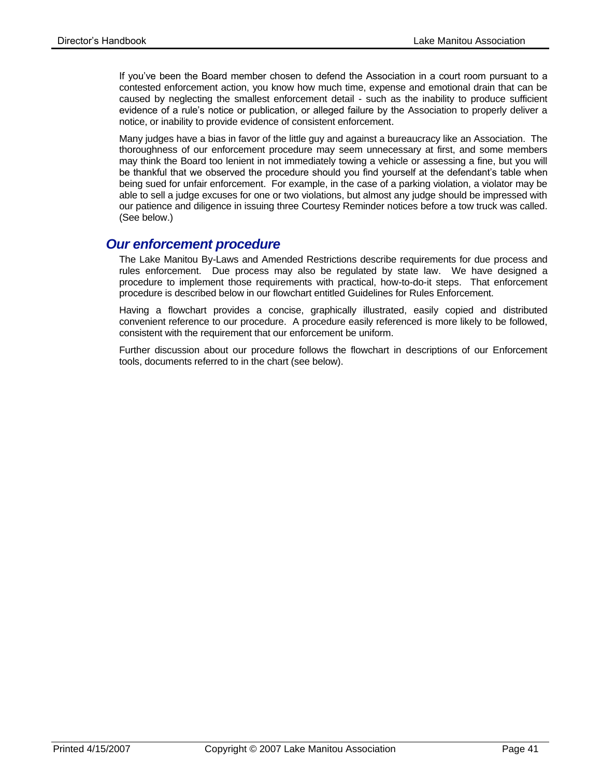If you've been the Board member chosen to defend the Association in a court room pursuant to a contested enforcement action, you know how much time, expense and emotional drain that can be caused by neglecting the smallest enforcement detail - such as the inability to produce sufficient evidence of a rule's notice or publication, or alleged failure by the Association to properly deliver a notice, or inability to provide evidence of consistent enforcement.

Many judges have a bias in favor of the little guy and against a bureaucracy like an Association. The thoroughness of our enforcement procedure may seem unnecessary at first, and some members may think the Board too lenient in not immediately towing a vehicle or assessing a fine, but you will be thankful that we observed the procedure should you find yourself at the defendant's table when being sued for unfair enforcement. For example, in the case of a parking violation, a violator may be able to sell a judge excuses for one or two violations, but almost any judge should be impressed with our patience and diligence in issuing three Courtesy Reminder notices before a tow truck was called. (See below.)

#### *Our enforcement procedure*

The Lake Manitou By-Laws and Amended Restrictions describe requirements for due process and rules enforcement. Due process may also be regulated by state law. We have designed a procedure to implement those requirements with practical, how-to-do-it steps. That enforcement procedure is described below in our flowchart entitled Guidelines for Rules Enforcement.

Having a flowchart provides a concise, graphically illustrated, easily copied and distributed convenient reference to our procedure. A procedure easily referenced is more likely to be followed, consistent with the requirement that our enforcement be uniform.

Further discussion about our procedure follows the flowchart in descriptions of our Enforcement tools, documents referred to in the chart (see below).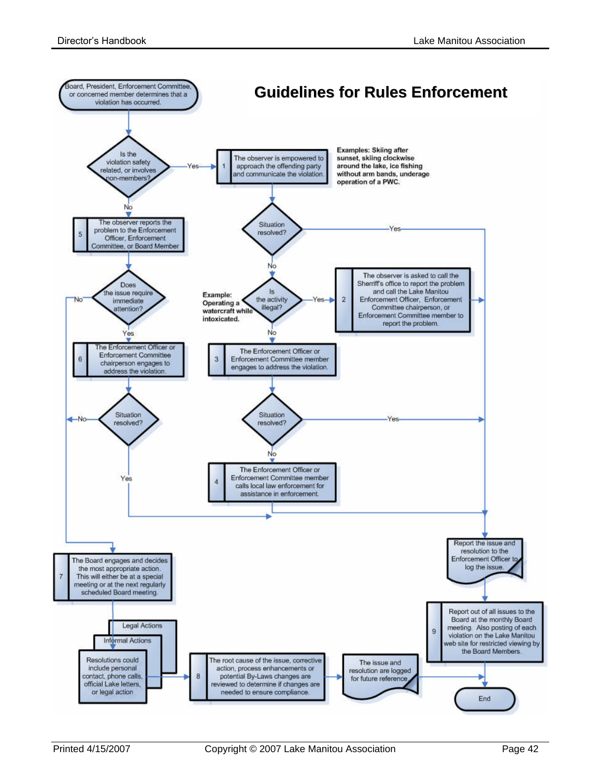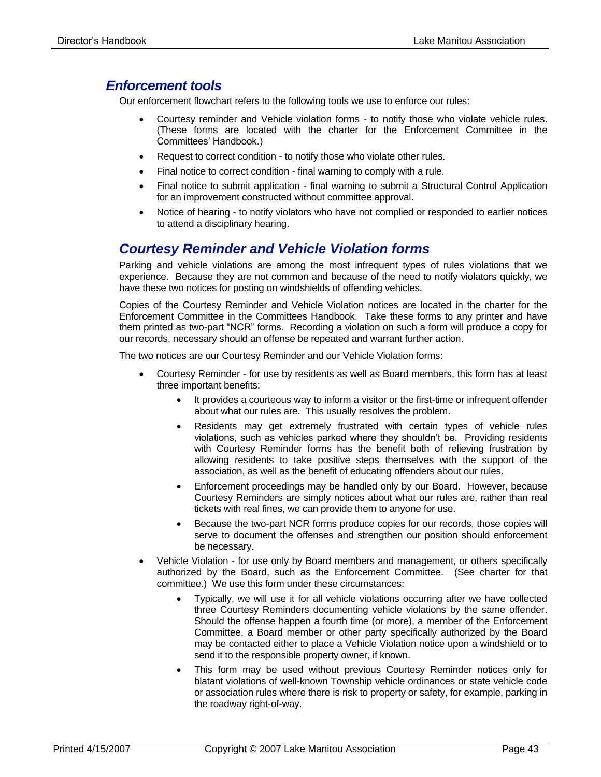#### *Enforcement tools*

Our enforcement flowchart refers to the following tools we use to enforce our rules:

- Courtesy reminder and Vehicle violation forms to notify those who violate vehicle rules. (These forms are located with the charter for the Enforcement Committee in the Committees' Handbook.)
- Request to correct condition to notify those who violate other rules.
- Final notice to correct condition final warning to comply with a rule.
- Final notice to submit application final warning to submit a Structural Control Application for an improvement constructed without committee approval.
- Notice of hearing to notify violators who have not complied or responded to earlier notices to attend a disciplinary hearing.

## *Courtesy Reminder and Vehicle Violation forms*

Parking and vehicle violations are among the most infrequent types of rules violations that we experience. Because they are not common and because of the need to notify violators quickly, we have these two notices for posting on windshields of offending vehicles.

Copies of the Courtesy Reminder and Vehicle Violation notices are located in the charter for the Enforcement Committee in the Committees Handbook. Take these forms to any printer and have them printed as two-part "NCR" forms. Recording a violation on such a form will produce a copy for our records, necessary should an offense be repeated and warrant further action.

The two notices are our Courtesy Reminder and our Vehicle Violation forms:

- Courtesy Reminder for use by residents as well as Board members, this form has at least three important benefits:
	- It provides a courteous way to inform a visitor or the first-time or infrequent offender about what our rules are. This usually resolves the problem.
	- Residents may get extremely frustrated with certain types of vehicle rules violations, such as vehicles parked where they shouldn't be. Providing residents with Courtesy Reminder forms has the benefit both of relieving frustration by allowing residents to take positive steps themselves with the support of the association, as well as the benefit of educating offenders about our rules.
	- Enforcement proceedings may be handled only by our Board. However, because Courtesy Reminders are simply notices about what our rules are, rather than real tickets with real fines, we can provide them to anyone for use.
	- Because the two-part NCR forms produce copies for our records, those copies will serve to document the offenses and strengthen our position should enforcement be necessary.
- Vehicle Violation for use only by Board members and management, or others specifically authorized by the Board, such as the Enforcement Committee. (See charter for that committee.) We use this form under these circumstances:
	- Typically, we will use it for all vehicle violations occurring after we have collected three Courtesy Reminders documenting vehicle violations by the same offender. Should the offense happen a fourth time (or more), a member of the Enforcement Committee, a Board member or other party specifically authorized by the Board may be contacted either to place a Vehicle Violation notice upon a windshield or to send it to the responsible property owner, if known.
	- This form may be used without previous Courtesy Reminder notices only for blatant violations of well-known Township vehicle ordinances or state vehicle code or association rules where there is risk to property or safety, for example, parking in the roadway right-of-way.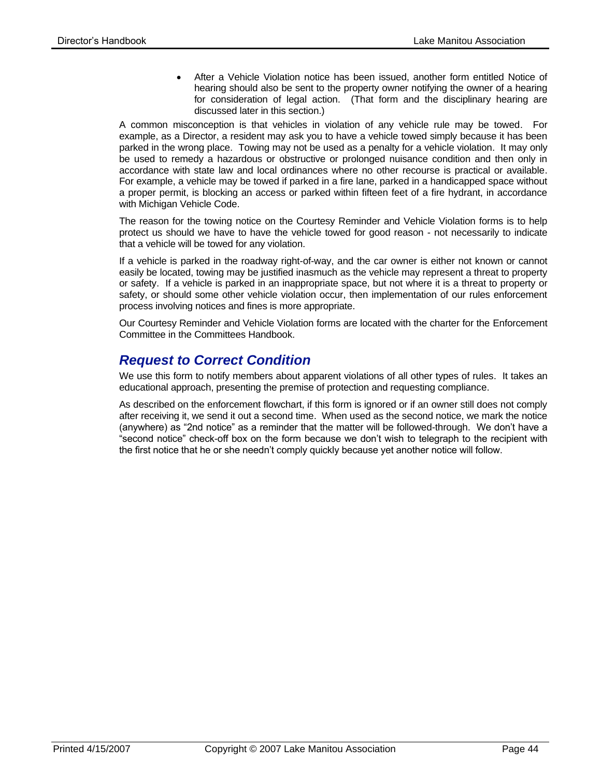After a Vehicle Violation notice has been issued, another form entitled Notice of hearing should also be sent to the property owner notifying the owner of a hearing for consideration of legal action. (That form and the disciplinary hearing are discussed later in this section.)

A common misconception is that vehicles in violation of any vehicle rule may be towed. For example, as a Director, a resident may ask you to have a vehicle towed simply because it has been parked in the wrong place. Towing may not be used as a penalty for a vehicle violation. It may only be used to remedy a hazardous or obstructive or prolonged nuisance condition and then only in accordance with state law and local ordinances where no other recourse is practical or available. For example, a vehicle may be towed if parked in a fire lane, parked in a handicapped space without a proper permit, is blocking an access or parked within fifteen feet of a fire hydrant, in accordance with Michigan Vehicle Code.

The reason for the towing notice on the Courtesy Reminder and Vehicle Violation forms is to help protect us should we have to have the vehicle towed for good reason - not necessarily to indicate that a vehicle will be towed for any violation.

If a vehicle is parked in the roadway right-of-way, and the car owner is either not known or cannot easily be located, towing may be justified inasmuch as the vehicle may represent a threat to property or safety. If a vehicle is parked in an inappropriate space, but not where it is a threat to property or safety, or should some other vehicle violation occur, then implementation of our rules enforcement process involving notices and fines is more appropriate.

Our Courtesy Reminder and Vehicle Violation forms are located with the charter for the Enforcement Committee in the Committees Handbook.

## *Request to Correct Condition*

We use this form to notify members about apparent violations of all other types of rules. It takes an educational approach, presenting the premise of protection and requesting compliance.

As described on the enforcement flowchart, if this form is ignored or if an owner still does not comply after receiving it, we send it out a second time. When used as the second notice, we mark the notice (anywhere) as "2nd notice" as a reminder that the matter will be followed-through. We don't have a "second notice" check-off box on the form because we don't wish to telegraph to the recipient with the first notice that he or she needn't comply quickly because yet another notice will follow.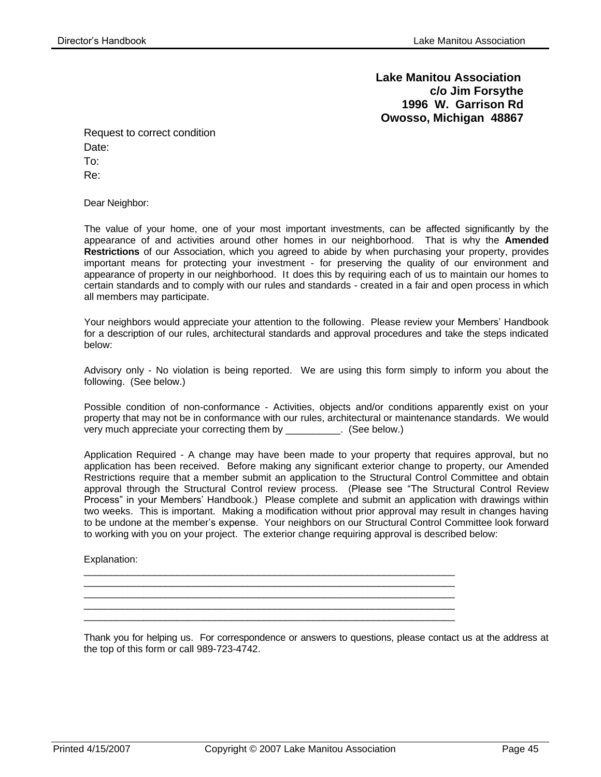**Lake Manitou Association c/o Jim Forsythe 1996 W. Garrison Rd Owosso, Michigan 48867**

Request to correct condition Date: To: Re:

Dear Neighbor:

The value of your home, one of your most important investments, can be affected significantly by the appearance of and activities around other homes in our neighborhood. That is why the **Amended Restrictions** of our Association, which you agreed to abide by when purchasing your property, provides important means for protecting your investment - for preserving the quality of our environment and appearance of property in our neighborhood. It does this by requiring each of us to maintain our homes to certain standards and to comply with our rules and standards - created in a fair and open process in which all members may participate.

Your neighbors would appreciate your attention to the following. Please review your Members' Handbook for a description of our rules, architectural standards and approval procedures and take the steps indicated below:

Advisory only - No violation is being reported. We are using this form simply to inform you about the following. (See below.)

Possible condition of non-conformance - Activities, objects and/or conditions apparently exist on your property that may not be in conformance with our rules, architectural or maintenance standards. We would very much appreciate your correcting them by \_\_\_\_\_\_\_\_\_\_. (See below.)

Application Required - A change may have been made to your property that requires approval, but no application has been received. Before making any significant exterior change to property, our Amended Restrictions require that a member submit an application to the Structural Control Committee and obtain approval through the Structural Control review process. (Please see "The Structural Control Review Process" in your Members' Handbook.) Please complete and submit an application with drawings within two weeks. This is important. Making a modification without prior approval may result in changes having to be undone at the member's expense. Your neighbors on our Structural Control Committee look forward to working with you on your project. The exterior change requiring approval is described below:

Explanation:

Thank you for helping us. For correspondence or answers to questions, please contact us at the address at the top of this form or call 989-723-4742.

 $\overline{\phantom{a}}$  , and the contribution of the contribution of the contribution of the contribution of the contribution of the contribution of the contribution of the contribution of the contribution of the contribution of the \_\_\_\_\_\_\_\_\_\_\_\_\_\_\_\_\_\_\_\_\_\_\_\_\_\_\_\_\_\_\_\_\_\_\_\_\_\_\_\_\_\_\_\_\_\_\_\_\_\_\_\_\_\_\_\_\_\_\_\_\_\_\_\_\_\_\_\_  $\overline{\phantom{a}}$  , and the contribution of the contribution of the contribution of the contribution of the contribution of the contribution of the contribution of the contribution of the contribution of the contribution of the  $\overline{\phantom{a}}$  , and the contribution of the contribution of the contribution of the contribution of the contribution of the contribution of the contribution of the contribution of the contribution of the contribution of the \_\_\_\_\_\_\_\_\_\_\_\_\_\_\_\_\_\_\_\_\_\_\_\_\_\_\_\_\_\_\_\_\_\_\_\_\_\_\_\_\_\_\_\_\_\_\_\_\_\_\_\_\_\_\_\_\_\_\_\_\_\_\_\_\_\_\_\_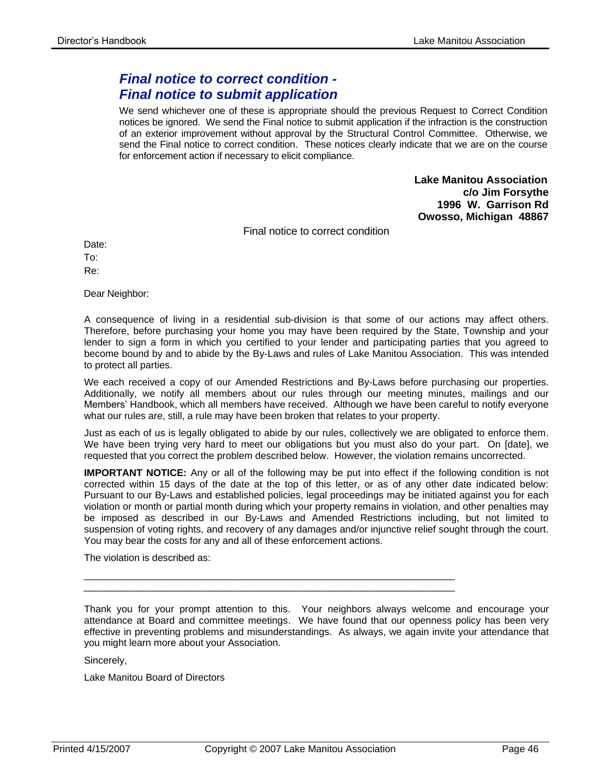## *Final notice to correct condition - Final notice to submit application*

We send whichever one of these is appropriate should the previous Request to Correct Condition notices be ignored. We send the Final notice to submit application if the infraction is the construction of an exterior improvement without approval by the Structural Control Committee. Otherwise, we send the Final notice to correct condition. These notices clearly indicate that we are on the course for enforcement action if necessary to elicit compliance.

> **Lake Manitou Association c/o Jim Forsythe 1996 W. Garrison Rd Owosso, Michigan 48867**

Final notice to correct condition

Date:

To:

Re:

Dear Neighbor:

A consequence of living in a residential sub-division is that some of our actions may affect others. Therefore, before purchasing your home you may have been required by the State, Township and your lender to sign a form in which you certified to your lender and participating parties that you agreed to become bound by and to abide by the By-Laws and rules of Lake Manitou Association. This was intended to protect all parties.

We each received a copy of our Amended Restrictions and By-Laws before purchasing our properties. Additionally, we notify all members about our rules through our meeting minutes, mailings and our Members' Handbook, which all members have received. Although we have been careful to notify everyone what our rules are, still, a rule may have been broken that relates to your property.

Just as each of us is legally obligated to abide by our rules, collectively we are obligated to enforce them. We have been trying very hard to meet our obligations but you must also do your part. On [date], we requested that you correct the problem described below. However, the violation remains uncorrected.

**IMPORTANT NOTICE:** Any or all of the following may be put into effect if the following condition is not corrected within 15 days of the date at the top of this letter, or as of any other date indicated below: Pursuant to our By-Laws and established policies, legal proceedings may be initiated against you for each violation or month or partial month during which your property remains in violation, and other penalties may be imposed as described in our By-Laws and Amended Restrictions including, but not limited to suspension of voting rights, and recovery of any damages and/or injunctive relief sought through the court. You may bear the costs for any and all of these enforcement actions.

The violation is described as:

Thank you for your prompt attention to this. Your neighbors always welcome and encourage your attendance at Board and committee meetings. We have found that our openness policy has been very effective in preventing problems and misunderstandings. As always, we again invite your attendance that you might learn more about your Association.

\_\_\_\_\_\_\_\_\_\_\_\_\_\_\_\_\_\_\_\_\_\_\_\_\_\_\_\_\_\_\_\_\_\_\_\_\_\_\_\_\_\_\_\_\_\_\_\_\_\_\_\_\_\_\_\_\_\_\_\_\_\_\_\_\_\_\_\_ \_\_\_\_\_\_\_\_\_\_\_\_\_\_\_\_\_\_\_\_\_\_\_\_\_\_\_\_\_\_\_\_\_\_\_\_\_\_\_\_\_\_\_\_\_\_\_\_\_\_\_\_\_\_\_\_\_\_\_\_\_\_\_\_\_\_\_\_

Sincerely,

Lake Manitou Board of Directors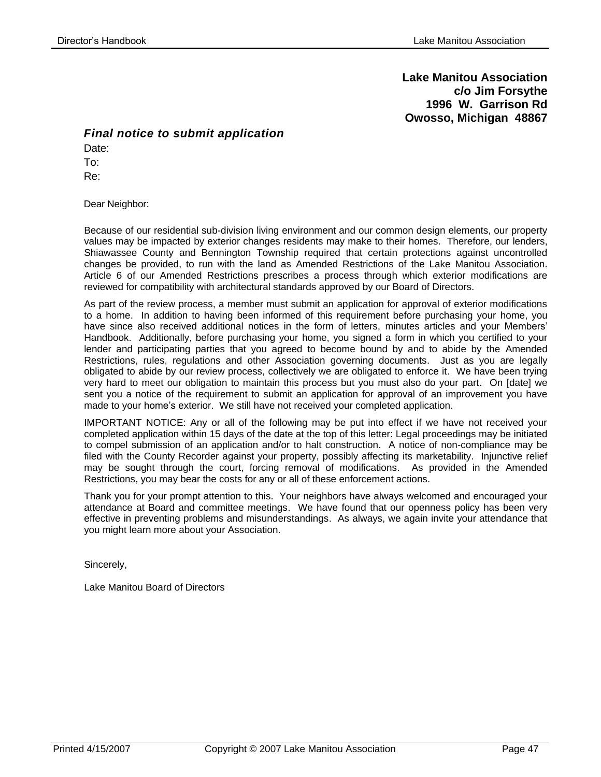**Lake Manitou Association c/o Jim Forsythe 1996 W. Garrison Rd Owosso, Michigan 48867**

#### *Final notice to submit application*

Date: To:

Re:

Dear Neighbor:

Because of our residential sub-division living environment and our common design elements, our property values may be impacted by exterior changes residents may make to their homes. Therefore, our lenders, Shiawassee County and Bennington Township required that certain protections against uncontrolled changes be provided, to run with the land as Amended Restrictions of the Lake Manitou Association. Article 6 of our Amended Restrictions prescribes a process through which exterior modifications are reviewed for compatibility with architectural standards approved by our Board of Directors.

As part of the review process, a member must submit an application for approval of exterior modifications to a home. In addition to having been informed of this requirement before purchasing your home, you have since also received additional notices in the form of letters, minutes articles and your Members' Handbook. Additionally, before purchasing your home, you signed a form in which you certified to your lender and participating parties that you agreed to become bound by and to abide by the Amended Restrictions, rules, regulations and other Association governing documents. Just as you are legally obligated to abide by our review process, collectively we are obligated to enforce it. We have been trying very hard to meet our obligation to maintain this process but you must also do your part. On [date] we sent you a notice of the requirement to submit an application for approval of an improvement you have made to your home's exterior. We still have not received your completed application.

IMPORTANT NOTICE: Any or all of the following may be put into effect if we have not received your completed application within 15 days of the date at the top of this letter: Legal proceedings may be initiated to compel submission of an application and/or to halt construction. A notice of non-compliance may be filed with the County Recorder against your property, possibly affecting its marketability. Injunctive relief may be sought through the court, forcing removal of modifications. As provided in the Amended Restrictions, you may bear the costs for any or all of these enforcement actions.

Thank you for your prompt attention to this. Your neighbors have always welcomed and encouraged your attendance at Board and committee meetings. We have found that our openness policy has been very effective in preventing problems and misunderstandings. As always, we again invite your attendance that you might learn more about your Association.

Sincerely,

Lake Manitou Board of Directors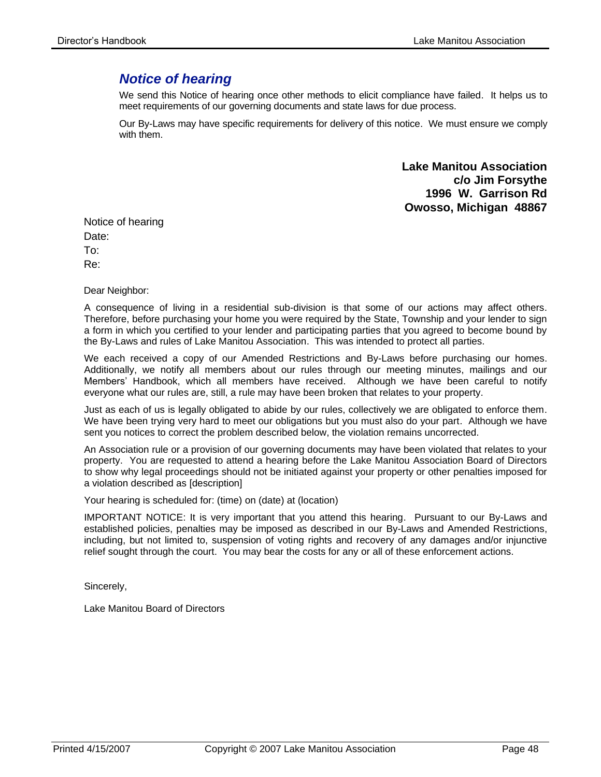#### *Notice of hearing*

We send this Notice of hearing once other methods to elicit compliance have failed. It helps us to meet requirements of our governing documents and state laws for due process.

Our By-Laws may have specific requirements for delivery of this notice. We must ensure we comply with them.

> **Lake Manitou Association c/o Jim Forsythe 1996 W. Garrison Rd Owosso, Michigan 48867**

Notice of hearing

Date: To:

Re:

Dear Neighbor:

A consequence of living in a residential sub-division is that some of our actions may affect others. Therefore, before purchasing your home you were required by the State, Township and your lender to sign a form in which you certified to your lender and participating parties that you agreed to become bound by the By-Laws and rules of Lake Manitou Association. This was intended to protect all parties.

We each received a copy of our Amended Restrictions and By-Laws before purchasing our homes. Additionally, we notify all members about our rules through our meeting minutes, mailings and our Members' Handbook, which all members have received. Although we have been careful to notify everyone what our rules are, still, a rule may have been broken that relates to your property.

Just as each of us is legally obligated to abide by our rules, collectively we are obligated to enforce them. We have been trying very hard to meet our obligations but you must also do your part. Although we have sent you notices to correct the problem described below, the violation remains uncorrected.

An Association rule or a provision of our governing documents may have been violated that relates to your property. You are requested to attend a hearing before the Lake Manitou Association Board of Directors to show why legal proceedings should not be initiated against your property or other penalties imposed for a violation described as [description]

Your hearing is scheduled for: (time) on (date) at (location)

IMPORTANT NOTICE: It is very important that you attend this hearing. Pursuant to our By-Laws and established policies, penalties may be imposed as described in our By-Laws and Amended Restrictions, including, but not limited to, suspension of voting rights and recovery of any damages and/or injunctive relief sought through the court. You may bear the costs for any or all of these enforcement actions.

Sincerely,

Lake Manitou Board of Directors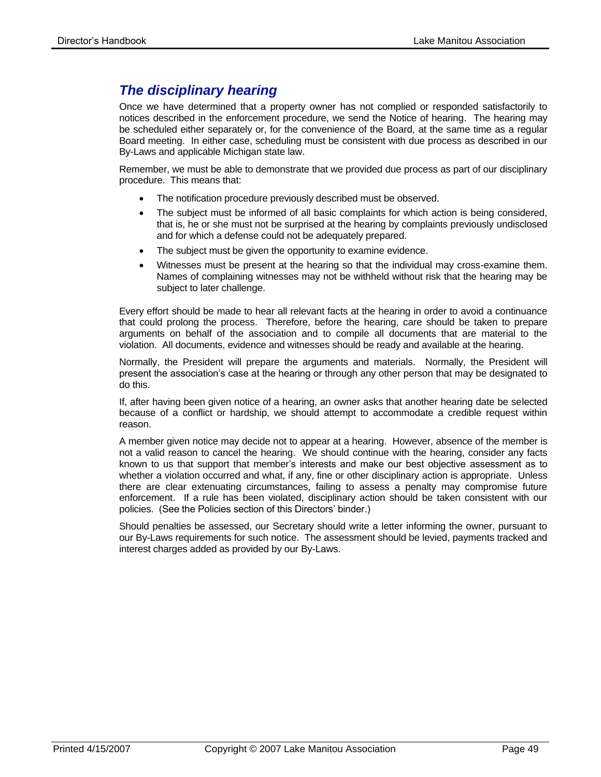# *The disciplinary hearing*

Once we have determined that a property owner has not complied or responded satisfactorily to notices described in the enforcement procedure, we send the Notice of hearing. The hearing may be scheduled either separately or, for the convenience of the Board, at the same time as a regular Board meeting. In either case, scheduling must be consistent with due process as described in our By-Laws and applicable Michigan state law.

Remember, we must be able to demonstrate that we provided due process as part of our disciplinary procedure. This means that:

- The notification procedure previously described must be observed.
- The subject must be informed of all basic complaints for which action is being considered, that is, he or she must not be surprised at the hearing by complaints previously undisclosed and for which a defense could not be adequately prepared.
- The subject must be given the opportunity to examine evidence.
- Witnesses must be present at the hearing so that the individual may cross-examine them. Names of complaining witnesses may not be withheld without risk that the hearing may be subject to later challenge.

Every effort should be made to hear all relevant facts at the hearing in order to avoid a continuance that could prolong the process. Therefore, before the hearing, care should be taken to prepare arguments on behalf of the association and to compile all documents that are material to the violation. All documents, evidence and witnesses should be ready and available at the hearing.

Normally, the President will prepare the arguments and materials. Normally, the President will present the association's case at the hearing or through any other person that may be designated to do this.

If, after having been given notice of a hearing, an owner asks that another hearing date be selected because of a conflict or hardship, we should attempt to accommodate a credible request within reason.

A member given notice may decide not to appear at a hearing. However, absence of the member is not a valid reason to cancel the hearing. We should continue with the hearing, consider any facts known to us that support that member's interests and make our best objective assessment as to whether a violation occurred and what, if any, fine or other disciplinary action is appropriate. Unless there are clear extenuating circumstances, failing to assess a penalty may compromise future enforcement. If a rule has been violated, disciplinary action should be taken consistent with our policies. (See the Policies section of this Directors' binder.)

Should penalties be assessed, our Secretary should write a letter informing the owner, pursuant to our By-Laws requirements for such notice. The assessment should be levied, payments tracked and interest charges added as provided by our By-Laws.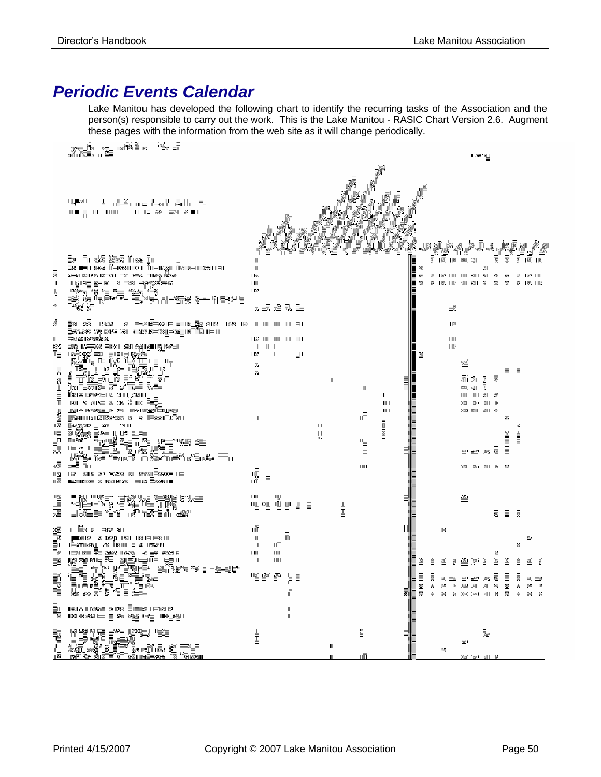# *Periodic Events Calendar*

Lake Manitou has developed the following chart to identify the recurring tasks of the Association and the person(s) responsible to carry out the work. This is the Lake Manitou - RASIC Chart Version 2.6. Augment these pages with the information from the web site as it will change periodically.

|                                                                                                    | $\frac{52}{2}x = 1$<br>$\mathbb{R}^n$ is $\mathbb{R}^n$<br>য়ে≔্টাল<br>es alega<br>=≧ira≣aninka                                                                                                                                                                                                                                                                                                                                                                                                                                                                                                                                                                                        |                                                                                   |                                                            |                                                                                               |    |                   |   |               |              |        |         |      |          |                         |               | 日本国          |                                                                                                |              |   |       |  |
|----------------------------------------------------------------------------------------------------|----------------------------------------------------------------------------------------------------------------------------------------------------------------------------------------------------------------------------------------------------------------------------------------------------------------------------------------------------------------------------------------------------------------------------------------------------------------------------------------------------------------------------------------------------------------------------------------------------------------------------------------------------------------------------------------|-----------------------------------------------------------------------------------|------------------------------------------------------------|-----------------------------------------------------------------------------------------------|----|-------------------|---|---------------|--------------|--------|---------|------|----------|-------------------------|---------------|--------------|------------------------------------------------------------------------------------------------|--------------|---|-------|--|
|                                                                                                    | n"Brine "Barl' nailh<br>।⊯ऊा<br>빀<br>ma y un anno<br>$   \cdot    = \frac{1000}{1000}$                                                                                                                                                                                                                                                                                                                                                                                                                                                                                                                                                                                                 |                                                                                   |                                                            |                                                                                               |    |                   |   |               |              |        |         |      |          |                         |               |              |                                                                                                |              |   |       |  |
| $\frac{1}{2}$<br>Ш<br>Į,<br>$\mathcal{C}$                                                          | Es El sé Ave Estados II.<br>Es eficios ferroleo fieloso Tromados en .<br>2月初 晚期经期的土壤上 土壤 法事务 土地经济系统<br>    居  発車<br>관리의 성 =성의 =성상(성무)이<br>PNY V<br>BNY VOID POLICE DISCRIPT<br>BNY VOID POLICE DISCRIPT<br>BNY VOID POLICE DISCRIPT<br>쿠위토된                                                                                                                                                                                                                                                                                                                                                                                                                                            | Ш<br>Ш<br>11%<br>$\mathbf{H}$<br>$\mathbb{L}$                                     |                                                            | 치통 침행 트                                                                                       |    |                   |   |               |              |        |         | ist. |          | J,                      | 图 画 图 牌 塑     |              | 丽<br>图<br>RE 199 HILL HILL SHILL GALL BE WE RE 199 HILL<br>第 12:11版 湖川 湖川 當   変   変   第 1版 11版 | Ŧ            |   | 贾 画 鸣 |  |
| $\mathcal{A}$<br>Ш<br>es<br>Te<br>$\mathcal{R}_{\mathcal{C}}$<br>$\frac{1}{\pi}$<br>$\frac{1}{20}$ | <b>IN SERVICE SUBSCRIPTION</b> $\frac{\overline{5}}{52}$ sing this to<br>501 RS<br>Boxses (%1945-5) e marto dell'Intellectual della Federal III.<br>Boxses (%1945-5) e marto<br>三分省北公司经济<br>$\begin{array}{ll} \displaystyle \sum_{i=1}^{n} \frac{1}{1!} \frac{1}{1!} \frac{1}{1!} \sum_{i=1}^{n} \frac{1}{1!} \frac{1}{1!} \sum_{i=1}^{n} \frac{1}{1!} \frac{1}{1!} \sum_{i=1}^{n} \frac{1}{1!} \frac{1}{1!} \sum_{i=1}^{n} \frac{1}{1!} \frac{1}{1!} \sum_{i=1}^{n} \frac{1}{1!} \sum_{i=1}^{n} \frac{1}{1!} \sum_{i=1}^{n} \frac{1}{1!} \sum_{i=1}^{n} \frac{1}{1!}$<br>– Tisuka Kapans≔ika, seliti, zakilit<br>TIATE'S WISHING ON WITHOUT HEEL<br>_Rommer @T7343528 8 9 D=RRIEs et | $\parallel$ $\perp$<br>$\overline{\Psi}$<br>$\overline{\mathcal{C}}_1$<br>$\pm 1$ | $\mathbf{H} = \mathbf{H} \cdot \mathbf{H}$<br>$\mathbf{H}$ | $\mathbb{H} \mathbb{H}$ $\mathbb{H} \mathbb{H}$ $\mathbb{H}$<br>$166$ $100$ $100$ $100$ $111$ | _⊓ |                   |   | ш<br>τĒ       | $\mathbf{H}$ | ш<br>ш |         |      |          | 凹.<br>Ш<br>HK.          |               | 痛 劇 喜<br>奥塑质 | 葱<br>演画图面<br>源 刻 图 数                                                                           | 蒜            |   |       |  |
| - 昭元<br>現実<br>e.<br>$\mathbb{H}^n$<br>ıВ                                                           | ŧ.<br>婚者<br>te an EED Ta Wington<br>Washington Take Ta Wington<br>Ta Uu<br>י∯ש ≣ <sup>3</sup> שן<br>THE SHIELD STREET OF STATE WAS IMPOUNDED.<br>$\blacksquare$ $\blacksquare$ $\blacksquare$ $\blacksquare$ $\blacksquare$ $\blacksquare$ $\blacksquare$ $\blacksquare$ $\blacksquare$ $\blacksquare$ $\blacksquare$ $\blacksquare$ $\blacksquare$ $\blacksquare$ $\blacksquare$ $\blacksquare$ $\blacksquare$ $\blacksquare$ $\blacksquare$ $\blacksquare$ $\blacksquare$ $\blacksquare$ $\blacksquare$ $\blacksquare$ $\blacksquare$ $\blacksquare$ $\blacksquare$ $\blacksquare$ $\blacksquare$ $\blacksquare$ $\blacksquare$ $\blacks$                                            | 理<br>可<br>ш                                                                       | щч                                                         |                                                                                               |    | $\mathbb{H}$<br>Ц |   | 모.<br>Ξ<br>TШ | <b>TIER</b>  |        |         |      |          |                         | $\frac{1}{2}$ |              | 四曲脚区<br>2001 004 001 40 50                                                                     | III IIX<br>Ē |   |       |  |
| No.<br>No. of No. 19<br>E PARTIES AND                                                              | -Media (1979)<br>Sierry : Sing (1979)<br>Sierry : Synaphy (1989)<br>滑块草<br>11 MB © ⇒© 31<br>μ, Balla e Baana isi isil⊐i⊟a ili<br>tëshsr <u>i</u> re frii e shekvri                                                                                                                                                                                                                                                                                                                                                                                                                                                                                                                     | нĬ<br>Ш<br>$\mathbf{H}$<br>TШ<br>$\mathbf{H}$                                     | ալ «լայ<br>τĒ<br>Ш<br>$\blacksquare$                       | Tш                                                                                            |    |                   | İ |               |              |        |         |      |          | Di.                     |               |              | 扈<br>ďÉ.<br>ē                                                                                  | E            | 圜 |       |  |
|                                                                                                    | .<br>Di nadvirnae sink Edens ierais.<br>19. novaskie: Bisk k <u>rk</u> met<br>Ⅱ30 (2023) 11 를 32: 2월 (21) 110 2월 1                                                                                                                                                                                                                                                                                                                                                                                                                                                                                                                                                                     | <u>대학 총 출시 및 출</u>                                                                |                                                            | ιĀ<br>111<br>$1 \, \mathrm{H}$ I                                                              |    |                   |   |               |              |        | JE<br>E | 三国国家 | 喇<br>iĝi |                         |               |              |                                                                                                |              |   |       |  |
| in<br>Fil                                                                                          |                                                                                                                                                                                                                                                                                                                                                                                                                                                                                                                                                                                                                                                                                        | ţ                                                                                 |                                                            |                                                                                               |    | Ш<br>Ш            |   | Ě<br>ιñ       |              |        |         |      |          | $\overline{\mathrm{M}}$ | <b>Page</b>   |              | $\overline{\mathbf{E}}\sigma$<br>2001年9月11日                                                    |              |   |       |  |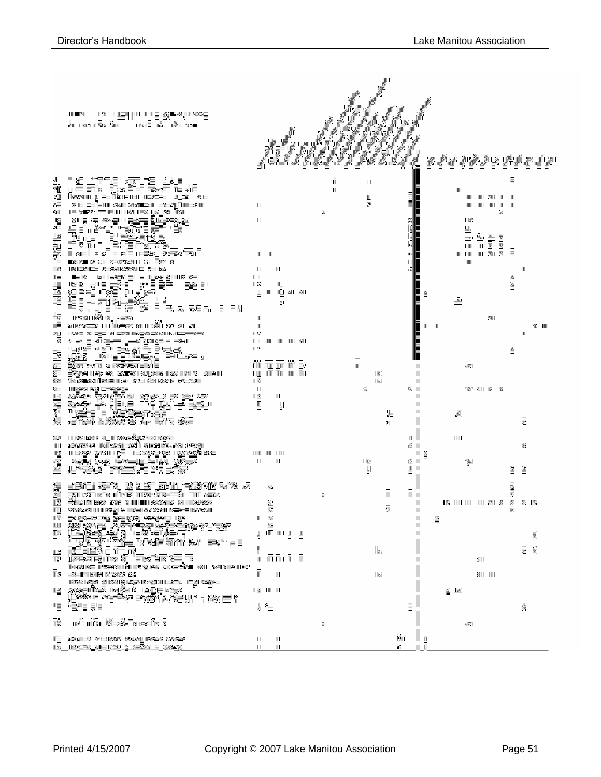|                                                      | ULEST TRAUGHTUL ULE SE AUTROSE.<br>20 december 2001 - De Eucht van De                                                                                                                                                                                                                                                                                                                                                                                                                                                                                                                             |                                                                                                               |                                 |                      |                                    |              |   |                                   |                                |                                               |                   |              |                      |     |                                                                                                                                                             |               |        |          |  |
|------------------------------------------------------|---------------------------------------------------------------------------------------------------------------------------------------------------------------------------------------------------------------------------------------------------------------------------------------------------------------------------------------------------------------------------------------------------------------------------------------------------------------------------------------------------------------------------------------------------------------------------------------------------|---------------------------------------------------------------------------------------------------------------|---------------------------------|----------------------|------------------------------------|--------------|---|-----------------------------------|--------------------------------|-----------------------------------------------|-------------------|--------------|----------------------|-----|-------------------------------------------------------------------------------------------------------------------------------------------------------------|---------------|--------|----------|--|
| u<br>Eir<br>÷.<br>×Д<br>$\mathbb{H} \mathbb{R}$<br>嘔 | $\begin{array}{c} \mathbb{I} \mathop{\stackrel{\hspace{0.1em}\text{d}}{ \hspace{0.1em} \text{d}}}_{\mathcal{V}} \mathop{\stackrel{\hspace{0.1em}\text{d}}{ \text{d}}}_{\mathcal{V}} \mathbb{I} \mathbb{I} \mathbb{I} \end{array}$<br><u>- 32구로</u><br>ङ -∈<br>UEEN FRIEDRE EST<br>DEER FRIEDRE ESTE<br>DRAIN BEINDELLIERE SEXIE<br>SIE EEËIII SAI RASESI EEEN TIESII<br>19 3003: 금 Ellinon Barry 2018<br>- 에 맞바로 Magin Respublication<br>- Little Magin Respublication<br>- Little Press Leader                                                                                                   | Ш<br>$\mathbf{H}$                                                                                             |                                 |                      |                                    | ш<br>ш<br>ú. |   | Ш<br>L<br>Z                       |                                |                                               |                   | TШ.          | $\mathbb{R}^n$<br>ЩЛ |     | Зă                                                                                                                                                          |               |        |          |  |
| 重型学<br>⊐€                                            | e region<br>E STE - BEEM TWEE<br>ESTE - BEEM TWEE<br>매개인 18:11 2022년에 11:11 그릇이 좋<br>化旧期口流 化丙酮降聚酯口 光手吹出                                                                                                                                                                                                                                                                                                                                                                                                                                                                                           | $\mathbf{H}$<br>$\mathbf{H}$                                                                                  | $\mathbf{I}$                    | $\mathbb{H}$         |                                    |              |   |                                   |                                |                                               |                   |              |                      |     | $\frac{1}{2}$ $\frac{1}{2}$ $\frac{1}{2}$ $\frac{1}{2}$ $\frac{1}{2}$ $\frac{1}{2}$ $\frac{1}{2}$<br>$\mathbb{Z}$ 17 Hz 11 Hz                               | $\equiv$      |        |          |  |
| 医肠下腺炎 医心理                                            | क∃⊓। इ<br>巨曲<br>WIRE SEE THE DESIGN SITUATION IS A SILL OF<br>TAXE \$ CEL & CAN INCOCANTIBIC. TAX                                                                                                                                                                                                                                                                                                                                                                                                                                                                                                 | 163<br>п<br>п<br>$\mathbb{L}$                                                                                 |                                 | L,<br>$\mathbb{R}^n$ | ■ ■□ 최 해                           |              |   |                                   |                                | <b>THE PROPERTY</b>                           | ė<br>$\mathbf{I}$ |              |                      |     | $\mathcal{A}$                                                                                                                                               | Δ             |        | ¥ ∎      |  |
| N<br>Mil<br>an Miller                                | r≡ ⊟r≅ iz<br>Ser wir unscheid de<br>$\frac{1}{2} \left( \frac{1}{2} \right) \left( \frac{1}{2} \right) \left( \frac{1}{2} \right) \left( \frac{1}{2} \right) \left( \frac{1}{2} \right) \left( \frac{1}{2} \right) \left( \frac{1}{2} \right) \left( \frac{1}{2} \right) \left( \frac{1}{2} \right) \left( \frac{1}{2} \right) \left( \frac{1}{2} \right) \left( \frac{1}{2} \right) \left( \frac{1}{2} \right) \left( \frac{1}{2} \right) \left( \frac{1}{2} \right) \left( \frac{1}{2} \right) \left( \frac$<br>even ingstar better velocities in richten in<br>SCREEK (ISSEINA) SCHROOL STESSI | I ES<br>- 162                                                                                                 |                                 |                      | if it is a probability $\exists z$ |              | Ш | I BC<br>1 R.I                     |                                | ш                                             |                   |              | - 1971               |     |                                                                                                                                                             | Δ             |        |          |  |
| e e e el                                             | 1023832 - 2020년<br>2020년 - 10월 1일 13일 13일 13일 13일<br>2020년 - 10월 1일 13일 13일 13일 13일<br>10월 13일 13일 13일 13일<br>10월 13일 13일 13일 13일 13일                                                                                                                                                                                                                                                                                                                                                                                                                                                             | $\mathbf{H}$<br>10<br>I.                                                                                      |                                 | - 11                 |                                    |              |   | 厦                                 | $\downarrow$<br>35.            | <b>ALC</b>                                    |                   |              |                      |     | 'a' all 6 - 2                                                                                                                                               |               | 覂      |          |  |
| 陸經                                                   | Monte (1999) - Politik (1999) - Politik (1999)<br>Monte (1999) - Monte (1999) - Monte (1999) - Monte (1999)<br>Monte (1999) - Monte (1999) - Monte (1999)<br>Monte (1999) - Politik (1999) - Politik (1999)<br>Monte (1999) - Politik (199                                                                                                                                                                                                                                                                                                                                                        | $\frac{1}{2}$ , $\frac{1}{2}$ , $\frac{1}{2}$ , $\frac{1}{2}$ , $\frac{1}{2}$ , $\frac{1}{2}$ , $\frac{1}{2}$ | $\mathbf{H} = \mathbf{H}$       |                      |                                    |              |   | $\frac{1}{2}$<br>ļ,               |                                | $\blacksquare$<br>■ ■<br>※ ■<br>목 등           |                   |              |                      |     |                                                                                                                                                             | Ĕ             | 服<br>≧ |          |  |
| にいこ 山<br>ı⊽.<br>Ш                                    | -BH 52% 3125 50 11 7300 12% 5.<br>50 cm s dine und schiff 1<br>量利益 BN BNASS 37006 GHILLITTH 地名米 60 GHILL CASASSO                                                                                                                                                                                                                                                                                                                                                                                                                                                                                  |                                                                                                               | ä.<br>륛<br>U N<br>$\mathcal{C}$ |                      |                                    | C.           |   |                                   | ī<br>$\overline{\overline{s}}$ | īΘ<br><b>III</b><br>$\mathbb{R}^n$<br>a.<br>ш | ≅                 |              |                      |     | $\mathbb{R}$ $\mathbb{R}$ $\mathbb{R}$ $\mathbb{R}$ $\mathbb{R}$ $\mathbb{R}$ $\mathbb{R}$ $\mathbb{R}$ $\mathbb{R}$ $\mathbb{R}$ $\mathbb{R}$ $\mathbb{R}$ | 霻<br>鑋<br>(X) | 答 「歌   |          |  |
| F<br>L.<br>$\mathbb{R}^n$<br>$\equiv$                | Torset Reservations are the substantial<br>$\mathbb{R}$ s – Esterien kaikai kaussa kaus                                                                                                                                                                                                                                                                                                                                                                                                                                                                                                           | D.<br>ш                                                                                                       |                                 | $\pm 1$              | ழமி மாற ந<br>ប្រាំពីហើយ និ         |              |   | $  _2$<br>$\vert$ $\vert$ $\vert$ |                                | ш                                             |                   |              |                      | 211 | 3811 111                                                                                                                                                    |               |        | Ø.<br>要賣 |  |
| l≌<br>"를                                             | nassinga girang qanaseanilee≡s regisaga=<br>⋦⋦⋦⋺⋔⋦⋽⋶∊⋻≬⋛∊Ŕ⋴⋐⋣⋤⋴⋩⋽⋸<br>⋦⋦⋦⋺⋔⋦⋽⋶∊⋻≬⋛∊Ŕ⋴⋐⋣⋤⋴⋩⋽⋸<br>⋌⋸⋦⋬⋺∊⋜⋖⋺⋍⋗⋡⋶∊⋢⋒⋐⋬<br><sup>2</sup> 글2'= 등'=                                                                                                                                                                                                                                                                                                                                                                                                                                                       | 112 III 11                                                                                                    | $\frac{1}{2}$ $\frac{2}{2}$     |                      |                                    |              |   |                                   |                                | Ē                                             |                   | <u>a' In</u> |                      |     |                                                                                                                                                             |               | Ö,     |          |  |
| $\overline{\mathbb{T}}^d_N$<br>$\overline{I}$        | - In <sup>2</sup> Ing Kere a real o<br>WILLES WILLIAMS CONSILIGATES INSTE<br><b>IN TRACTOR SECTIONS BROWN CONSUMER</b>                                                                                                                                                                                                                                                                                                                                                                                                                                                                            | Ш<br>H.                                                                                                       |                                 | - H<br>$\pm 1$       |                                    | C.           |   |                                   |                                | J.<br>Ñ⊩<br>鄞<br>H.                           | $\overline{\Pi}$  |              | $5.5\%$              |     |                                                                                                                                                             |               |        |          |  |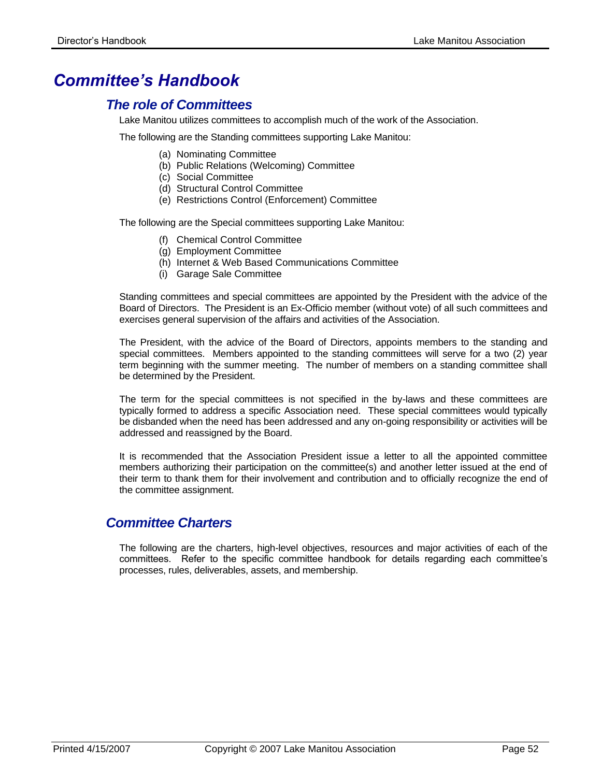# **Committee's Handbook**

### *The role of Committees*

Lake Manitou utilizes committees to accomplish much of the work of the Association.

The following are the Standing committees supporting Lake Manitou:

- (a) Nominating Committee
- (b) Public Relations (Welcoming) Committee
- (c) Social Committee
- (d) Structural Control Committee
- (e) Restrictions Control (Enforcement) Committee

The following are the Special committees supporting Lake Manitou:

- (f) Chemical Control Committee
- (g) Employment Committee
- (h) Internet & Web Based Communications Committee
- (i) Garage Sale Committee

Standing committees and special committees are appointed by the President with the advice of the Board of Directors. The President is an Ex-Officio member (without vote) of all such committees and exercises general supervision of the affairs and activities of the Association.

The President, with the advice of the Board of Directors, appoints members to the standing and special committees. Members appointed to the standing committees will serve for a two (2) year term beginning with the summer meeting. The number of members on a standing committee shall be determined by the President.

The term for the special committees is not specified in the by-laws and these committees are typically formed to address a specific Association need. These special committees would typically be disbanded when the need has been addressed and any on-going responsibility or activities will be addressed and reassigned by the Board.

It is recommended that the Association President issue a letter to all the appointed committee members authorizing their participation on the committee(s) and another letter issued at the end of their term to thank them for their involvement and contribution and to officially recognize the end of the committee assignment.

#### *Committee Charters*

The following are the charters, high-level objectives, resources and major activities of each of the committees. Refer to the specific committee handbook for details regarding each committee's processes, rules, deliverables, assets, and membership.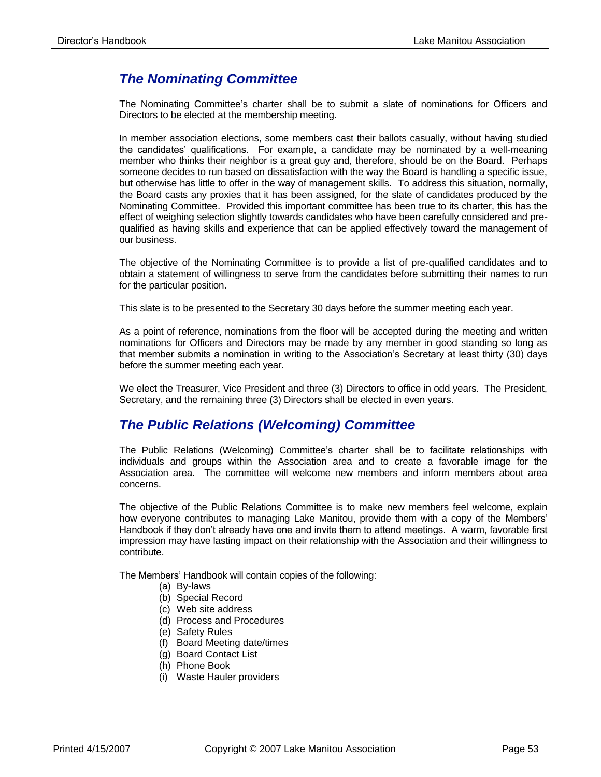## *The Nominating Committee*

The Nominating Committee's charter shall be to submit a slate of nominations for Officers and Directors to be elected at the membership meeting.

In member association elections, some members cast their ballots casually, without having studied the candidates' qualifications. For example, a candidate may be nominated by a well-meaning member who thinks their neighbor is a great guy and, therefore, should be on the Board. Perhaps someone decides to run based on dissatisfaction with the way the Board is handling a specific issue, but otherwise has little to offer in the way of management skills. To address this situation, normally, the Board casts any proxies that it has been assigned, for the slate of candidates produced by the Nominating Committee. Provided this important committee has been true to its charter, this has the effect of weighing selection slightly towards candidates who have been carefully considered and prequalified as having skills and experience that can be applied effectively toward the management of our business.

The objective of the Nominating Committee is to provide a list of pre-qualified candidates and to obtain a statement of willingness to serve from the candidates before submitting their names to run for the particular position.

This slate is to be presented to the Secretary 30 days before the summer meeting each year.

As a point of reference, nominations from the floor will be accepted during the meeting and written nominations for Officers and Directors may be made by any member in good standing so long as that member submits a nomination in writing to the Association's Secretary at least thirty (30) days before the summer meeting each year.

We elect the Treasurer, Vice President and three (3) Directors to office in odd years. The President, Secretary, and the remaining three (3) Directors shall be elected in even years.

## *The Public Relations (Welcoming) Committee*

The Public Relations (Welcoming) Committee's charter shall be to facilitate relationships with individuals and groups within the Association area and to create a favorable image for the Association area. The committee will welcome new members and inform members about area concerns.

The objective of the Public Relations Committee is to make new members feel welcome, explain how everyone contributes to managing Lake Manitou, provide them with a copy of the Members' Handbook if they don't already have one and invite them to attend meetings. A warm, favorable first impression may have lasting impact on their relationship with the Association and their willingness to contribute.

The Members' Handbook will contain copies of the following:

- (a) By-laws
- (b) Special Record
- (c) Web site address
- (d) Process and Procedures
- (e) Safety Rules
- (f) Board Meeting date/times
- (g) Board Contact List
- (h) Phone Book
- (i) Waste Hauler providers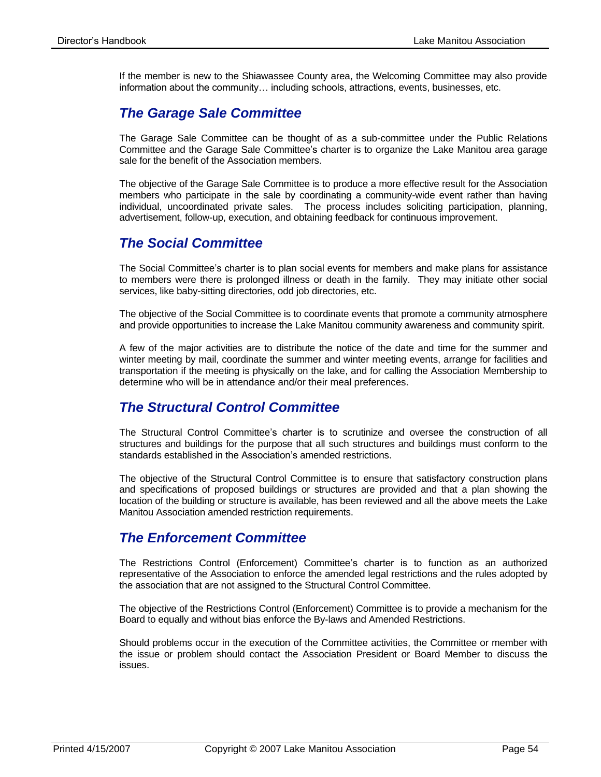If the member is new to the Shiawassee County area, the Welcoming Committee may also provide  $information about the community... including schools, attractions, events, business, etc.$ 

## *The Garage Sale Committee*

The Garage Sale Committee can be thought of as a sub-committee under the Public Relations Committee and the Garage Sale Committee's charter is to organize the Lake Manitou area garage sale for the benefit of the Association members.

The objective of the Garage Sale Committee is to produce a more effective result for the Association members who participate in the sale by coordinating a community-wide event rather than having individual, uncoordinated private sales. The process includes soliciting participation, planning, advertisement, follow-up, execution, and obtaining feedback for continuous improvement.

## *The Social Committee*

The Social Committee's charter is to plan social events for members and make plans for assistance to members were there is prolonged illness or death in the family. They may initiate other social services, like baby-sitting directories, odd job directories, etc.

The objective of the Social Committee is to coordinate events that promote a community atmosphere and provide opportunities to increase the Lake Manitou community awareness and community spirit.

A few of the major activities are to distribute the notice of the date and time for the summer and winter meeting by mail, coordinate the summer and winter meeting events, arrange for facilities and transportation if the meeting is physically on the lake, and for calling the Association Membership to determine who will be in attendance and/or their meal preferences.

## *The Structural Control Committee*

The Structural Control Committee's charter is to scrutinize and oversee the construction of all structures and buildings for the purpose that all such structures and buildings must conform to the standards established in the Association's amended restrictions.

The objective of the Structural Control Committee is to ensure that satisfactory construction plans and specifications of proposed buildings or structures are provided and that a plan showing the location of the building or structure is available, has been reviewed and all the above meets the Lake Manitou Association amended restriction requirements.

## *The Enforcement Committee*

The Restrictions Control (Enforcement) Committee's charter is to function as an authorized representative of the Association to enforce the amended legal restrictions and the rules adopted by the association that are not assigned to the Structural Control Committee.

The objective of the Restrictions Control (Enforcement) Committee is to provide a mechanism for the Board to equally and without bias enforce the By-laws and Amended Restrictions.

Should problems occur in the execution of the Committee activities, the Committee or member with the issue or problem should contact the Association President or Board Member to discuss the issues.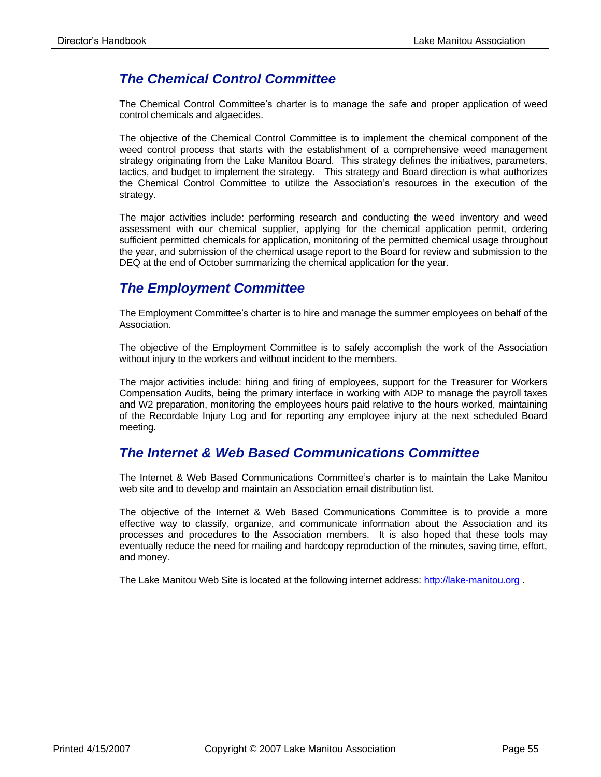## *The Chemical Control Committee*

The Chemical Control Committee's charter is to manage the safe and proper application of weed control chemicals and algaecides.

The objective of the Chemical Control Committee is to implement the chemical component of the weed control process that starts with the establishment of a comprehensive weed management strategy originating from the Lake Manitou Board. This strategy defines the initiatives, parameters, tactics, and budget to implement the strategy. This strategy and Board direction is what authorizes the Chemical Control Committee to utilize the Association's resources in the execution of the strategy.

The major activities include: performing research and conducting the weed inventory and weed assessment with our chemical supplier, applying for the chemical application permit, ordering sufficient permitted chemicals for application, monitoring of the permitted chemical usage throughout the year, and submission of the chemical usage report to the Board for review and submission to the DEQ at the end of October summarizing the chemical application for the year.

## *The Employment Committee*

The Employment Committee's charter is to hire and manage the summer employees on behalf of the Association.

The objective of the Employment Committee is to safely accomplish the work of the Association without injury to the workers and without incident to the members.

The major activities include: hiring and firing of employees, support for the Treasurer for Workers Compensation Audits, being the primary interface in working with ADP to manage the payroll taxes and W2 preparation, monitoring the employees hours paid relative to the hours worked, maintaining of the Recordable Injury Log and for reporting any employee injury at the next scheduled Board meeting.

## *The Internet & Web Based Communications Committee*

The Internet & Web Based Communications Committee's charter is to maintain the Lake Manitou web site and to develop and maintain an Association email distribution list.

The objective of the Internet & Web Based Communications Committee is to provide a more effective way to classify, organize, and communicate information about the Association and its processes and procedures to the Association members. It is also hoped that these tools may eventually reduce the need for mailing and hardcopy reproduction of the minutes, saving time, effort, and money.

The Lake Manitou Web Site is located at the following internet address: http://lake-manitou.org .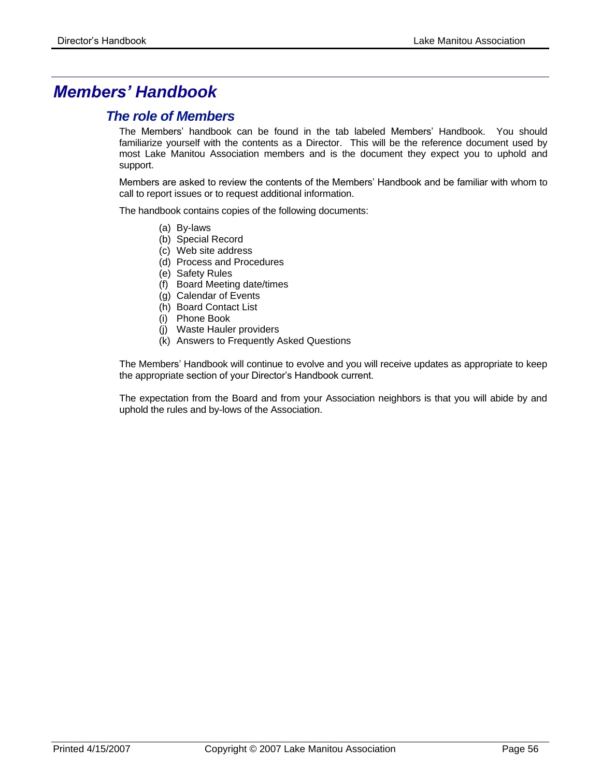# *Members'Handbook*

#### *The role of Members*

The Members' handbook can be found in the tab labeled Members' Handbook. You should familiarize yourself with the contents as a Director. This will be the reference document used by most Lake Manitou Association members and is the document they expect you to uphold and support.

Members are asked to review the contents of the Members' Handbook and be familiar with whom to call to report issues or to request additional information.

The handbook contains copies of the following documents:

- (a) By-laws
- (b) Special Record
- (c) Web site address
- (d) Process and Procedures
- (e) Safety Rules
- (f) Board Meeting date/times
- (g) Calendar of Events
- (h) Board Contact List
- (i) Phone Book
- (j) Waste Hauler providers
- (k) Answers to Frequently Asked Questions

The Members' Handbook will continue to evolve and you will receive updates as appropriate to keep the appropriate section of your Director's Handbook current.

The expectation from the Board and from your Association neighbors is that you will abide by and uphold the rules and by-lows of the Association.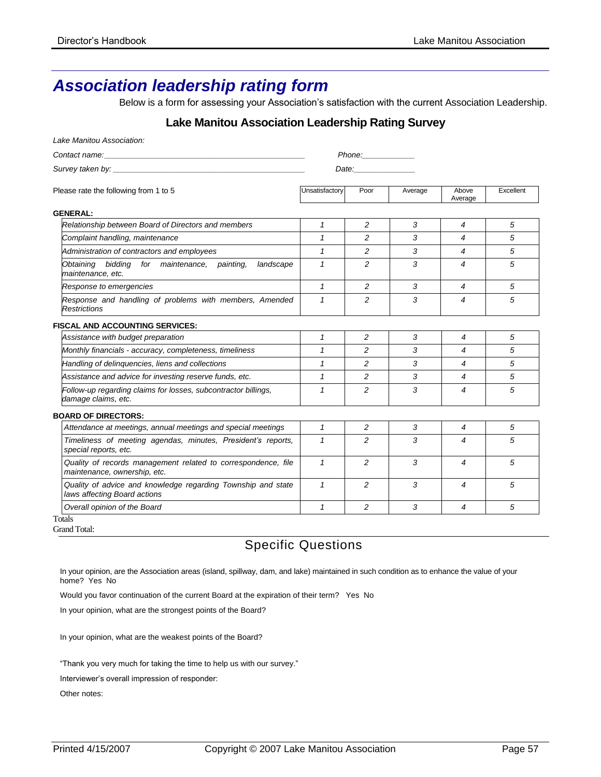# *Association leadership rating form*

Below is a form for assessing your Association's satisfaction with the current Association Leadership.

#### **Lake Manitou Association Leadership Rating Survey**

| Lake Manitou Association:                                                                     |                |                     |         |                  |           |
|-----------------------------------------------------------------------------------------------|----------------|---------------------|---------|------------------|-----------|
|                                                                                               |                | Phone:_____________ |         |                  |           |
|                                                                                               |                | Date: Date:         |         |                  |           |
| Please rate the following from 1 to 5                                                         | Unsatisfactory | Poor                | Average | Above<br>Average | Excellent |
| <b>GENERAL:</b>                                                                               |                |                     |         |                  |           |
| Relationship between Board of Directors and members                                           | $\mathbf{1}$   | 2                   | 3       | 4                | 5         |
| Complaint handling, maintenance                                                               | $\mathbf{1}$   | 2                   | 3       | 4                | 5         |
| Administration of contractors and employees                                                   | $\mathcal I$   | 2                   | 3       | 4                | 5         |
| bidding for maintenance, painting,<br>Obtaining<br>landscape<br>maintenance, etc.             | $\mathcal I$   | $\overline{c}$      | 3       | 4                | 5         |
| Response to emergencies                                                                       | $\mathbf{1}$   | $\overline{c}$      | 3       | 4                | 5         |
| Response and handling of problems with members, Amended<br><b>Restrictions</b>                | $\mathbf{1}$   | 2                   | 3       | 4                | 5         |
| <b>FISCAL AND ACCOUNTING SERVICES:</b>                                                        |                |                     |         |                  |           |
| Assistance with budget preparation                                                            | $\mathcal I$   | 2                   | 3       | 4                | 5         |
| Monthly financials - accuracy, completeness, timeliness                                       | 1              | 2                   | 3       | 4                | 5         |
| Handling of delinguencies, liens and collections                                              | $\mathbf{1}$   | 2                   | 3       | 4                | 5         |
| Assistance and advice for investing reserve funds, etc.                                       | $\mathbf{1}$   | 2                   | 3       | 4                | 5         |
| Follow-up regarding claims for losses, subcontractor billings,<br>damage claims, etc.         | $\mathbf{1}$   | $\overline{c}$      | 3       | 4                | 5         |
| <b>BOARD OF DIRECTORS:</b>                                                                    |                |                     |         |                  |           |
| Attendance at meetings, annual meetings and special meetings                                  | $\mathbf{1}$   | 2                   | 3       | 4                | 5         |
| Timeliness of meeting agendas, minutes, President's reports,<br>special reports, etc.         | $\mathcal I$   | 2                   | 3       | 4                | 5         |
| Quality of records management related to correspondence, file<br>maintenance, ownership, etc. | $\mathbf{1}$   | $\overline{c}$      | 3       | 4                | 5         |
| Quality of advice and knowledge regarding Township and state<br>laws affecting Board actions  | $\mathcal I$   | 2                   | 3       | 4                | 5         |
| Overall opinion of the Board                                                                  | $\mathbf{1}$   | $\overline{c}$      | 3       | 4                | 5         |
| Totals                                                                                        |                |                     |         |                  |           |

Grand Total:

#### Specific Questions

In your opinion, are the Association areas (island, spillway, dam, and lake) maintained in such condition as to enhance the value of your home? Yes No

Would you favor continuation of the current Board at the expiration of their term? Yes No

In your opinion, what are the strongest points of the Board?

In your opinion, what are the weakest points of the Board?

"Thank you very much for taking the time to help us with our survey."

Interviewer's overall impression of responder:

Other notes: